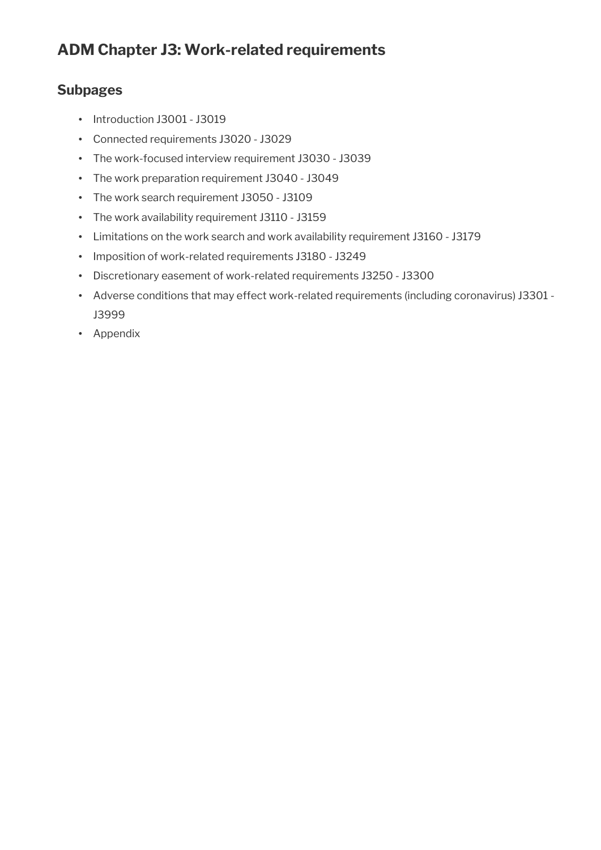# **ADM Chapter J3: Work-related requirements**

# **Subpages**

- Introduction J3001 J3019
- Connected requirements J3020 J3029
- The work-focused interview requirement J3030 J3039
- The work preparation requirement J3040 J3049
- The work search requirement J3050 J3109
- The work availability requirement J3110 J3159
- Limitations on the work search and work availability requirement J3160 J3179
- Imposition of work-related requirements J3180 J3249
- Discretionary easement of work-related requirements J3250 J3300
- Adverse conditions that may effect work-related requirements (including coronavirus) J3301 J3999
- Appendix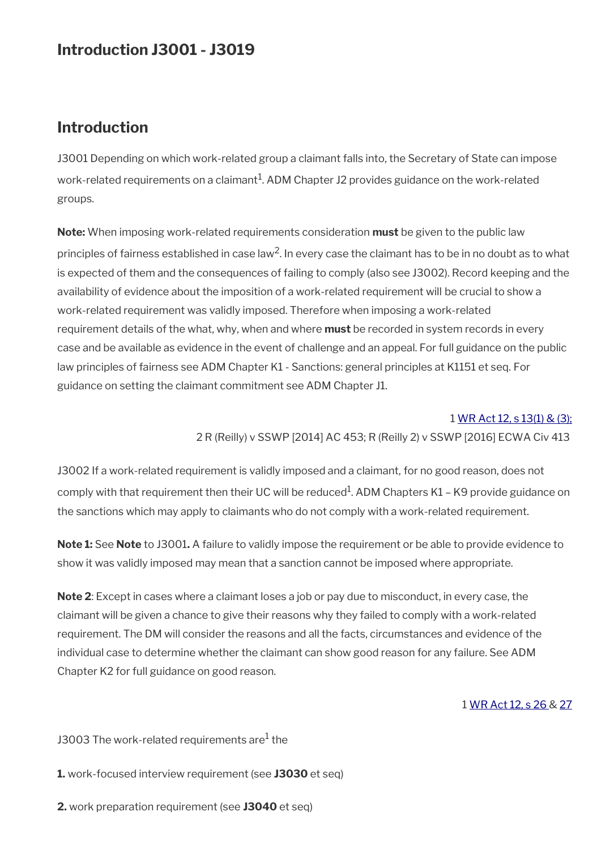# **Introduction J3001 - J3019**

# **Introduction**

J3001 Depending on which work-related group a claimant falls into, the Secretary of State can impose work-related requirements on a claimant $^{\rm 1}$ . ADM Chapter J2 provides guidance on the work-related groups.

**Note:** When imposing work-related requirements consideration **must** be given to the public law principles of fairness established in case law<sup>2</sup>. In every case the claimant has to be in no doubt as to what is expected of them and the consequences of failing to comply (also see J3002). Record keeping and the availability of evidence about the imposition of a work-related requirement will be crucial to show a work-related requirement was validly imposed. Therefore when imposing a work-related requirement details of the what, why, when and where **must** be recorded in system records in every case and be available as evidence in the event of challenge and an appeal. For full guidance on the public law principles of fairness see ADM Chapter K1 - Sanctions: general principles at K1151 et seq. For guidance on setting the claimant commitment see ADM Chapter J1.

#### 1 [WR Act 12, s 13\(1\) & \(3\);](http://www.legislation.gov.uk/ukpga/2012/5/section/13)

2 R (Reilly) v SSWP [2014] AC 453; R (Reilly 2) v SSWP [2016] ECWA Civ 413

J3002 If a work-related requirement is validly imposed and a claimant, for no good reason, does not comply with that requirement then their UC will be reduced $^1$ . ADM Chapters K1 – K9 provide guidance on the sanctions which may apply to claimants who do not comply with a work-related requirement.

**Note 1:** See **Note** to J3001**.** A failure to validly impose the requirement or be able to provide evidence to show it was validly imposed may mean that a sanction cannot be imposed where appropriate.

**Note 2**: Except in cases where a claimant loses a job or pay due to misconduct, in every case, the claimant will be given a chance to give their reasons why they failed to comply with a work-related requirement. The DM will consider the reasons and all the facts, circumstances and evidence of the individual case to determine whether the claimant can show good reason for any failure. See ADM Chapter K2 for full guidance on good reason.

1 [WR Act 12, s 26](http://www.legislation.gov.uk/ukpga/2012/5/section/26) & [27](http://www.legislation.gov.uk/ukpga/2012/5/section/27)

J3003 The work-related requirements are $^{\rm 1}$  the

**1.** work-focused interview requirement (see **J3030** et seq)

**2.** work preparation requirement (see **J3040** et seq)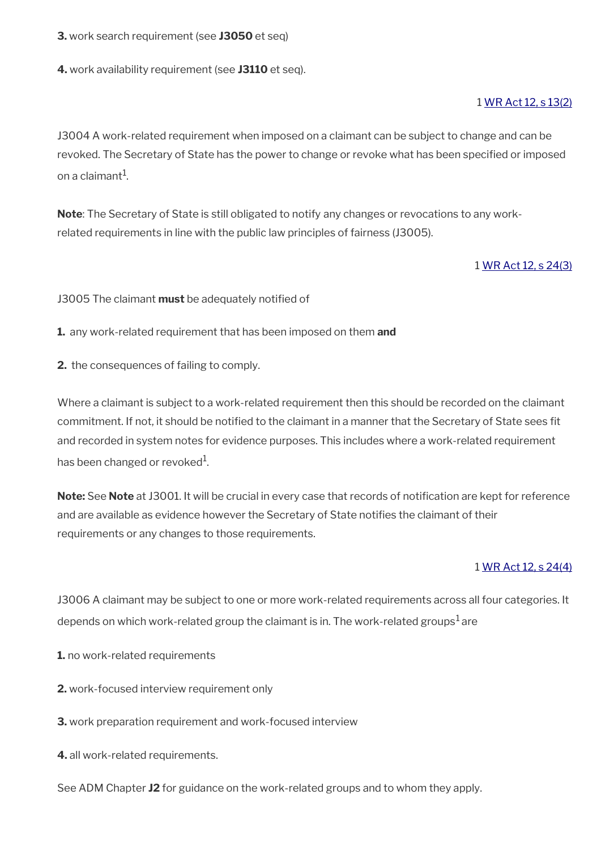**3.** work search requirement (see **J3050** et seq)

**4.** work availability requirement (see **J3110** et seq).

## 1 [WR Act 12, s 13\(2\)](http://www.legislation.gov.uk/ukpga/2012/5/section/13)

J3004 A work-related requirement when imposed on a claimant can be subject to change and can be revoked. The Secretary of State has the power to change or revoke what has been specifed or imposed on a claimant $^1$ .

**Note**: The Secretary of State is still obligated to notify any changes or revocations to any workrelated requirements in line with the public law principles of fairness (J3005).

### 1 [WR Act 12, s 24\(3\)](http://www.legislation.gov.uk/ukpga/2012/5/section/24)

J3005 The claimant **must** be adequately notifed of

**1.** any work-related requirement that has been imposed on them **and** 

**2.** the consequences of failing to comply.

Where a claimant is subject to a work-related requirement then this should be recorded on the claimant commitment. If not, it should be notified to the claimant in a manner that the Secretary of State sees fit and recorded in system notes for evidence purposes. This includes where a work-related requirement has been changed or revoked $^{\rm 1}$ .

Note: See Note at J3001. It will be crucial in every case that records of notification are kept for reference and are available as evidence however the Secretary of State notifes the claimant of their requirements or any changes to those requirements.

#### 1 [WR Act 12, s 24\(4\)](http://www.legislation.gov.uk/ukpga/2012/5/section/24)

J3006 A claimant may be subject to one or more work-related requirements across all four categories. It depends on which work-related group the claimant is in. The work-related groups<sup>1</sup> are

- **1.** no work-related requirements
- **2.** work-focused interview requirement only
- **3.** work preparation requirement and work-focused interview
- **4.** all work-related requirements.
- See ADM Chapter **J2** for guidance on the work-related groups and to whom they apply.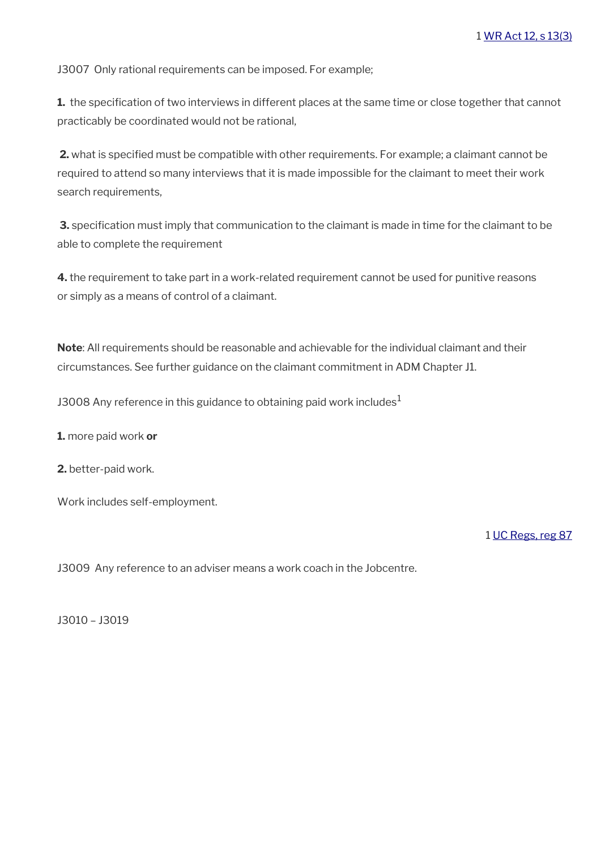J3007 Only rational requirements can be imposed. For example;

1. the specification of two interviews in different places at the same time or close together that cannot practicably be coordinated would not be rational,

**2.** what is specifed must be compatible with other requirements. For example; a claimant cannot be required to attend so many interviews that it is made impossible for the claimant to meet their work search requirements,

**3.** specification must imply that communication to the claimant is made in time for the claimant to be able to complete the requirement

**4.** the requirement to take part in a work-related requirement cannot be used for punitive reasons or simply as a means of control of a claimant.

**Note**: All requirements should be reasonable and achievable for the individual claimant and their circumstances. See further guidance on the claimant commitment in ADM Chapter J1.

J3008 Any reference in this guidance to obtaining paid work includes<sup>1</sup>

**1.** more paid work **or**

**2.** better-paid work.

Work includes self-employment.

1 [UC Regs, reg 87](http://www.legislation.gov.uk/uksi/2013/376/regulation/87)

J3009 Any reference to an adviser means a work coach in the Jobcentre.

J3010 – J3019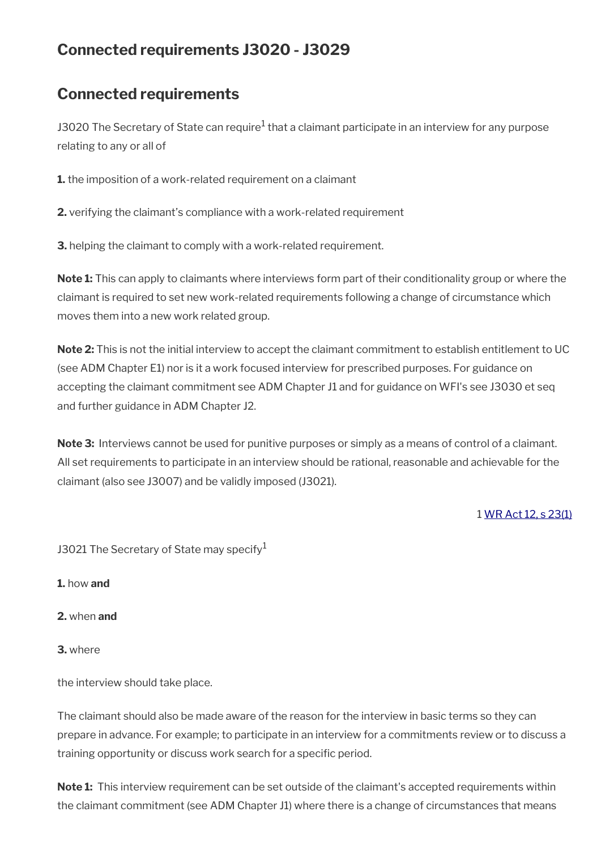# **Connected requirements J3020 - J3029**

# **Connected requirements**

J3020 The Secretary of State can require $^1$  that a claimant participate in an interview for any purpose relating to any or all of

**1.** the imposition of a work-related requirement on a claimant

**2.** verifying the claimant's compliance with a work-related requirement

**3.** helping the claimant to comply with a work-related requirement.

**Note 1:** This can apply to claimants where interviews form part of their conditionality group or where the claimant is required to set new work-related requirements following a change of circumstance which moves them into a new work related group.

**Note 2:** This is not the initial interview to accept the claimant commitment to establish entitlement to UC (see ADM Chapter E1) nor is it a work focused interview for prescribed purposes. For guidance on accepting the claimant commitment see ADM Chapter J1 and for guidance on WFI's see J3030 et seq and further guidance in ADM Chapter J2.

**Note 3:** Interviews cannot be used for punitive purposes or simply as a means of control of a claimant. All set requirements to participate in an interview should be rational, reasonable and achievable for the claimant (also see J3007) and be validly imposed (J3021).

## 1 [WR Act 12, s 23\(1\)](https://www.legislation.gov.uk/ukpga/2012/5/section/23)

J3021 The Secretary of State may specify<sup>1</sup>

- **1.** how **and**
- **2.** when **and**
- **3.** where

the interview should take place.

The claimant should also be made aware of the reason for the interview in basic terms so they can prepare in advance. For example; to participate in an interview for a commitments review or to discuss a training opportunity or discuss work search for a specific period.

**Note 1:** This interview requirement can be set outside of the claimant's accepted requirements within the claimant commitment (see ADM Chapter J1) where there is a change of circumstances that means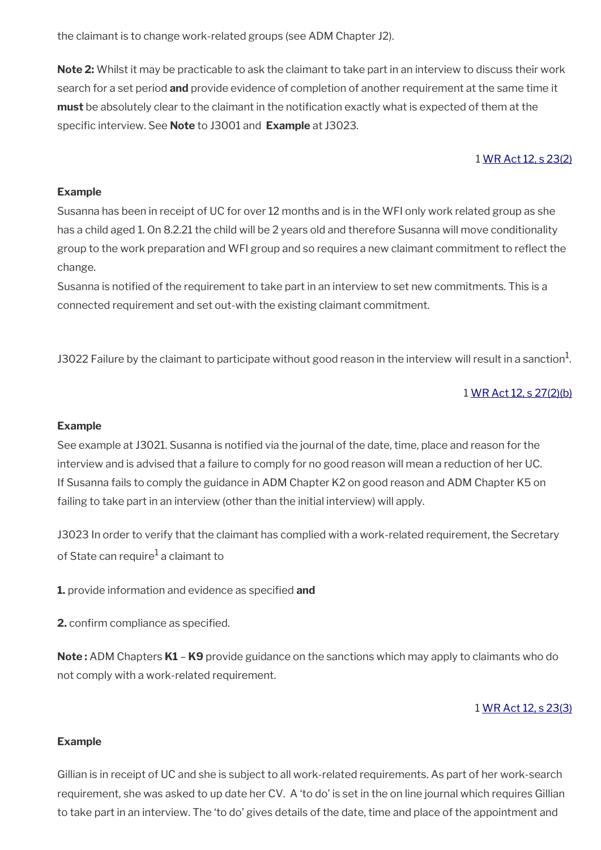the claimant is to change work-related groups (see ADM Chapter J2).

**Note 2:** Whilst it may be practicable to ask the claimant to take part in an interview to discuss their work search for a set period **and** provide evidence of completion of another requirement at the same time it **must** be absolutely clear to the claimant in the notifcation exactly what is expected of them at the specific interview. See **Note** to J3001 and **Example** at J3023.

#### 1 [WR Act 12, s 23\(2\)](https://www.legislation.gov.uk/ukpga/2012/5/section/23)

#### **Example**

Susanna has been in receipt of UC for over 12 months and is in the WFI only work related group as she has a child aged 1. On 8.2.21 the child will be 2 years old and therefore Susanna will move conditionality group to the work preparation and WFI group and so requires a new claimant commitment to refect the change.

Susanna is notifed of the requirement to take part in an interview to set new commitments. This is a connected requirement and set out-with the existing claimant commitment.

J3022 Failure by the claimant to participate without good reason in the interview will result in a sanction $^1$ .

### 1 [WR Act 12, s 27\(2\)\(b\)](https://www.legislation.gov.uk/ukpga/2012/5/section/27)

#### **Example**

See example at J3021. Susanna is notified via the journal of the date, time, place and reason for the interview and is advised that a failure to comply for no good reason will mean a reduction of her UC. If Susanna fails to comply the guidance in ADM Chapter K2 on good reason and ADM Chapter K5 on failing to take part in an interview (other than the initial interview) will apply.

J3023 In order to verify that the claimant has complied with a work-related requirement, the Secretary of State can require<sup>1</sup> a claimant to

**1.** provide information and evidence as specifed **and**

**2.** confirm compliance as specified.

**Note :** ADM Chapters **K1** – **K9** provide guidance on the sanctions which may apply to claimants who do not comply with a work-related requirement.

#### 1 [WR Act 12, s 23\(3\)](https://www.legislation.gov.uk/ukpga/2012/5/section/23)

### **Example**

Gillian is in receipt of UC and she is subject to all work-related requirements. As part of her work-search requirement, she was asked to up date her CV. A 'to do' is set in the on line journal which requires Gillian to take part in an interview. The 'to do' gives details of the date, time and place of the appointment and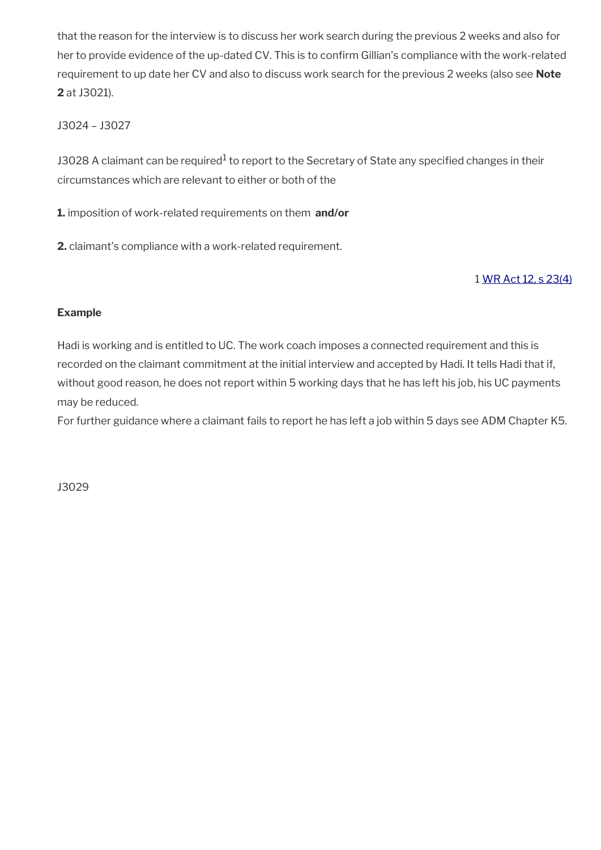that the reason for the interview is to discuss her work search during the previous 2 weeks and also for her to provide evidence of the up-dated CV. This is to confirm Gillian's compliance with the work-related requirement to up date her CV and also to discuss work search for the previous 2 weeks (also see **Note 2** at J3021).

J3024 – J3027

J3028 A claimant can be required $^{\rm 1}$  to report to the Secretary of State any specified changes in their circumstances which are relevant to either or both of the

**1.** imposition of work-related requirements on them **and/or**

**2.** claimant's compliance with a work-related requirement.

## 1 [WR Act 12, s 23\(4\)](https://www.legislation.gov.uk/ukpga/2012/5/section/23)

## **Example**

Hadi is working and is entitled to UC. The work coach imposes a connected requirement and this is recorded on the claimant commitment at the initial interview and accepted by Hadi. It tells Hadi that if, without good reason, he does not report within 5 working days that he has left his job, his UC payments may be reduced.

For further guidance where a claimant fails to report he has left a job within 5 days see ADM Chapter K5.

J3029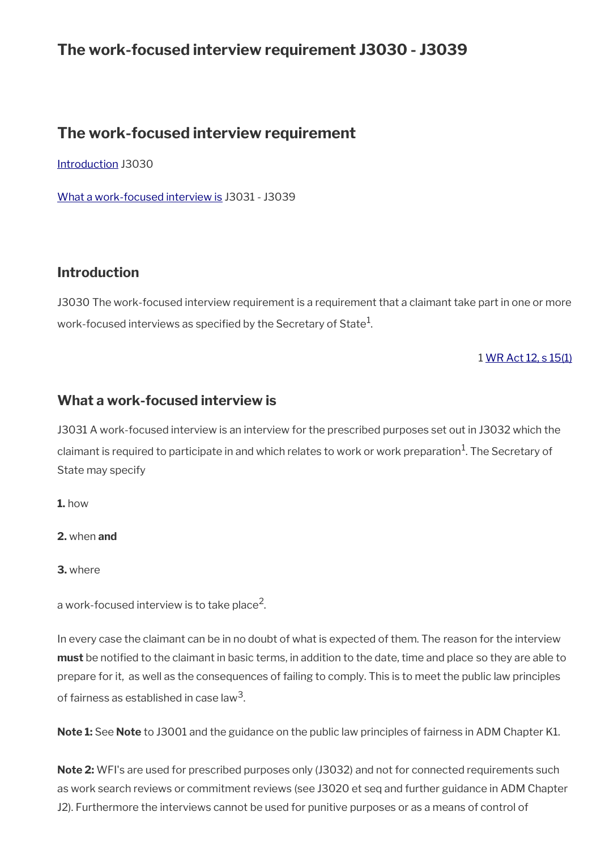# **The work-focused interview requirement J3030 - J3039**

## **The work-focused interview requirement**

[Introduction](#page-7-1) J3030

What [a work-focused interview is](#page-7-0) J3031 - J3039

## <span id="page-7-1"></span>**Introduction**

J3030 The work-focused interview requirement is a requirement that a claimant take part in one or more work-focused interviews as specified by the Secretary of State $^1$ .

1 [WR Act 12, s 15\(1\)](https://www.legislation.gov.uk/ukpga/2012/5/section/15)

## <span id="page-7-0"></span>**What a work-focused interview is**

J3031 A work-focused interview is an interview for the prescribed purposes set out in J3032 which the claimant is required to participate in and which relates to work or work preparation $^1$ . The Secretary of State may specify

**1.** how

**2.** when **and** 

**3.** where

a work-focused interview is to take place $^2\!$ 

In every case the claimant can be in no doubt of what is expected of them. The reason for the interview **must** be notifed to the claimant in basic terms, in addition to the date, time and place so they are able to prepare for it, as well as the consequences of failing to comply. This is to meet the public law principles of fairness as established in case law $^3\!$ 

**Note 1:** See **Note** to J3001 and the guidance on the public law principles of fairness in ADM Chapter K1.

**Note 2:** WFI's are used for prescribed purposes only (J3032) and not for connected requirements such as work search reviews or commitment reviews (see J3020 et seq and further guidance in ADM Chapter J2). Furthermore the interviews cannot be used for punitive purposes or as a means of control of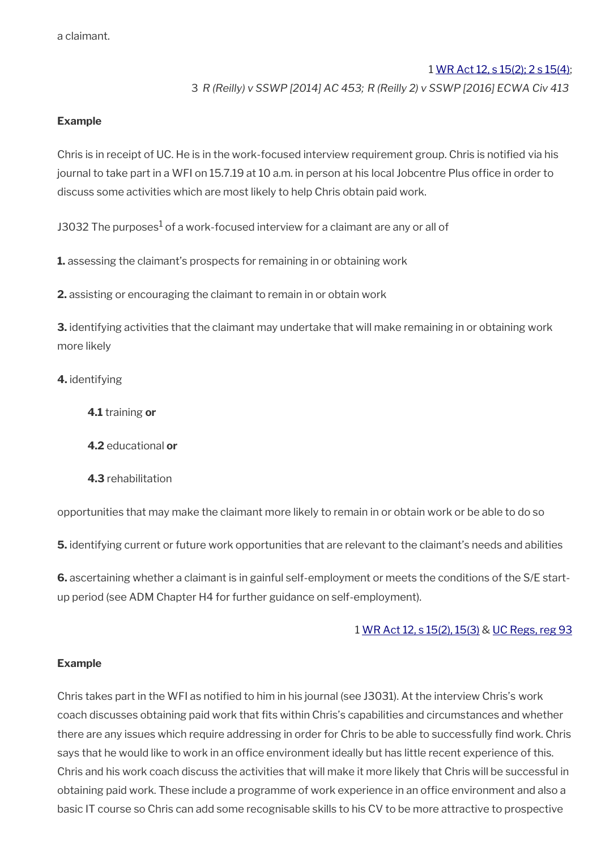a claimant.

#### 1 [WR Act 12, s 15\(2\); 2 s 15\(4\);](https://www.legislation.gov.uk/ukpga/2012/5/section/15)

3 *R (Reilly) v SSWP [2014] AC 453; R (Reilly 2) v SSWP [2016] ECWA Civ 413*

#### **Example**

Chris is in receipt of UC. He is in the work-focused interview requirement group. Chris is notifed via his journal to take part in a WFI on 15.7.19 at 10 a.m. in person at his local Jobcentre Plus office in order to discuss some activities which are most likely to help Chris obtain paid work.

J3032 The purposes $^1$  of a work-focused interview for a claimant are any or all of

**1.** assessing the claimant's prospects for remaining in or obtaining work

**2.** assisting or encouraging the claimant to remain in or obtain work

**3.** identifying activities that the claimant may undertake that will make remaining in or obtaining work more likely

- **4.** identifying
	- **4.1** training **or**
	- **4.2** educational **or**
	- **4.3** rehabilitation

opportunities that may make the claimant more likely to remain in or obtain work or be able to do so

**5.** identifying current or future work opportunities that are relevant to the claimant's needs and abilities

**6.** ascertaining whether a claimant is in gainful self-employment or meets the conditions of the S/E startup period (see ADM Chapter H4 for further guidance on self-employment).

#### 1 [WR Act 12, s 15\(2\), 15\(3\)](https://www.legislation.gov.uk/ukpga/2012/5/section/15) & [UC Regs, reg 93](https://www.legislation.gov.uk/uksi/2013/376/regulation/93)

#### **Example**

Chris takes part in the WFI as notifed to him in his journal (see J3031). At the interview Chris's work coach discusses obtaining paid work that fits within Chris's capabilities and circumstances and whether there are any issues which require addressing in order for Chris to be able to successfully find work. Chris says that he would like to work in an office environment ideally but has little recent experience of this. Chris and his work coach discuss the activities that will make it more likely that Chris will be successful in obtaining paid work. These include a programme of work experience in an office environment and also a basic IT course so Chris can add some recognisable skills to his CV to be more attractive to prospective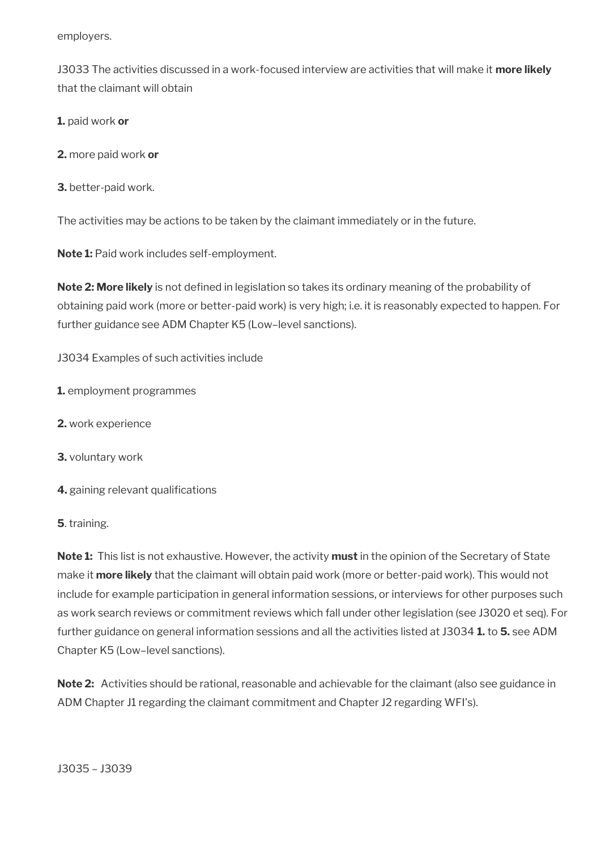employers.

J3033 The activities discussed in a work-focused interview are activities that will make it **more likely**  that the claimant will obtain

**1.** paid work **or**

- **2.** more paid work **or**
- **3.** better-paid work.

The activities may be actions to be taken by the claimant immediately or in the future.

**Note 1:** Paid work includes self-employment.

**Note 2: More likely** is not defned in legislation so takes its ordinary meaning of the probability of obtaining paid work (more or better-paid work) is very high; i.e. it is reasonably expected to happen. For further guidance see ADM Chapter K5 (Low–level sanctions).

J3034 Examples of such activities include

- **1.** employment programmes
- **2.** work experience
- **3.** voluntary work

**4.** gaining relevant qualifications

**5**. training.

**Note 1:** This list is not exhaustive. However, the activity **must** in the opinion of the Secretary of State make it **more likely** that the claimant will obtain paid work (more or better-paid work). This would not include for example participation in general information sessions, or interviews for other purposes such as work search reviews or commitment reviews which fall under other legislation (see J3020 et seq). For further guidance on general information sessions and all the activities listed at J3034 **1.** to **5.** see ADM Chapter K5 (Low–level sanctions).

**Note 2:** Activities should be rational, reasonable and achievable for the claimant (also see guidance in ADM Chapter J1 regarding the claimant commitment and Chapter J2 regarding WFI's).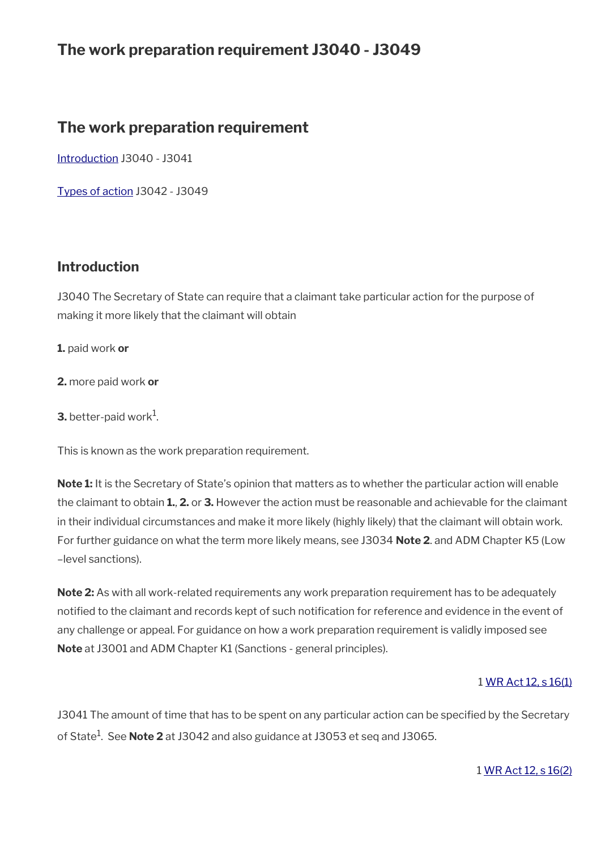# **The work preparation requirement J3040 - J3049**

# **The work preparation requirement**

[Introduction](#page-7-1) J3040 - J3041

[Types of action](#page-11-0) J3042 - J3049

## **Introduction**

J3040 The Secretary of State can require that a claimant take particular action for the purpose of making it more likely that the claimant will obtain

**1.** paid work **or**

- **2.** more paid work **or**
- **3.** better-paid work $^1$ .

This is known as the work preparation requirement.

**Note 1:** It is the Secretary of State's opinion that matters as to whether the particular action will enable the claimant to obtain **1.**, **2.** or **3.** However the action must be reasonable and achievable for the claimant in their individual circumstances and make it more likely (highly likely) that the claimant will obtain work. For further guidance on what the term more likely means, see J3034 **Note 2**. and ADM Chapter K5 (Low –level sanctions).

**Note 2:** As with all work-related requirements any work preparation requirement has to be adequately notifed to the claimant and records kept of such notifcation for reference and evidence in the event of any challenge or appeal. For guidance on how a work preparation requirement is validly imposed see **Note** at J3001 and ADM Chapter K1 (Sanctions - general principles).

### 1 [WR Act 12, s 16\(1\)](https://www.legislation.gov.uk/ukpga/2012/5/section/16)

J3041 The amount of time that has to be spent on any particular action can be specifed by the Secretary of State<sup>1</sup> . See **Note 2** at J3042 and also guidance at J3053 et seq and J3065.

1 [WR Act 12, s 16\(2\)](https://www.legislation.gov.uk/ukpga/2012/5/section/16)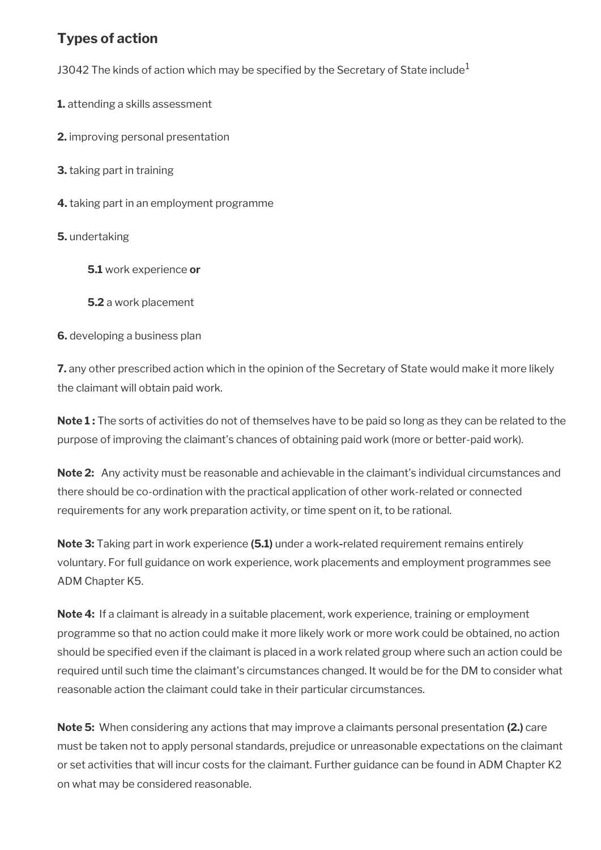# <span id="page-11-0"></span>**Types of action**

J3042 The kinds of action which may be specified by the Secretary of State include<sup>1</sup>

- **1.** attending a skills assessment
- **2.** improving personal presentation
- **3.** taking part in training
- **4.** taking part in an employment programme
- **5.** undertaking
	- **5.1** work experience **or**
	- **5.2** a work placement
- **6.** developing a business plan

**7.** any other prescribed action which in the opinion of the Secretary of State would make it more likely the claimant will obtain paid work.

**Note 1 :** The sorts of activities do not of themselves have to be paid so long as they can be related to the purpose of improving the claimant's chances of obtaining paid work (more or better-paid work).

**Note 2:** Any activity must be reasonable and achievable in the claimant's individual circumstances and there should be co-ordination with the practical application of other work-related or connected requirements for any work preparation activity, or time spent on it, to be rational.

**Note 3:** Taking part in work experience **(5.1)** under a work**-**related requirement remains entirely voluntary. For full guidance on work experience, work placements and employment programmes see ADM Chapter K5.

**Note 4:** If a claimant is already in a suitable placement, work experience, training or employment programme so that no action could make it more likely work or more work could be obtained, no action should be specifed even if the claimant is placed in a work related group where such an action could be required until such time the claimant's circumstances changed. It would be for the DM to consider what reasonable action the claimant could take in their particular circumstances.

**Note 5:** When considering any actions that may improve a claimants personal presentation **(2.)** care must be taken not to apply personal standards, prejudice or unreasonable expectations on the claimant or set activities that will incur costs for the claimant. Further guidance can be found in ADM Chapter K2 on what may be considered reasonable.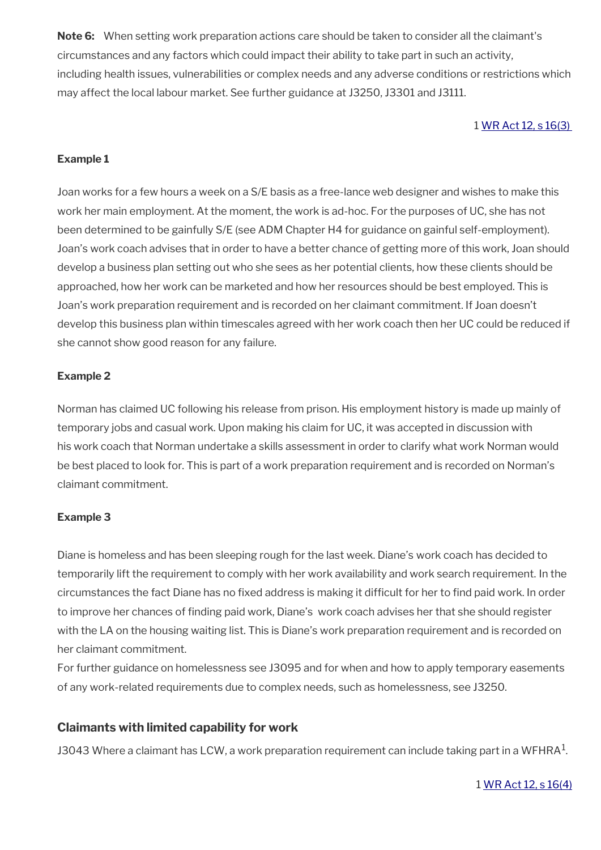**Note 6:** When setting work preparation actions care should be taken to consider all the claimant's circumstances and any factors which could impact their ability to take part in such an activity, including health issues, vulnerabilities or complex needs and any adverse conditions or restrictions which may affect the local labour market. See further guidance at J3250, J3301 and J3111.

### 1 [WR Act 12, s 16\(3\)](https://www.legislation.gov.uk/ukpga/2012/5/section/16)

#### **Example 1**

Joan works for a few hours a week on a S/E basis as a free-lance web designer and wishes to make this work her main employment. At the moment, the work is ad-hoc. For the purposes of UC, she has not been determined to be gainfully S/E (see ADM Chapter H4 for guidance on gainful self-employment). Joan's work coach advises that in order to have a better chance of getting more of this work, Joan should develop a business plan setting out who she sees as her potential clients, how these clients should be approached, how her work can be marketed and how her resources should be best employed. This is Joan's work preparation requirement and is recorded on her claimant commitment. If Joan doesn't develop this business plan within timescales agreed with her work coach then her UC could be reduced if she cannot show good reason for any failure.

#### **Example 2**

Norman has claimed UC following his release from prison. His employment history is made up mainly of temporary jobs and casual work. Upon making his claim for UC, it was accepted in discussion with his work coach that Norman undertake a skills assessment in order to clarify what work Norman would be best placed to look for. This is part of a work preparation requirement and is recorded on Norman's claimant commitment.

#### **Example 3**

Diane is homeless and has been sleeping rough for the last week. Diane's work coach has decided to temporarily lift the requirement to comply with her work availability and work search requirement. In the circumstances the fact Diane has no fixed address is making it difficult for her to find paid work. In order to improve her chances of fnding paid work, Diane's work coach advises her that she should register with the LA on the housing waiting list. This is Diane's work preparation requirement and is recorded on her claimant commitment.

For further guidance on homelessness see J3095 and for when and how to apply temporary easements of any work-related requirements due to complex needs, such as homelessness, see J3250.

### **Claimants with limited capability for work**

J3043 Where a claimant has LCW, a work preparation requirement can include taking part in a WFHRA $^{\rm 1}$ .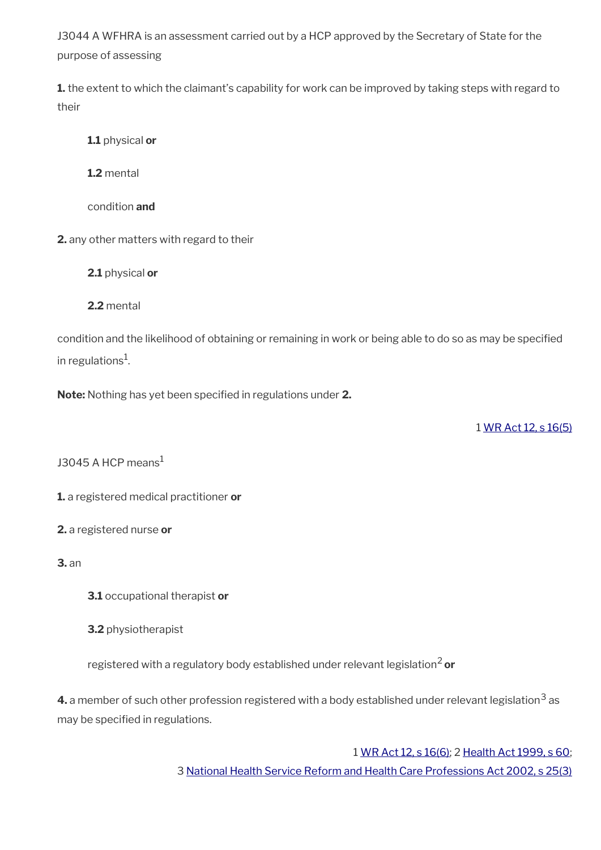J3044 A WFHRA is an assessment carried out by a HCP approved by the Secretary of State for the purpose of assessing

**1.** the extent to which the claimant's capability for work can be improved by taking steps with regard to their

**1.1** physical **or**

**1.2** mental

condition **and**

**2.** any other matters with regard to their

**2.1** physical **or**

**2.2** mental

condition and the likelihood of obtaining or remaining in work or being able to do so as may be specifed in regulations $^{\rm 1}$ .

**Note:** Nothing has yet been specifed in regulations under **2.**

1 [WR Act 12, s 16\(5\)](https://www.legislation.gov.uk/ukpga/2012/5/section/16)

J3045 A HCP means<sup>1</sup>

**1.** a registered medical practitioner **or**

**2.** a registered nurse **or**

**3.** an

**3.1** occupational therapist **or**

**3.2** physiotherapist

registered with a regulatory body established under relevant legislation2 **or**

**4.** a member of such other profession registered with a body established under relevant legislation $^3$  as may be specifed in regulations.

> 1 [WR Act 12, s 16\(6\)](https://www.legislation.gov.uk/ukpga/2012/5/section/16); 2 [Health Act 1999, s 60;](https://www.legislation.gov.uk/ukpga/1999/8/section/60) 3 [National Health Service Reform and Health Care Professions Act 2002, s 25\(3\)](https://www.legislation.gov.uk/ukpga/2002/17/section/25)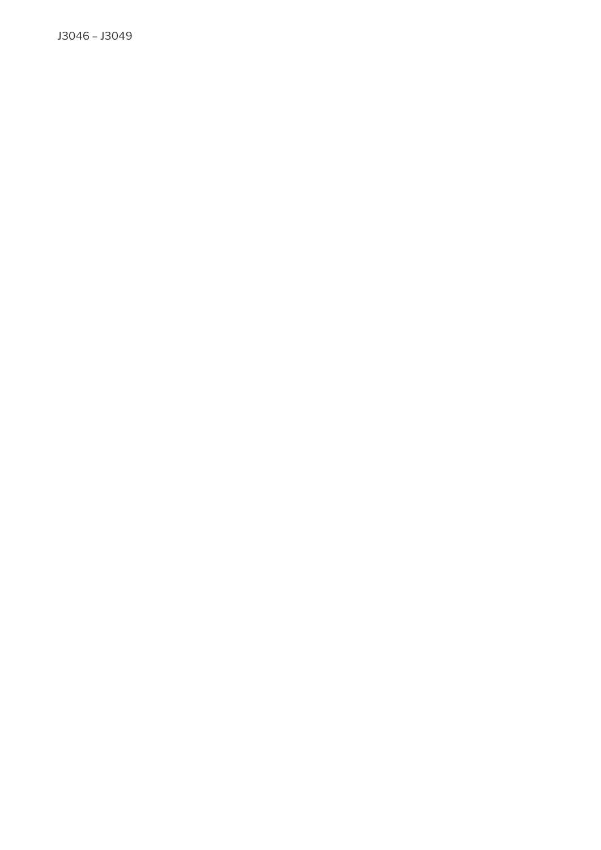J3046 – J3049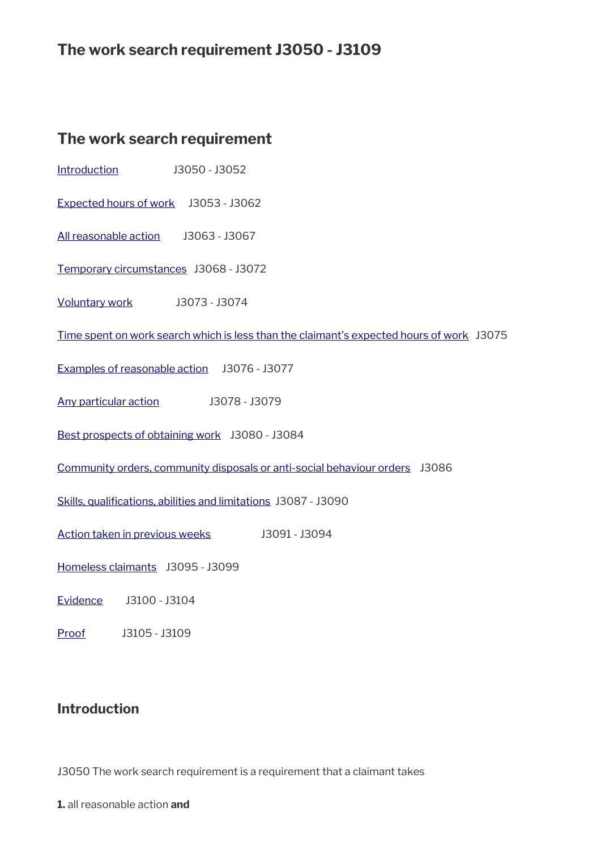# **The work search requirement J3050 - J3109**

# **The work search requirement**

| Introduction<br>J3050 - J3052                                                            |
|------------------------------------------------------------------------------------------|
| Expected hours of work J3053 - J3062                                                     |
| All reasonable action J3063 - J3067                                                      |
| Temporary circumstances J3068 - J3072                                                    |
| Voluntary work J3073 - J3074                                                             |
| Time spent on work search which is less than the claimant's expected hours of work J3075 |
| Examples of reasonable action J3076 - J3077                                              |
| Any particular action<br>J3078 - J3079                                                   |
| Best prospects of obtaining work J3080 - J3084                                           |
| Community orders, community disposals or anti-social behaviour orders J3086              |
| Skills, qualifications, abilities and limitations J3087 - J3090                          |
| Action taken in previous weeks<br>J3091 - J3094                                          |
| Homeless claimants J3095 - J3099                                                         |
| Evidence J3100 - J3104                                                                   |

# **Introduction**

J3050 The work search requirement is a requirement that a claimant takes

[Proof](#page-32-0) J3105 - J3109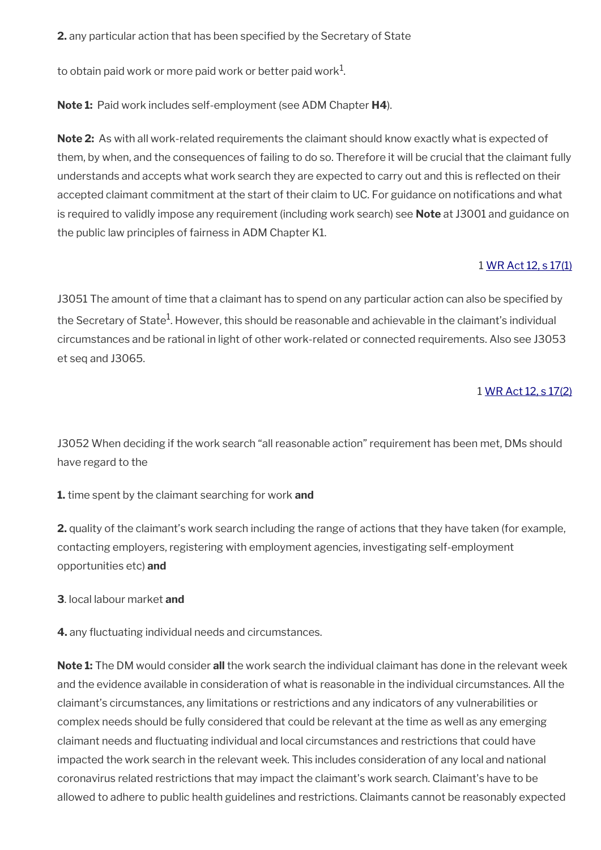**2.** any particular action that has been specifed by the Secretary of State

to obtain paid work or more paid work or better paid work $^1$ .

**Note 1:** Paid work includes self-employment (see ADM Chapter **H4**).

**Note 2:** As with all work-related requirements the claimant should know exactly what is expected of them, by when, and the consequences of failing to do so. Therefore it will be crucial that the claimant fully understands and accepts what work search they are expected to carry out and this is refected on their accepted claimant commitment at the start of their claim to UC. For guidance on notifcations and what is required to validly impose any requirement (including work search) see **Note** at J3001 and guidance on the public law principles of fairness in ADM Chapter K1.

#### 1 [WR Act 12, s 17\(1\)](https://www.legislation.gov.uk/ukpga/2012/5/section/17)

J3051 The amount of time that a claimant has to spend on any particular action can also be specifed by the Secretary of State<sup>1</sup>. However, this should be reasonable and achievable in the claimant's individual circumstances and be rational in light of other work-related or connected requirements. Also see J3053 et seq and J3065.

#### 1 [WR Act 12, s 17\(2\)](https://www.legislation.gov.uk/ukpga/2012/5/section/17)

J3052 When deciding if the work search "all reasonable action" requirement has been met, DMs should have regard to the

**1.** time spent by the claimant searching for work **and**

**2.** quality of the claimant's work search including the range of actions that they have taken (for example, contacting employers, registering with employment agencies, investigating self-employment opportunities etc) **and**

**3**. local labour market **and**

**4.** any fuctuating individual needs and circumstances.

**Note 1:** The DM would consider **all** the work search the individual claimant has done in the relevant week and the evidence available in consideration of what is reasonable in the individual circumstances. All the claimant's circumstances, any limitations or restrictions and any indicators of any vulnerabilities or complex needs should be fully considered that could be relevant at the time as well as any emerging claimant needs and fuctuating individual and local circumstances and restrictions that could have impacted the work search in the relevant week. This includes consideration of any local and national coronavirus related restrictions that may impact the claimant's work search. Claimant's have to be allowed to adhere to public health guidelines and restrictions. Claimants cannot be reasonably expected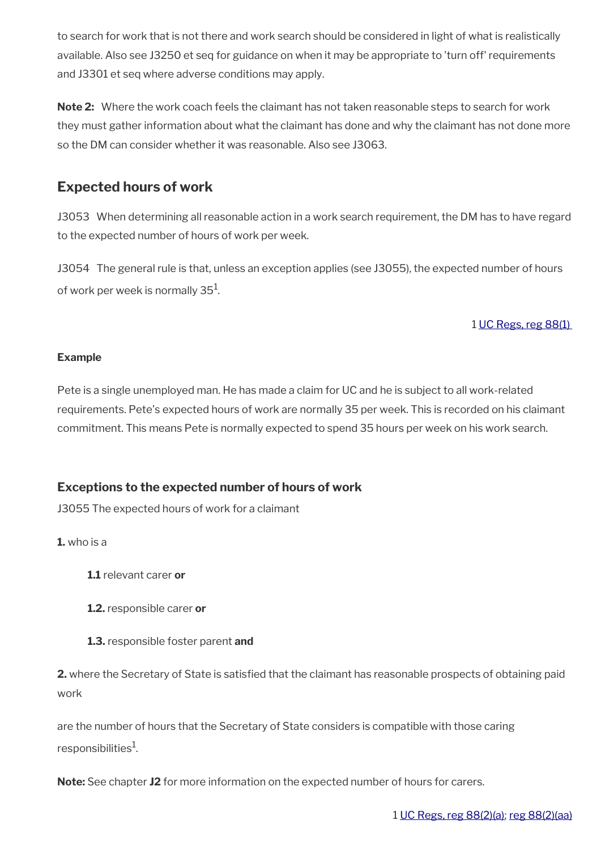to search for work that is not there and work search should be considered in light of what is realistically available. Also see J3250 et seq for guidance on when it may be appropriate to 'turn off' requirements and J3301 et seq where adverse conditions may apply.

**Note 2:** Where the work coach feels the claimant has not taken reasonable steps to search for work they must gather information about what the claimant has done and why the claimant has not done more so the DM can consider whether it was reasonable. Also see J3063.

# <span id="page-17-0"></span>**Expected hours of work**

J3053 When determining all reasonable action in a work search requirement, the DM has to have regard to the expected number of hours of work per week.

J3054 The general rule is that, unless an exception applies (see J3055), the expected number of hours of work per week is normally 35 $^{\rm 1}$ .

## 1 [UC Regs, reg 88\(1\)](https://www.legislation.gov.uk/uksi/2013/376/contents)

### **Example**

Pete is a single unemployed man. He has made a claim for UC and he is subject to all work-related requirements. Pete's expected hours of work are normally 35 per week. This is recorded on his claimant commitment. This means Pete is normally expected to spend 35 hours per week on his work search.

## **Exceptions to the expected number of hours of work**

J3055 The expected hours of work for a claimant

**1.** who is a

**1.1** relevant carer **or**

- **1.2.** responsible carer **or**
- **1.3.** responsible foster parent **and**

**2.** where the Secretary of State is satisfed that the claimant has reasonable prospects of obtaining paid work

are the number of hours that the Secretary of State considers is compatible with those caring responsibilities $^1$ .

**Note:** See chapter **J2** for more information on the expected number of hours for carers.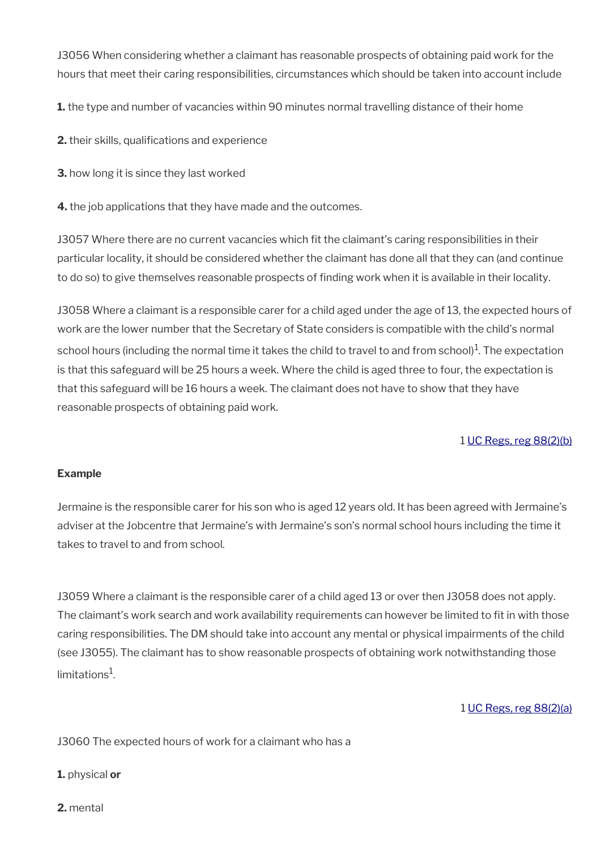J3056 When considering whether a claimant has reasonable prospects of obtaining paid work for the hours that meet their caring responsibilities, circumstances which should be taken into account include

**1.** the type and number of vacancies within 90 minutes normal travelling distance of their home

- **2.** their skills, qualifications and experience
- **3.** how long it is since they last worked
- **4.** the job applications that they have made and the outcomes.

J3057 Where there are no current vacancies which ft the claimant's caring responsibilities in their particular locality, it should be considered whether the claimant has done all that they can (and continue to do so) to give themselves reasonable prospects of fnding work when it is available in their locality.

J3058 Where a claimant is a responsible carer for a child aged under the age of 13, the expected hours of work are the lower number that the Secretary of State considers is compatible with the child's normal school hours (including the normal time it takes the child to travel to and from school) $^1$ . The expectation is that this safeguard will be 25 hours a week. Where the child is aged three to four, the expectation is that this safeguard will be 16 hours a week. The claimant does not have to show that they have reasonable prospects of obtaining paid work.

## 1 [UC Regs, reg 88\(2\)\(b\)](https://www.legislation.gov.uk/uksi/2013/376/contents)

### **Example**

Jermaine is the responsible carer for his son who is aged 12 years old. It has been agreed with Jermaine's adviser at the Jobcentre that Jermaine's with Jermaine's son's normal school hours including the time it takes to travel to and from school.

J3059 Where a claimant is the responsible carer of a child aged 13 or over then J3058 does not apply. The claimant's work search and work availability requirements can however be limited to fit in with those caring responsibilities. The DM should take into account any mental or physical impairments of the child (see J3055). The claimant has to show reasonable prospects of obtaining work notwithstanding those limitations $^1\!\!$ .

#### 1 [UC Regs, reg 88\(2\)\(a\)](https://www.legislation.gov.uk/uksi/2013/376/contents)

J3060 The expected hours of work for a claimant who has a

### **1.** physical **or**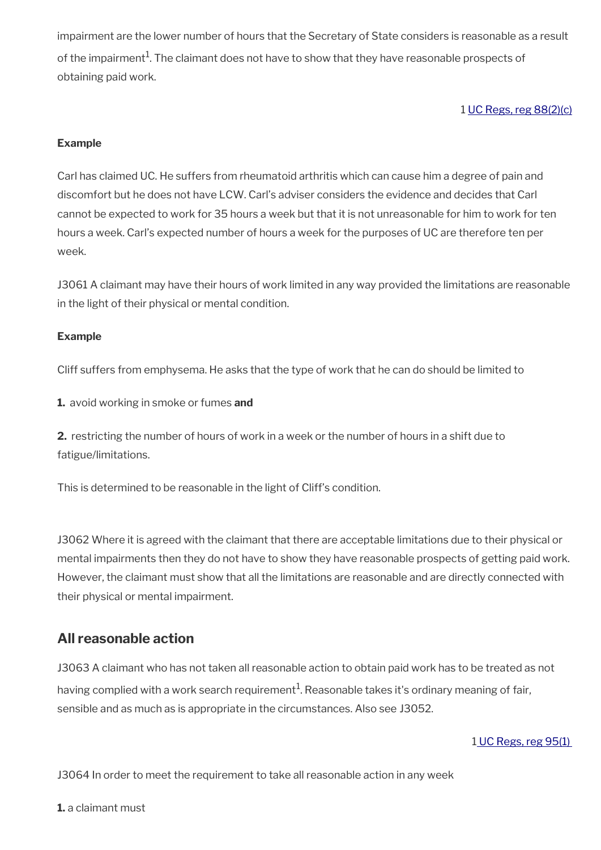impairment are the lower number of hours that the Secretary of State considers is reasonable as a result of the impairment $^{\rm 1}$ . The claimant does not have to show that they have reasonable prospects of obtaining paid work.

1 [UC Regs, reg 88\(2\)\(c\)](https://www.legislation.gov.uk/uksi/2013/376/contents)

### **Example**

Carl has claimed UC. He suffers from rheumatoid arthritis which can cause him a degree of pain and discomfort but he does not have LCW. Carl's adviser considers the evidence and decides that Carl cannot be expected to work for 35 hours a week but that it is not unreasonable for him to work for ten hours a week. Carl's expected number of hours a week for the purposes of UC are therefore ten per week.

J3061 A claimant may have their hours of work limited in any way provided the limitations are reasonable in the light of their physical or mental condition.

### **Example**

Cliff suffers from emphysema. He asks that the type of work that he can do should be limited to

**1.** avoid working in smoke or fumes **and**

**2.** restricting the number of hours of work in a week or the number of hours in a shift due to fatigue/limitations.

This is determined to be reasonable in the light of Cliff's condition.

J3062 Where it is agreed with the claimant that there are acceptable limitations due to their physical or mental impairments then they do not have to show they have reasonable prospects of getting paid work. However, the claimant must show that all the limitations are reasonable and are directly connected with their physical or mental impairment.

## <span id="page-19-0"></span>**All reasonable action**

J3063 A claimant who has not taken all reasonable action to obtain paid work has to be treated as not having complied with a work search requirement $^1$ . Reasonable takes it's ordinary meaning of fair, sensible and as much as is appropriate in the circumstances. Also see J3052.

### [1 UC Regs, reg 95\(1\)](https://www.legislation.gov.uk/uksi/2013/376/regulation/95)

J3064 In order to meet the requirement to take all reasonable action in any week

**1.** a claimant must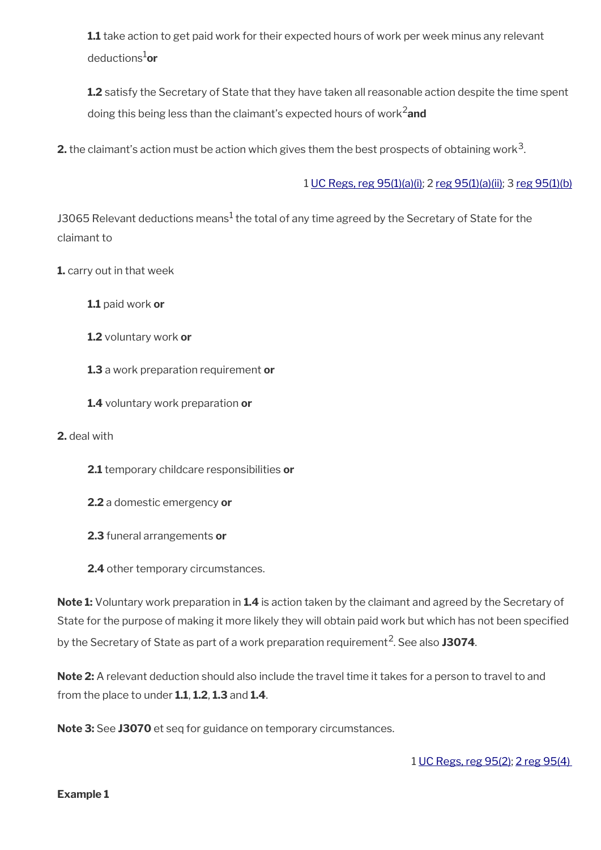**1.1** take action to get paid work for their expected hours of work per week minus any relevant deductions1**or**

**1.2** satisfy the Secretary of State that they have taken all reasonable action despite the time spent doing this being less than the claimant's expected hours of work2**and**

**2.** the claimant's action must be action which gives them the best prospects of obtaining work $^3$ .

1 [UC Regs, reg 95\(1\)\(a\)\(i\)](https://www.legislation.gov.uk/uksi/2013/376/regulation/95); 2 [reg 95\(1\)\(a\)\(ii\);](https://www.legislation.gov.uk/uksi/2013/376/regulation/95) 3 [reg 95\(1\)\(b\)](https://www.legislation.gov.uk/uksi/2013/376/regulation/95)

J3065 Relevant deductions means $^1$  the total of any time agreed by the Secretary of State for the claimant to

**1.** carry out in that week

**1.1** paid work **or**

**1.2** voluntary work **or**

**1.3** a work preparation requirement **or**

**1.4** voluntary work preparation **or**

**2.** deal with

**2.1** temporary childcare responsibilities **or**

**2.2** a domestic emergency **or**

**2.3** funeral arrangements **or**

**2.4** other temporary circumstances.

**Note 1:** Voluntary work preparation in **1.4** is action taken by the claimant and agreed by the Secretary of State for the purpose of making it more likely they will obtain paid work but which has not been specifed by the Secretary of State as part of a work preparation requirement<sup>2</sup>. See also **J3074**.

**Note 2:** A relevant deduction should also include the travel time it takes for a person to travel to and from the place to under **1.1**, **1.2**, **1.3** and **1.4**.

**Note 3:** See **J3070** et seq for guidance on temporary circumstances.

1 [UC Regs, reg 95\(2\)](https://www.legislation.gov.uk/uksi/2013/376/regulation/95); [2 reg 95\(4\)](https://www.legislation.gov.uk/uksi/2013/376/regulation/95)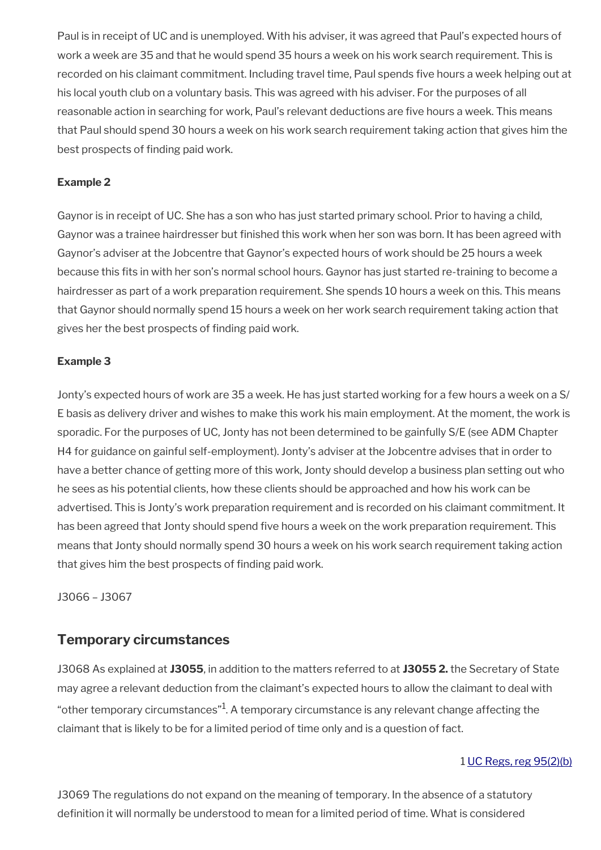Paul is in receipt of UC and is unemployed. With his adviser, it was agreed that Paul's expected hours of work a week are 35 and that he would spend 35 hours a week on his work search requirement. This is recorded on his claimant commitment. Including travel time, Paul spends five hours a week helping out at his local youth club on a voluntary basis. This was agreed with his adviser. For the purposes of all reasonable action in searching for work, Paul's relevant deductions are five hours a week. This means that Paul should spend 30 hours a week on his work search requirement taking action that gives him the best prospects of finding paid work.

#### **Example 2**

Gaynor is in receipt of UC. She has a son who has just started primary school. Prior to having a child, Gaynor was a trainee hairdresser but finished this work when her son was born. It has been agreed with Gaynor's adviser at the Jobcentre that Gaynor's expected hours of work should be 25 hours a week because this fts in with her son's normal school hours. Gaynor has just started re-training to become a hairdresser as part of a work preparation requirement. She spends 10 hours a week on this. This means that Gaynor should normally spend 15 hours a week on her work search requirement taking action that gives her the best prospects of finding paid work.

#### **Example 3**

Jonty's expected hours of work are 35 a week. He has just started working for a few hours a week on a S/ E basis as delivery driver and wishes to make this work his main employment. At the moment, the work is sporadic. For the purposes of UC, Jonty has not been determined to be gainfully S/E (see ADM Chapter H4 for guidance on gainful self-employment). Jonty's adviser at the Jobcentre advises that in order to have a better chance of getting more of this work, Jonty should develop a business plan setting out who he sees as his potential clients, how these clients should be approached and how his work can be advertised. This is Jonty's work preparation requirement and is recorded on his claimant commitment. It has been agreed that Jonty should spend fve hours a week on the work preparation requirement. This means that Jonty should normally spend 30 hours a week on his work search requirement taking action that gives him the best prospects of finding paid work.

J3066 – J3067

## <span id="page-21-0"></span>**Temporary circumstances**

J3068 As explained at **J3055**, in addition to the matters referred to at **J3055 2.** the Secretary of State may agree a relevant deduction from the claimant's expected hours to allow the claimant to deal with "other temporary circumstances" $^1$ . A temporary circumstance is any relevant change affecting the claimant that is likely to be for a limited period of time only and is a question of fact.

#### 1 [UC Regs, reg 95\(2\)\(b\)](https://www.legislation.gov.uk/uksi/2013/376/regulation/95)

J3069 The regulations do not expand on the meaning of temporary. In the absence of a statutory defnition it will normally be understood to mean for a limited period of time. What is considered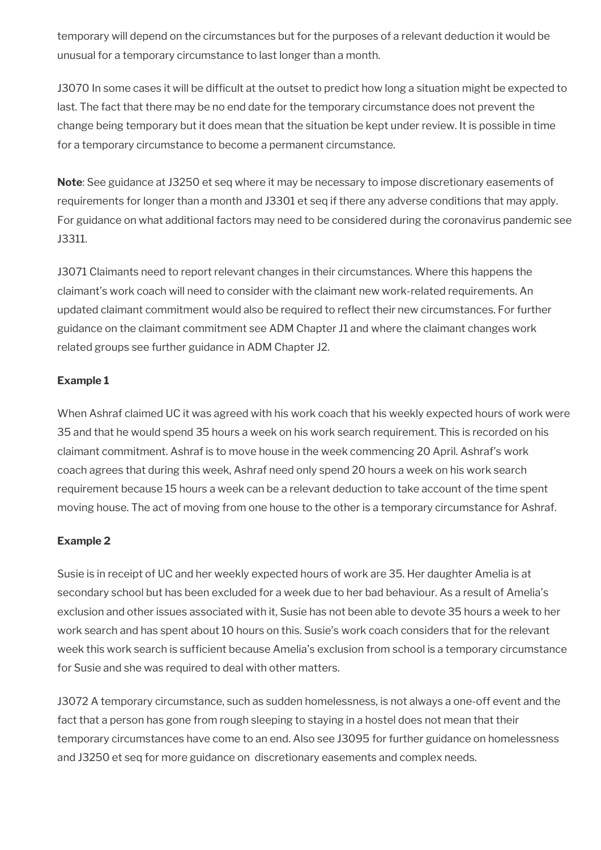temporary will depend on the circumstances but for the purposes of a relevant deduction it would be unusual for a temporary circumstance to last longer than a month.

J3070 In some cases it will be difficult at the outset to predict how long a situation might be expected to last. The fact that there may be no end date for the temporary circumstance does not prevent the change being temporary but it does mean that the situation be kept under review. It is possible in time for a temporary circumstance to become a permanent circumstance.

**Note**: See guidance at J3250 et seq where it may be necessary to impose discretionary easements of requirements for longer than a month and J3301 et seq if there any adverse conditions that may apply. For guidance on what additional factors may need to be considered during the coronavirus pandemic see J3311.

J3071 Claimants need to report relevant changes in their circumstances. Where this happens the claimant's work coach will need to consider with the claimant new work-related requirements. An updated claimant commitment would also be required to refect their new circumstances. For further guidance on the claimant commitment see ADM Chapter J1 and where the claimant changes work related groups see further guidance in ADM Chapter J2.

### **Example 1**

When Ashraf claimed UC it was agreed with his work coach that his weekly expected hours of work were 35 and that he would spend 35 hours a week on his work search requirement. This is recorded on his claimant commitment. Ashraf is to move house in the week commencing 20 April. Ashraf's work coach agrees that during this week, Ashraf need only spend 20 hours a week on his work search requirement because 15 hours a week can be a relevant deduction to take account of the time spent moving house. The act of moving from one house to the other is a temporary circumstance for Ashraf.

### **Example 2**

Susie is in receipt of UC and her weekly expected hours of work are 35. Her daughter Amelia is at secondary school but has been excluded for a week due to her bad behaviour. As a result of Amelia's exclusion and other issues associated with it, Susie has not been able to devote 35 hours a week to her work search and has spent about 10 hours on this. Susie's work coach considers that for the relevant week this work search is sufficient because Amelia's exclusion from school is a temporary circumstance for Susie and she was required to deal with other matters.

J3072 A temporary circumstance, such as sudden homelessness, is not always a one-off event and the fact that a person has gone from rough sleeping to staying in a hostel does not mean that their temporary circumstances have come to an end. Also see J3095 for further guidance on homelessness and J3250 et seq for more guidance on discretionary easements and complex needs.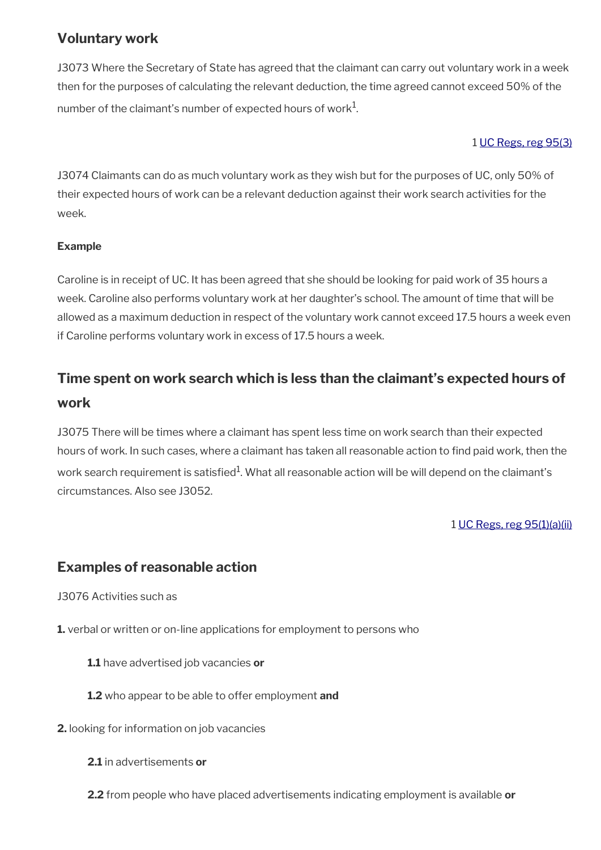## <span id="page-23-2"></span>**Voluntary work**

J3073 Where the Secretary of State has agreed that the claimant can carry out voluntary work in a week then for the purposes of calculating the relevant deduction, the time agreed cannot exceed 50% of the number of the claimant's number of expected hours of work $^1\!\!$ .

### 1 [UC Regs, reg 95\(3\)](https://www.legislation.gov.uk/uksi/2013/376/regulation/95)

J3074 Claimants can do as much voluntary work as they wish but for the purposes of UC, only 50% of their expected hours of work can be a relevant deduction against their work search activities for the week.

## **Example**

Caroline is in receipt of UC. It has been agreed that she should be looking for paid work of 35 hours a week. Caroline also performs voluntary work at her daughter's school. The amount of time that will be allowed as a maximum deduction in respect of the voluntary work cannot exceed 17.5 hours a week even if Caroline performs voluntary work in excess of 17.5 hours a week.

# <span id="page-23-1"></span>**Time spent on work search which is less than the claimant's expected hours of work**

J3075 There will be times where a claimant has spent less time on work search than their expected hours of work. In such cases, where a claimant has taken all reasonable action to find paid work, then the work search requirement is satisfied $^{\rm 1}$ . What all reasonable action will be will depend on the claimant's circumstances. Also see J3052.

### 1 [UC Regs, reg 95\(1\)\(a\)\(ii\)](https://www.legislation.gov.uk/uksi/2013/376/regulation/95)

## <span id="page-23-0"></span>**Examples of reasonable action**

J3076 Activities such as

- **1.** verbal or written or on-line applications for employment to persons who
	- **1.1** have advertised job vacancies **or**
	- **1.2** who appear to be able to offer employment **and**
- **2.** looking for information on job vacancies
	- **2.1** in advertisements **or**
	- **2.2** from people who have placed advertisements indicating employment is available **or**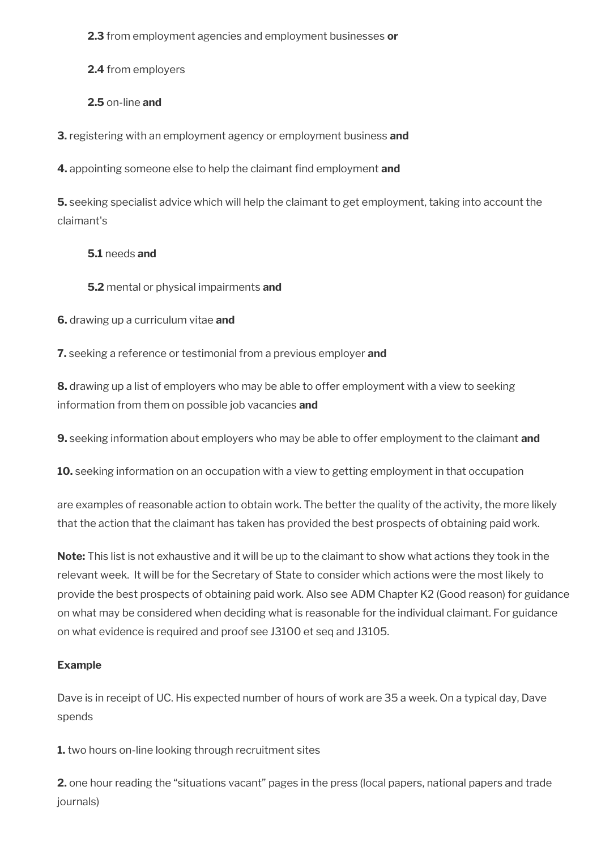**2.3** from employment agencies and employment businesses **or** 

**2.4** from employers

**2.5** on-line **and** 

**3.** registering with an employment agency or employment business **and** 

**4.** appointing someone else to help the claimant find employment and

**5.** seeking specialist advice which will help the claimant to get employment, taking into account the claimant's

## **5.1** needs **and**

**5.2** mental or physical impairments **and** 

**6.** drawing up a curriculum vitae **and** 

**7.** seeking a reference or testimonial from a previous employer **and** 

**8.** drawing up a list of employers who may be able to offer employment with a view to seeking information from them on possible job vacancies **and** 

**9.** seeking information about employers who may be able to offer employment to the claimant **and** 

**10.** seeking information on an occupation with a view to getting employment in that occupation

are examples of reasonable action to obtain work. The better the quality of the activity, the more likely that the action that the claimant has taken has provided the best prospects of obtaining paid work.

**Note:** This list is not exhaustive and it will be up to the claimant to show what actions they took in the relevant week. It will be for the Secretary of State to consider which actions were the most likely to provide the best prospects of obtaining paid work. Also see ADM Chapter K2 (Good reason) for guidance on what may be considered when deciding what is reasonable for the individual claimant. For guidance on what evidence is required and proof see J3100 et seq and J3105.

## **Example**

Dave is in receipt of UC. His expected number of hours of work are 35 a week. On a typical day, Dave spends

**1.** two hours on-line looking through recruitment sites

**2.** one hour reading the "situations vacant" pages in the press (local papers, national papers and trade journals)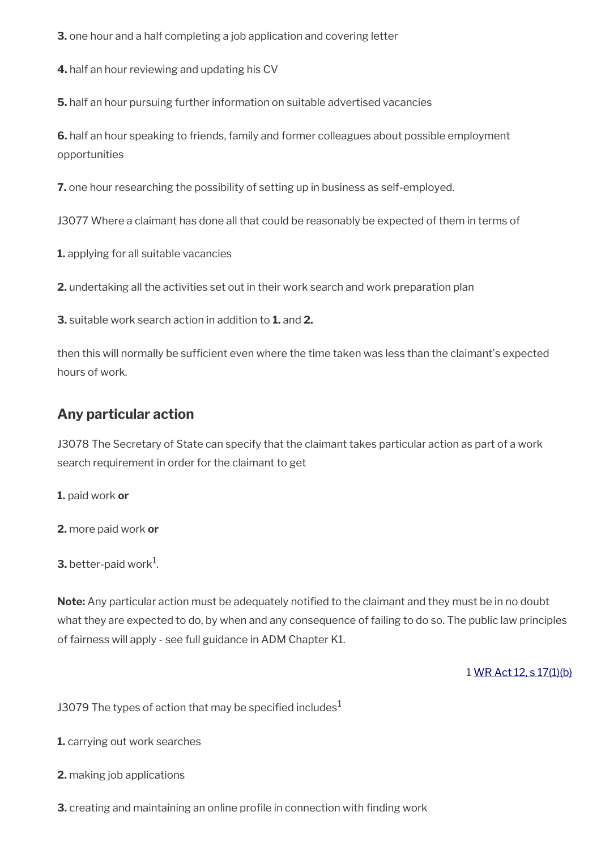**3.** one hour and a half completing a job application and covering letter

**4.** half an hour reviewing and updating his CV

**5.** half an hour pursuing further information on suitable advertised vacancies

**6.** half an hour speaking to friends, family and former colleagues about possible employment opportunities

**7.** one hour researching the possibility of setting up in business as self-employed.

J3077 Where a claimant has done all that could be reasonably be expected of them in terms of

**1.** applying for all suitable vacancies

**2.** undertaking all the activities set out in their work search and work preparation plan

**3.** suitable work search action in addition to **1.** and **2.**

then this will normally be sufficient even where the time taken was less than the claimant's expected hours of work.

## <span id="page-25-0"></span>**Any particular action**

J3078 The Secretary of State can specify that the claimant takes particular action as part of a work search requirement in order for the claimant to get

**1.** paid work **or**

**2.** more paid work **or**

**3.** better-paid work $^1$ .

**Note:** Any particular action must be adequately notifed to the claimant and they must be in no doubt what they are expected to do, by when and any consequence of failing to do so. The public law principles of fairness will apply - see full guidance in ADM Chapter K1.

#### 1 [WR Act 12, s 17\(1\)\(b\)](https://www.legislation.gov.uk/ukpga/2012/5/section/17)

J3079 The types of action that may be specified includes<sup>1</sup>

**1.** carrying out work searches

**2.** making job applications

**3.** creating and maintaining an online profile in connection with finding work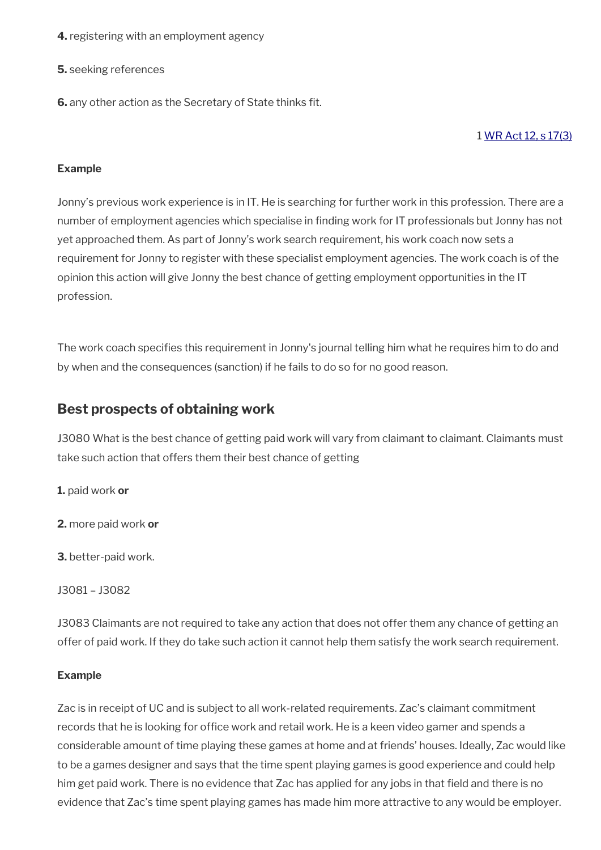- **4.** registering with an employment agency
- **5.** seeking references
- **6.** any other action as the Secretary of State thinks fit.

#### 1 [WR Act 12, s 17\(3\)](https://www.legislation.gov.uk/ukpga/2012/5/section/17)

#### **Example**

Jonny's previous work experience is in IT. He is searching for further work in this profession. There are a number of employment agencies which specialise in finding work for IT professionals but Jonny has not yet approached them. As part of Jonny's work search requirement, his work coach now sets a requirement for Jonny to register with these specialist employment agencies. The work coach is of the opinion this action will give Jonny the best chance of getting employment opportunities in the IT profession.

The work coach specifes this requirement in Jonny's journal telling him what he requires him to do and by when and the consequences (sanction) if he fails to do so for no good reason.

## <span id="page-26-0"></span>**Best prospects of obtaining work**

J3080 What is the best chance of getting paid work will vary from claimant to claimant. Claimants must take such action that offers them their best chance of getting

**1.** paid work **or**

**2.** more paid work **or**

**3.** better-paid work.

J3081 – J3082

J3083 Claimants are not required to take any action that does not offer them any chance of getting an offer of paid work. If they do take such action it cannot help them satisfy the work search requirement.

#### **Example**

Zac is in receipt of UC and is subject to all work-related requirements. Zac's claimant commitment records that he is looking for office work and retail work. He is a keen video gamer and spends a considerable amount of time playing these games at home and at friends' houses. Ideally, Zac would like to be a games designer and says that the time spent playing games is good experience and could help him get paid work. There is no evidence that Zac has applied for any jobs in that feld and there is no evidence that Zac's time spent playing games has made him more attractive to any would be employer.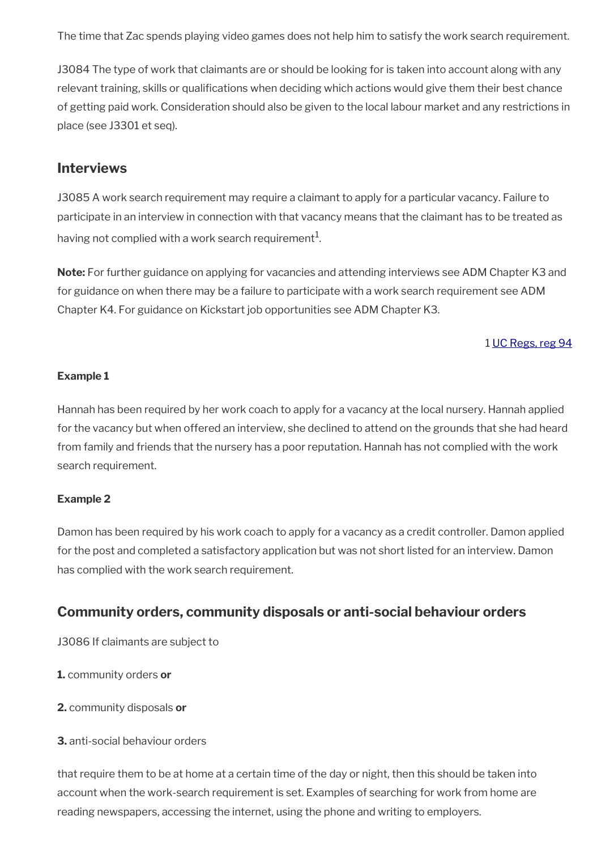The time that Zac spends playing video games does not help him to satisfy the work search requirement.

J3084 The type of work that claimants are or should be looking for is taken into account along with any relevant training, skills or qualifcations when deciding which actions would give them their best chance of getting paid work. Consideration should also be given to the local labour market and any restrictions in place (see J3301 et seq).

## **Interviews**

J3085 A work search requirement may require a claimant to apply for a particular vacancy. Failure to participate in an interview in connection with that vacancy means that the claimant has to be treated as having not complied with a work search requirement $^{\mathrm{1}}$ .

**Note:** For further guidance on applying for vacancies and attending interviews see ADM Chapter K3 and for guidance on when there may be a failure to participate with a work search requirement see ADM Chapter K4. For guidance on Kickstart job opportunities see ADM Chapter K3.

#### 1 [UC Regs, reg 94](https://www.legislation.gov.uk/uksi/2013/376/regulation/94)

#### **Example 1**

Hannah has been required by her work coach to apply for a vacancy at the local nursery. Hannah applied for the vacancy but when offered an interview, she declined to attend on the grounds that she had heard from family and friends that the nursery has a poor reputation. Hannah has not complied with the work search requirement.

#### **Example 2**

Damon has been required by his work coach to apply for a vacancy as a credit controller. Damon applied for the post and completed a satisfactory application but was not short listed for an interview. Damon has complied with the work search requirement.

## <span id="page-27-0"></span>**Community orders, community disposals or anti-social behaviour orders**

J3086 If claimants are subject to

- **1.** community orders **or**
- **2.** community disposals **or**
- **3.** anti-social behaviour orders

that require them to be at home at a certain time of the day or night, then this should be taken into account when the work-search requirement is set. Examples of searching for work from home are reading newspapers, accessing the internet, using the phone and writing to employers.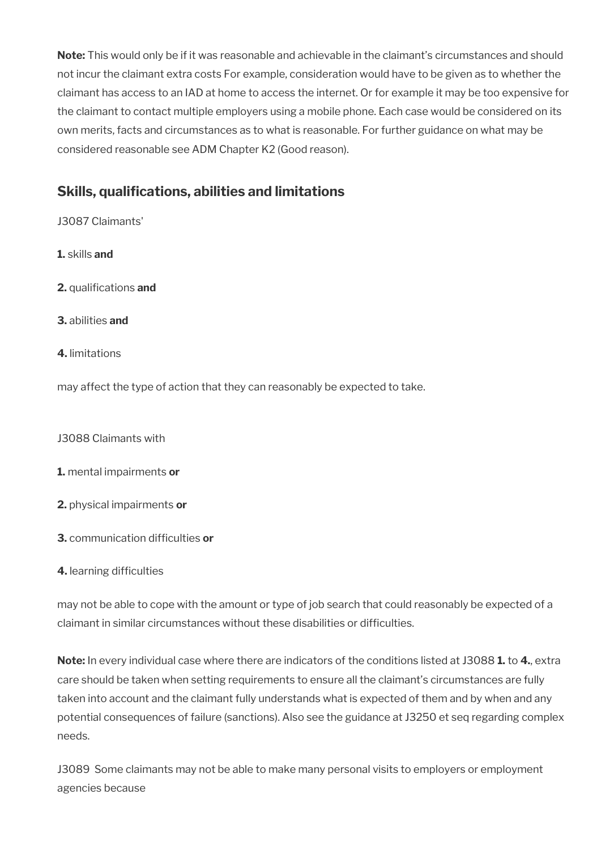**Note:** This would only be if it was reasonable and achievable in the claimant's circumstances and should not incur the claimant extra costs For example, consideration would have to be given as to whether the claimant has access to an IAD at home to access the internet. Or for example it may be too expensive for the claimant to contact multiple employers using a mobile phone. Each case would be considered on its own merits, facts and circumstances as to what is reasonable. For further guidance on what may be considered reasonable see ADM Chapter K2 (Good reason).

# <span id="page-28-0"></span>**Skills, qualifications, abilities and limitations**

J3087 Claimants'

**1.** skills **and** 

- **2.** qualifications and
- **3.** abilities **and**
- **4.** limitations

may affect the type of action that they can reasonably be expected to take.

J3088 Claimants with

- **1.** mental impairments **or**
- **2.** physical impairments **or**
- **3.** communication difficulties or

### **4.** learning difficulties

may not be able to cope with the amount or type of job search that could reasonably be expected of a claimant in similar circumstances without these disabilities or diffculties.

**Note:** In every individual case where there are indicators of the conditions listed at J3088 **1.** to **4.**, extra care should be taken when setting requirements to ensure all the claimant's circumstances are fully taken into account and the claimant fully understands what is expected of them and by when and any potential consequences of failure (sanctions). Also see the guidance at J3250 et seq regarding complex needs.

J3089 Some claimants may not be able to make many personal visits to employers or employment agencies because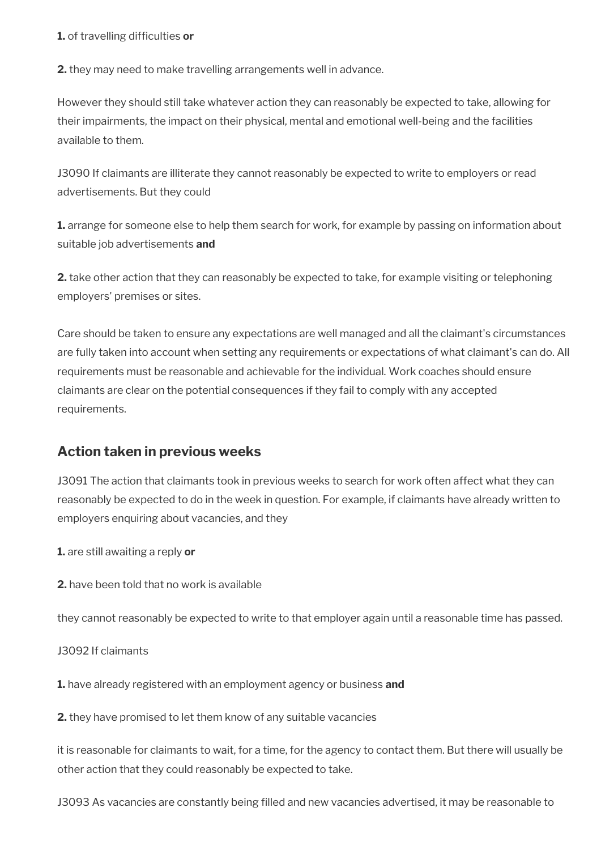**1.** of travelling difficulties or

**2.** they may need to make travelling arrangements well in advance.

However they should still take whatever action they can reasonably be expected to take, allowing for their impairments, the impact on their physical, mental and emotional well-being and the facilities available to them.

J3090 If claimants are illiterate they cannot reasonably be expected to write to employers or read advertisements. But they could

**1.** arrange for someone else to help them search for work, for example by passing on information about suitable job advertisements **and** 

**2.** take other action that they can reasonably be expected to take, for example visiting or telephoning employers' premises or sites.

Care should be taken to ensure any expectations are well managed and all the claimant's circumstances are fully taken into account when setting any requirements or expectations of what claimant's can do. All requirements must be reasonable and achievable for the individual. Work coaches should ensure claimants are clear on the potential consequences if they fail to comply with any accepted requirements.

## <span id="page-29-0"></span>**Action taken in previous weeks**

J3091 The action that claimants took in previous weeks to search for work often affect what they can reasonably be expected to do in the week in question. For example, if claimants have already written to employers enquiring about vacancies, and they

**1.** are still awaiting a reply **or** 

**2.** have been told that no work is available

they cannot reasonably be expected to write to that employer again until a reasonable time has passed.

J3092 If claimants

**1.** have already registered with an employment agency or business **and** 

**2.** they have promised to let them know of any suitable vacancies

it is reasonable for claimants to wait, for a time, for the agency to contact them. But there will usually be other action that they could reasonably be expected to take.

J3093 As vacancies are constantly being flled and new vacancies advertised, it may be reasonable to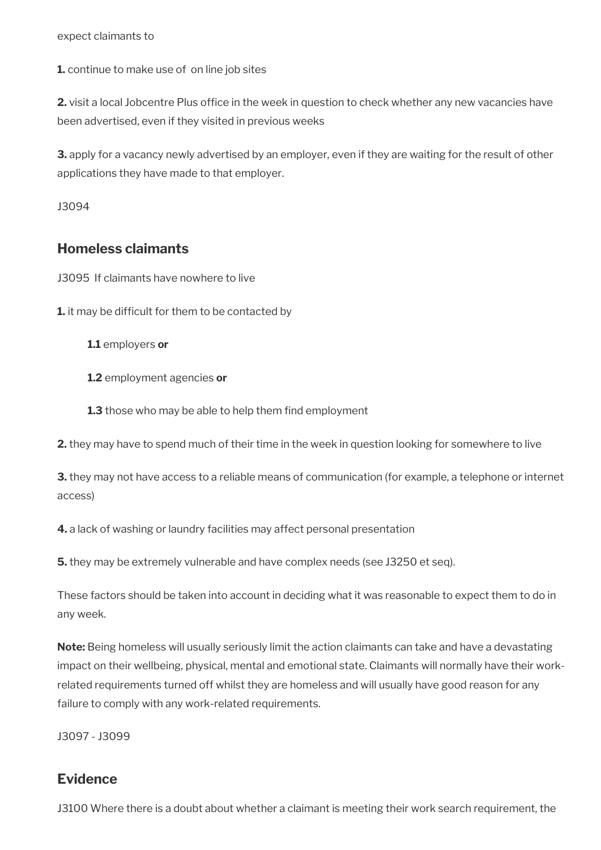expect claimants to

**1.** continue to make use of on line job sites

**2.** visit a local Jobcentre Plus office in the week in question to check whether any new vacancies have been advertised, even if they visited in previous weeks

**3.** apply for a vacancy newly advertised by an employer, even if they are waiting for the result of other applications they have made to that employer.

J3094

## <span id="page-30-1"></span>**Homeless claimants**

J3095 If claimants have nowhere to live

**1.** it may be difficult for them to be contacted by

**1.1** employers **or** 

**1.2** employment agencies **or** 

**1.3** those who may be able to help them find employment

**2.** they may have to spend much of their time in the week in question looking for somewhere to live

**3.** they may not have access to a reliable means of communication (for example, a telephone or internet access)

**4.** a lack of washing or laundry facilities may affect personal presentation

**5.** they may be extremely vulnerable and have complex needs (see J3250 et seq).

These factors should be taken into account in deciding what it was reasonable to expect them to do in any week.

**Note:** Being homeless will usually seriously limit the action claimants can take and have a devastating impact on their wellbeing, physical, mental and emotional state. Claimants will normally have their workrelated requirements turned off whilst they are homeless and will usually have good reason for any failure to comply with any work-related requirements.

J3097 - J3099

## <span id="page-30-0"></span>**Evidence**

J3100 Where there is a doubt about whether a claimant is meeting their work search requirement, the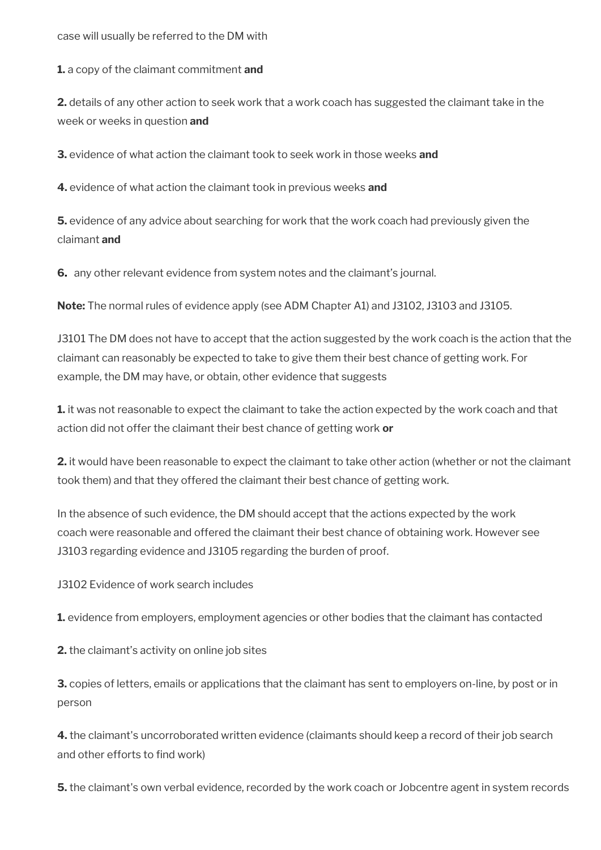case will usually be referred to the DM with

**1.** a copy of the claimant commitment **and** 

**2.** details of any other action to seek work that a work coach has suggested the claimant take in the week or weeks in question **and** 

**3.** evidence of what action the claimant took to seek work in those weeks **and** 

**4.** evidence of what action the claimant took in previous weeks **and** 

**5.** evidence of any advice about searching for work that the work coach had previously given the claimant **and**

**6.** any other relevant evidence from system notes and the claimant's journal.

**Note:** The normal rules of evidence apply (see ADM Chapter A1) and J3102, J3103 and J3105.

J3101 The DM does not have to accept that the action suggested by the work coach is the action that the claimant can reasonably be expected to take to give them their best chance of getting work. For example, the DM may have, or obtain, other evidence that suggests

**1.** it was not reasonable to expect the claimant to take the action expected by the work coach and that action did not offer the claimant their best chance of getting work **or** 

**2.** it would have been reasonable to expect the claimant to take other action (whether or not the claimant took them) and that they offered the claimant their best chance of getting work.

In the absence of such evidence, the DM should accept that the actions expected by the work coach were reasonable and offered the claimant their best chance of obtaining work. However see J3103 regarding evidence and J3105 regarding the burden of proof.

J3102 Evidence of work search includes

**1.** evidence from employers, employment agencies or other bodies that the claimant has contacted

**2.** the claimant's activity on online job sites

**3.** copies of letters, emails or applications that the claimant has sent to employers on-line, by post or in person

**4.** the claimant's uncorroborated written evidence (claimants should keep a record of their job search and other efforts to find work)

**5.** the claimant's own verbal evidence, recorded by the work coach or Jobcentre agent in system records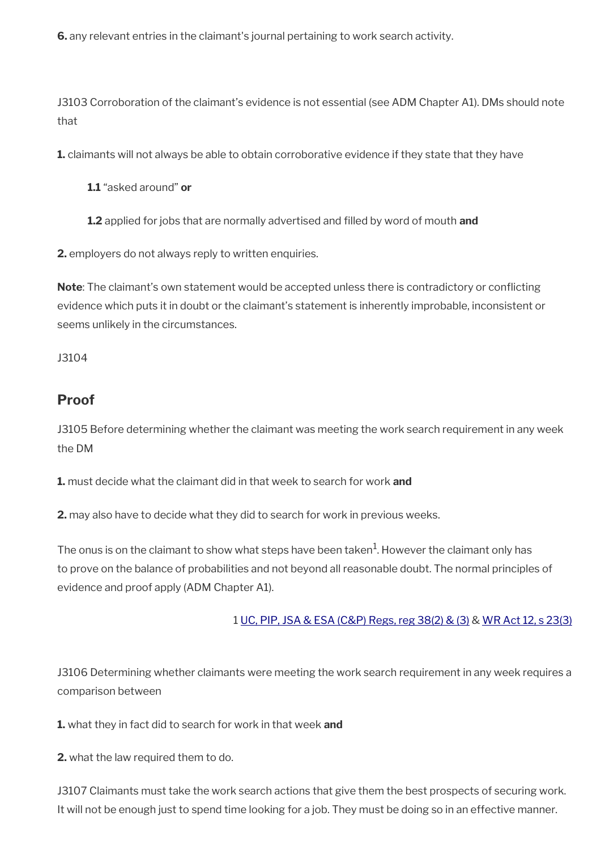**6.** any relevant entries in the claimant's journal pertaining to work search activity.

J3103 Corroboration of the claimant's evidence is not essential (see ADM Chapter A1). DMs should note that

**1.** claimants will not always be able to obtain corroborative evidence if they state that they have

**1.1** "asked around" **or** 

**1.2** applied for jobs that are normally advertised and flled by word of mouth **and** 

**2.** employers do not always reply to written enquiries.

**Note**: The claimant's own statement would be accepted unless there is contradictory or conficting evidence which puts it in doubt or the claimant's statement is inherently improbable, inconsistent or seems unlikely in the circumstances.

J3104

## <span id="page-32-0"></span>**Proof**

J3105 Before determining whether the claimant was meeting the work search requirement in any week the DM

**1.** must decide what the claimant did in that week to search for work **and** 

**2.** may also have to decide what they did to search for work in previous weeks.

The onus is on the claimant to show what steps have been taken $^1$ . However the claimant only has to prove on the balance of probabilities and not beyond all reasonable doubt. The normal principles of evidence and proof apply (ADM Chapter A1).

## 1 [UC, PIP, JSA & ESA \(C&P\) Regs, reg 38\(2\) & \(3\)](https://www.legislation.gov.uk/uksi/2013/376/regulation/38) & [WR Act 12, s 23\(3\)](https://www.legislation.gov.uk/ukpga/2012/5/section/23)

J3106 Determining whether claimants were meeting the work search requirement in any week requires a comparison between

**1.** what they in fact did to search for work in that week **and** 

**2.** what the law required them to do.

J3107 Claimants must take the work search actions that give them the best prospects of securing work. It will not be enough just to spend time looking for a job. They must be doing so in an effective manner.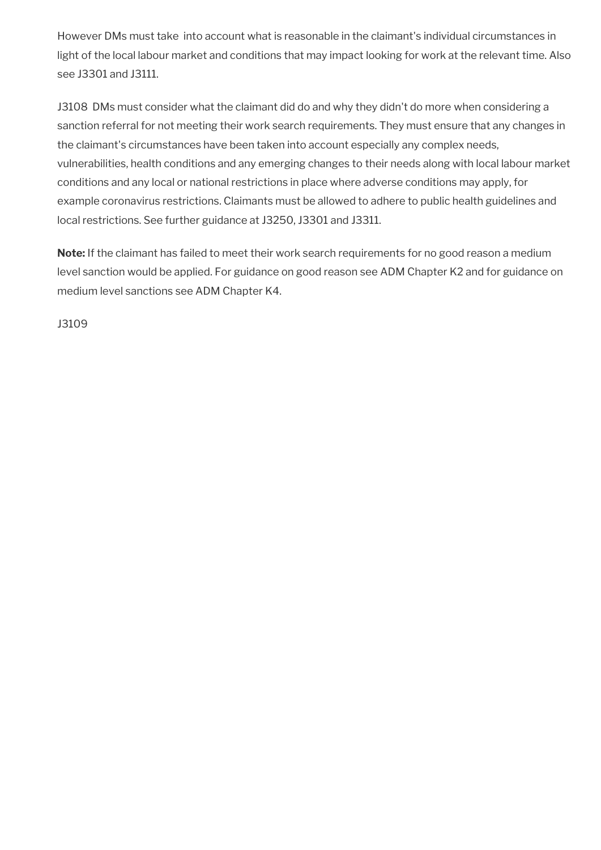However DMs must take into account what is reasonable in the claimant's individual circumstances in light of the local labour market and conditions that may impact looking for work at the relevant time. Also see J3301 and J3111.

J3108 DMs must consider what the claimant did do and why they didn't do more when considering a sanction referral for not meeting their work search requirements. They must ensure that any changes in the claimant's circumstances have been taken into account especially any complex needs, vulnerabilities, health conditions and any emerging changes to their needs along with local labour market conditions and any local or national restrictions in place where adverse conditions may apply, for example coronavirus restrictions. Claimants must be allowed to adhere to public health guidelines and local restrictions. See further guidance at J3250, J3301 and J3311.

**Note:** If the claimant has failed to meet their work search requirements for no good reason a medium level sanction would be applied. For guidance on good reason see ADM Chapter K2 and for guidance on medium level sanctions see ADM Chapter K4.

J3109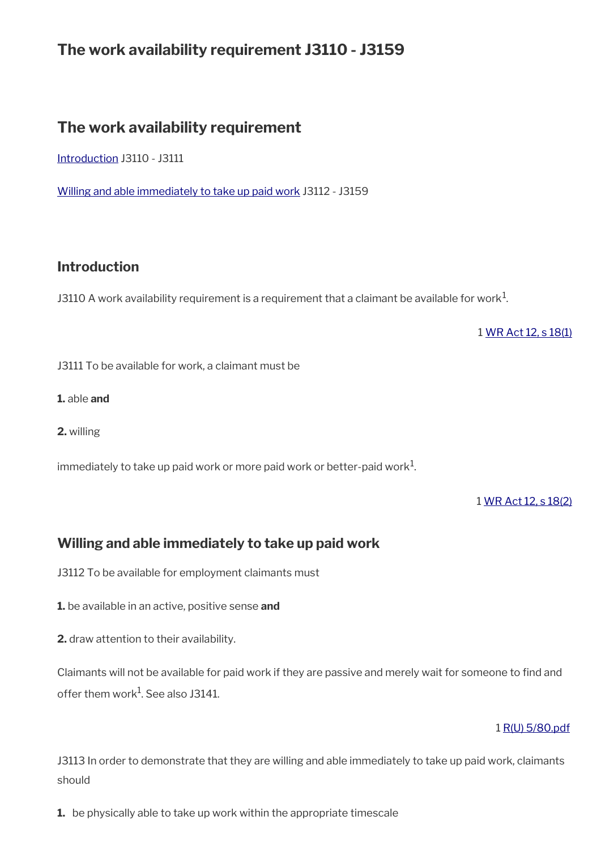# **The work availability requirement J3110 - J3159**

# **The work availability requirement**

[Introduction](#page-7-1) J3110 - J3111

Willing [and able immediately to take up paid work](#page-34-0) J3112 - J3159

## **Introduction**

J3110 A work availability requirement is a requirement that a claimant be available for work $^{\mathrm{1}}$ .

1 [WR Act 12, s 18\(1\)](https://www.legislation.gov.uk/ukpga/2012/5/section/18)

J3111 To be available for work, a claimant must be

**1.** able **and**

**2.** willing

immediately to take up paid work or more paid work or better-paid work $^1\!$ 

1 [WR Act 12, s 18\(2\)](https://www.legislation.gov.uk/ukpga/2012/5/section/18)

## <span id="page-34-0"></span>**Willing and able immediately to take up paid work**

J3112 To be available for employment claimants must

**1.** be available in an active, positive sense **and** 

**2.** draw attention to their availability.

Claimants will not be available for paid work if they are passive and merely wait for someone to find and offer them work $^{\rm 1}$ . See also J3141.

1 [R\(U\) 5/80.pdf](../file/903020/download/R%2528U%2529%25205%252F80.pdf)

J3113 In order to demonstrate that they are willing and able immediately to take up paid work, claimants should

**1.** be physically able to take up work within the appropriate timescale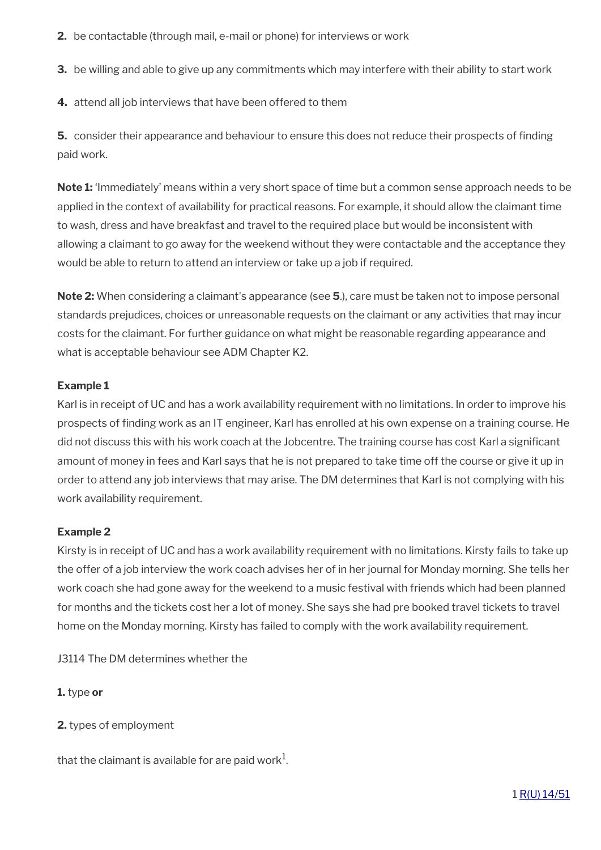- **2.** be contactable (through mail, e-mail or phone) for interviews or work
- **3.** be willing and able to give up any commitments which may interfere with their ability to start work
- **4.** attend all job interviews that have been offered to them

**5.** consider their appearance and behaviour to ensure this does not reduce their prospects of finding paid work.

**Note 1:** 'Immediately' means within a very short space of time but a common sense approach needs to be applied in the context of availability for practical reasons. For example, it should allow the claimant time to wash, dress and have breakfast and travel to the required place but would be inconsistent with allowing a claimant to go away for the weekend without they were contactable and the acceptance they would be able to return to attend an interview or take up a job if required.

**Note 2:** When considering a claimant's appearance (see **5**.), care must be taken not to impose personal standards prejudices, choices or unreasonable requests on the claimant or any activities that may incur costs for the claimant. For further guidance on what might be reasonable regarding appearance and what is acceptable behaviour see ADM Chapter K2.

#### **Example 1**

Karl is in receipt of UC and has a work availability requirement with no limitations. In order to improve his prospects of fnding work as an IT engineer, Karl has enrolled at his own expense on a training course. He did not discuss this with his work coach at the Jobcentre. The training course has cost Karl a signifcant amount of money in fees and Karl says that he is not prepared to take time off the course or give it up in order to attend any job interviews that may arise. The DM determines that Karl is not complying with his work availability requirement.

#### **Example 2**

Kirsty is in receipt of UC and has a work availability requirement with no limitations. Kirsty fails to take up the offer of a job interview the work coach advises her of in her journal for Monday morning. She tells her work coach she had gone away for the weekend to a music festival with friends which had been planned for months and the tickets cost her a lot of money. She says she had pre booked travel tickets to travel home on the Monday morning. Kirsty has failed to comply with the work availability requirement.

J3114 The DM determines whether the

- **1.** type **or**
- **2.** types of employment

that the claimant is available for are paid work $^1\!$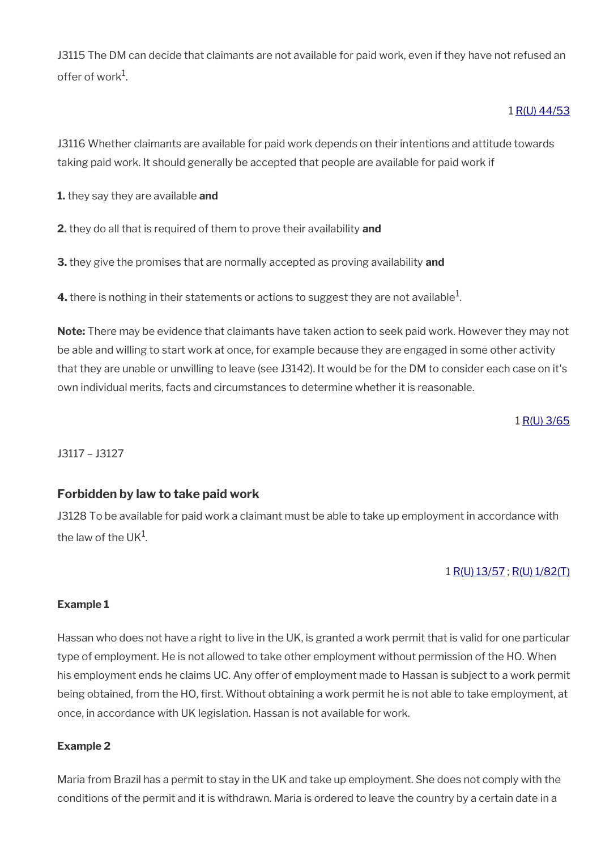J3115 The DM can decide that claimants are not available for paid work, even if they have not refused an offer of work $^1$ .

#### 1 [R\(U\) 44/53](../file/903170/download/R%2528U%2529%252044%252F53.pdf)

J3116 Whether claimants are available for paid work depends on their intentions and attitude towards taking paid work. It should generally be accepted that people are available for paid work if

**1.** they say they are available **and** 

**2.** they do all that is required of them to prove their availability **and** 

**3.** they give the promises that are normally accepted as proving availability **and** 

**4.** there is nothing in their statements or actions to suggest they are not available $^1$ .

**Note:** There may be evidence that claimants have taken action to seek paid work. However they may not be able and willing to start work at once, for example because they are engaged in some other activity that they are unable or unwilling to leave (see J3142). It would be for the DM to consider each case on it's own individual merits, facts and circumstances to determine whether it is reasonable.

1 [R\(U\) 3/65](../file/904839/download/R%2528U%2529%25203%252F65.pdf)

J3117 – J3127

## **Forbidden by law to take paid work**

J3128 To be available for paid work a claimant must be able to take up employment in accordance with the law of the UK $^{\rm 1}$ .

## 1 [R\(U\) 13/57](../file/904843/download/R%2528U%2529%252013%252F57.pdf) ; [R\(U\) 1/82\(T\)](../file/903172/download/R%2528U%2529%25201%252F82%2528T%2529.pdf)

#### **Example 1**

Hassan who does not have a right to live in the UK, is granted a work permit that is valid for one particular type of employment. He is not allowed to take other employment without permission of the HO. When his employment ends he claims UC. Any offer of employment made to Hassan is subject to a work permit being obtained, from the HO, frst. Without obtaining a work permit he is not able to take employment, at once, in accordance with UK legislation. Hassan is not available for work.

#### **Example 2**

Maria from Brazil has a permit to stay in the UK and take up employment. She does not comply with the conditions of the permit and it is withdrawn. Maria is ordered to leave the country by a certain date in a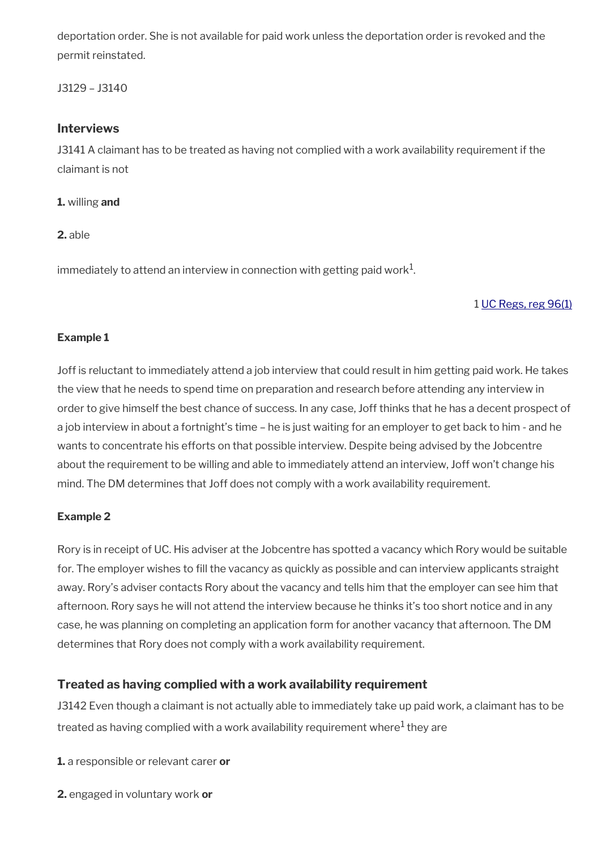deportation order. She is not available for paid work unless the deportation order is revoked and the permit reinstated.

J3129 – J3140

## **Interviews**

J3141 A claimant has to be treated as having not complied with a work availability requirement if the claimant is not

**1.** willing **and**

**2.** able

immediately to attend an interview in connection with getting paid work $^1\!$ 

## 1 [UC Regs, reg 96\(1\)](https://www.legislation.gov.uk/uksi/2013/376/regulation/96)

### **Example 1**

Joff is reluctant to immediately attend a job interview that could result in him getting paid work. He takes the view that he needs to spend time on preparation and research before attending any interview in order to give himself the best chance of success. In any case, Joff thinks that he has a decent prospect of a job interview in about a fortnight's time – he is just waiting for an employer to get back to him - and he wants to concentrate his efforts on that possible interview. Despite being advised by the Jobcentre about the requirement to be willing and able to immediately attend an interview, Joff won't change his mind. The DM determines that Joff does not comply with a work availability requirement.

## **Example 2**

Rory is in receipt of UC. His adviser at the Jobcentre has spotted a vacancy which Rory would be suitable for. The employer wishes to fll the vacancy as quickly as possible and can interview applicants straight away. Rory's adviser contacts Rory about the vacancy and tells him that the employer can see him that afternoon. Rory says he will not attend the interview because he thinks it's too short notice and in any case, he was planning on completing an application form for another vacancy that afternoon. The DM determines that Rory does not comply with a work availability requirement.

## **Treated as having complied with a work availability requirement**

J3142 Even though a claimant is not actually able to immediately take up paid work, a claimant has to be treated as having complied with a work availability requirement where $^{\rm 1}$  they are

**1.** a responsible or relevant carer **or**

**2.** engaged in voluntary work **or**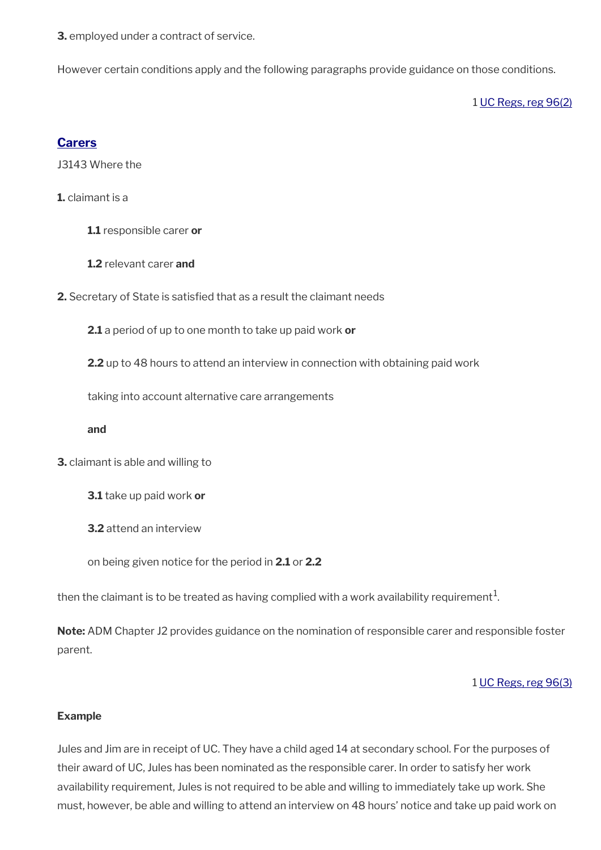**3.** employed under a contract of service.

However certain conditions apply and the following paragraphs provide guidance on those conditions.

1 [UC Regs, reg 96\(2\)](https://www.legislation.gov.uk/uksi/2013/376/regulation/96)

#### **[Carers](https://www.legislation.gov.uk/uksi/2013/376/regulation/96)**

J3143 Where the

**1.** claimant is a

- **1.1** responsible carer **or**
- **1.2** relevant carer **and**

**2.** Secretary of State is satisfied that as a result the claimant needs

**2.1** a period of up to one month to take up paid work **or**

**2.2** up to 48 hours to attend an interview in connection with obtaining paid work

taking into account alternative care arrangements

**and**

**3.** claimant is able and willing to

**3.1** take up paid work **or**

**3.2** attend an interview

on being given notice for the period in **2.1** or **2.2**

then the claimant is to be treated as having complied with a work availability requirement $^1$ .

**Note:** ADM Chapter J2 provides guidance on the nomination of responsible carer and responsible foster parent.

#### 1 [UC Regs, reg 96\(3\)](https://www.legislation.gov.uk/uksi/2013/376/regulation/96)

#### **Example**

Jules and Jim are in receipt of UC. They have a child aged 14 at secondary school. For the purposes of their award of UC, Jules has been nominated as the responsible carer. In order to satisfy her work availability requirement, Jules is not required to be able and willing to immediately take up work. She must, however, be able and willing to attend an interview on 48 hours' notice and take up paid work on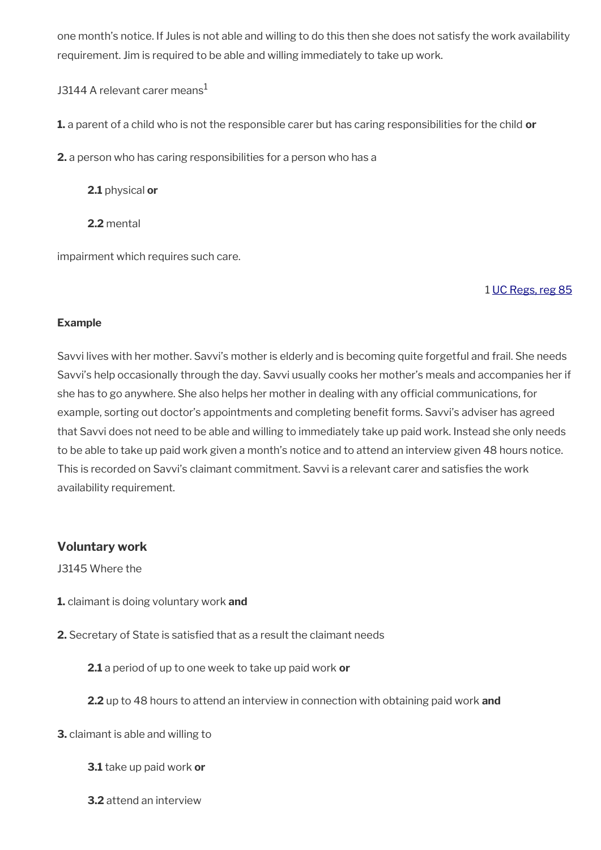one month's notice. If Jules is not able and willing to do this then she does not satisfy the work availability requirement. Jim is required to be able and willing immediately to take up work.

J3144 A relevant carer means $<sup>1</sup>$ </sup>

**1.** a parent of a child who is not the responsible carer but has caring responsibilities for the child **or**

**2.** a person who has caring responsibilities for a person who has a

**2.1** physical **or**

**2.2** mental

impairment which requires such care.

#### 1 [UC Regs, reg 85](https://www.legislation.gov.uk/uksi/2013/376/regulation/85)

#### **Example**

Savvi lives with her mother. Savvi's mother is elderly and is becoming quite forgetful and frail. She needs Savvi's help occasionally through the day. Savvi usually cooks her mother's meals and accompanies her if she has to go anywhere. She also helps her mother in dealing with any official communications, for example, sorting out doctor's appointments and completing beneft forms. Savvi's adviser has agreed that Savvi does not need to be able and willing to immediately take up paid work. Instead she only needs to be able to take up paid work given a month's notice and to attend an interview given 48 hours notice. This is recorded on Savvi's claimant commitment. Savvi is a relevant carer and satisfes the work availability requirement.

## **Voluntary work**

J3145 Where the

- **1.** claimant is doing voluntary work **and**
- **2.** Secretary of State is satisfied that as a result the claimant needs
	- **2.1** a period of up to one week to take up paid work **or**
	- **2.2** up to 48 hours to attend an interview in connection with obtaining paid work **and**
- **3.** claimant is able and willing to
	- **3.1** take up paid work **or**
	- **3.2** attend an interview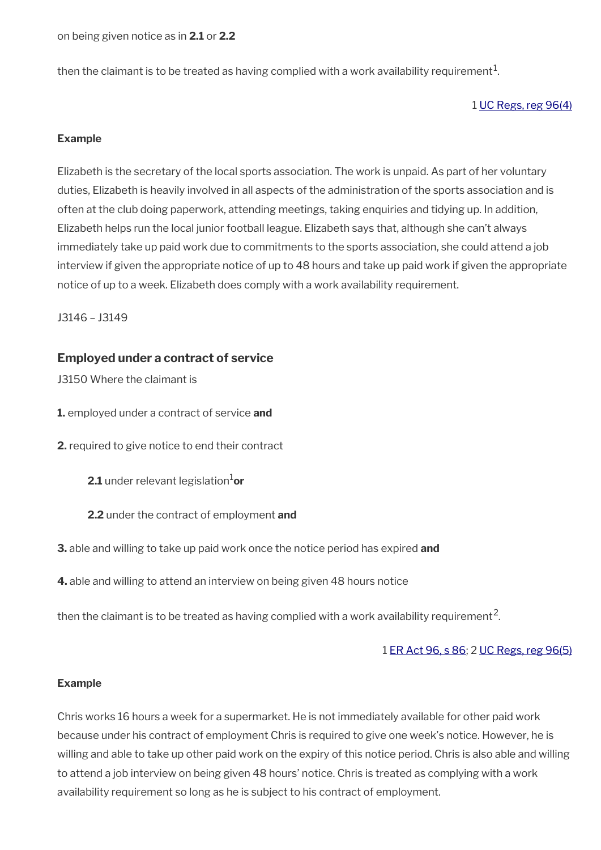then the claimant is to be treated as having complied with a work availability requirement $^1$ .

#### 1 [UC Regs, reg 96\(4\)](https://www.legislation.gov.uk/uksi/2013/376/regulation/96)

#### **Example**

Elizabeth is the secretary of the local sports association. The work is unpaid. As part of her voluntary duties, Elizabeth is heavily involved in all aspects of the administration of the sports association and is often at the club doing paperwork, attending meetings, taking enquiries and tidying up. In addition, Elizabeth helps run the local junior football league. Elizabeth says that, although she can't always immediately take up paid work due to commitments to the sports association, she could attend a job interview if given the appropriate notice of up to 48 hours and take up paid work if given the appropriate notice of up to a week. Elizabeth does comply with a work availability requirement.

J3146 – J3149

#### **Employed under a contract of service**

- J3150 Where the claimant is
- **1.** employed under a contract of service **and**
- **2.** required to give notice to end their contract
	- **2.1** under relevant legislation<sup>1</sup>or
	- **2.2** under the contract of employment **and**
- **3.** able and willing to take up paid work once the notice period has expired **and**
- **4.** able and willing to attend an interview on being given 48 hours notice

then the claimant is to be treated as having complied with a work availability requirement<sup>2</sup>.

#### 1 [ER Act 96, s 86;](https://www.legislation.gov.uk/ukpga/1996/18/section/86) 2 [UC Regs, reg 96\(5\)](https://www.legislation.gov.uk/uksi/2013/376/regulation/96)

#### **Example**

Chris works 16 hours a week for a supermarket. He is not immediately available for other paid work because under his contract of employment Chris is required to give one week's notice. However, he is willing and able to take up other paid work on the expiry of this notice period. Chris is also able and willing to attend a job interview on being given 48 hours' notice. Chris is treated as complying with a work availability requirement so long as he is subject to his contract of employment.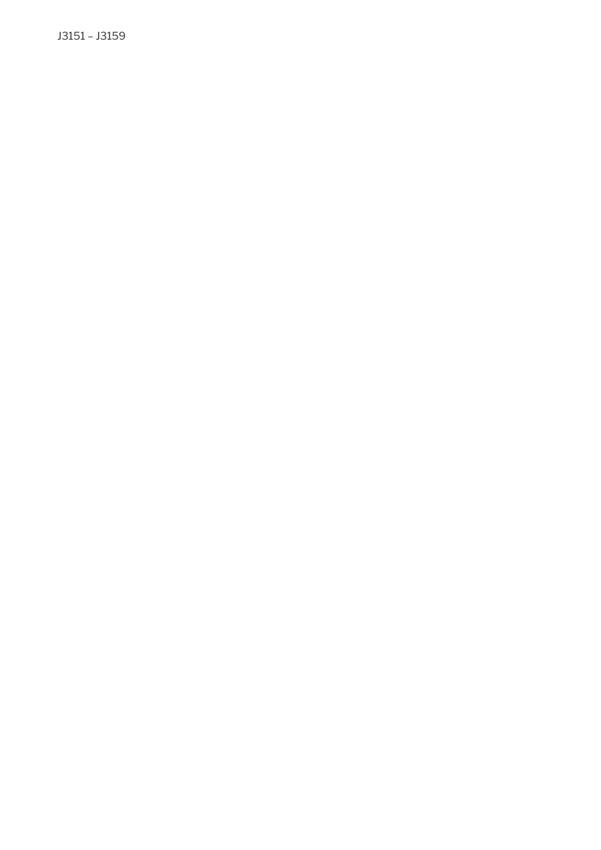J3151 – J3159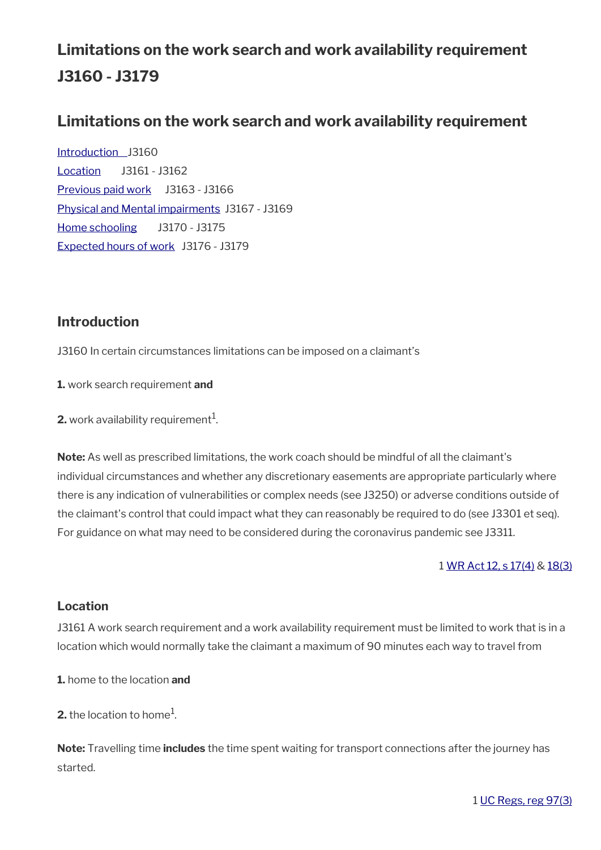# **Limitations on the work search and work availability requirement J3160 - J3179**

## **Limitations on the work search and work availability requirement**

[Introduction](#page-7-0) J3160 [Location](#page-42-0) J3161 - J3162 [Previous paid work](#page-43-0) J3163 - J3166 [Physical and Mental impairments](#page-45-0) J3167 - J3169 [Home schooling](#page-46-0) J3170 - J3175 [Expected hours of work](#page-17-0) J3176 - J3179

## **Introduction**

J3160 In certain circumstances limitations can be imposed on a claimant's

**1.** work search requirement **and**

**2.** work availability requirement $^1$ .

**Note:** As well as prescribed limitations, the work coach should be mindful of all the claimant's individual circumstances and whether any discretionary easements are appropriate particularly where there is any indication of vulnerabilities or complex needs (see J3250) or adverse conditions outside of the claimant's control that could impact what they can reasonably be required to do (see J3301 et seq). For guidance on what may need to be considered during the coronavirus pandemic see J3311.

#### 1 [WR Act 12, s 17\(4\)](http://www.legislation.gov.uk/ukpga/2012/5/section/17) & [18\(3\)](http://www.legislation.gov.uk/ukpga/2012/5/section/18)

## <span id="page-42-0"></span>**Location**

J3161 A work search requirement and a work availability requirement must be limited to work that is in a location which would normally take the claimant a maximum of 90 minutes each way to travel from

**1.** home to the location **and**

**2.** the location to home $^1$ .

**Note:** Travelling time **includes** the time spent waiting for transport connections after the journey has started.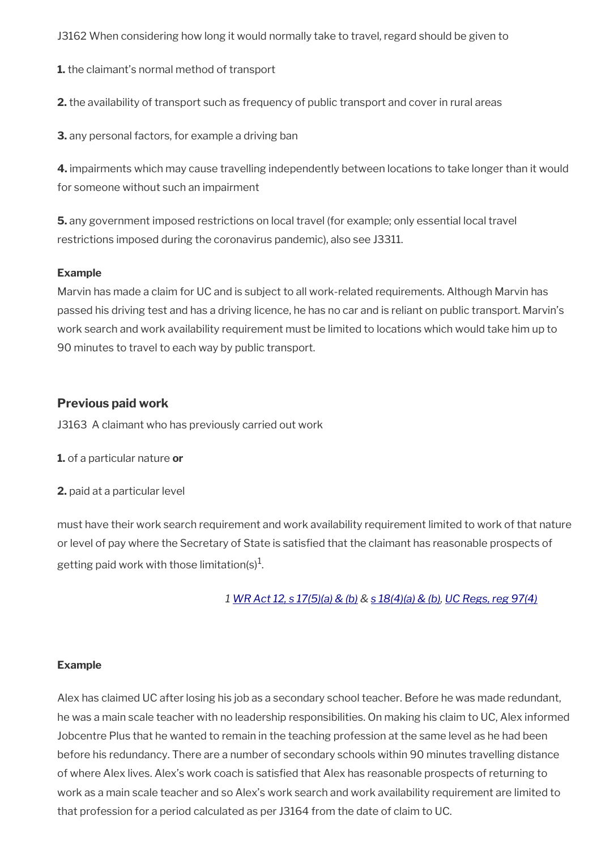J3162 When considering how long it would normally take to travel, regard should be given to

**1.** the claimant's normal method of transport

**2.** the availability of transport such as frequency of public transport and cover in rural areas

**3.** any personal factors, for example a driving ban

**4.** impairments which may cause travelling independently between locations to take longer than it would for someone without such an impairment

**5.** any government imposed restrictions on local travel (for example; only essential local travel restrictions imposed during the coronavirus pandemic), also see J3311.

#### **Example**

Marvin has made a claim for UC and is subject to all work-related requirements. Although Marvin has passed his driving test and has a driving licence, he has no car and is reliant on public transport. Marvin's work search and work availability requirement must be limited to locations which would take him up to 90 minutes to travel to each way by public transport.

#### <span id="page-43-0"></span>**Previous paid work**

J3163 A claimant who has previously carried out work

**1.** of a particular nature **or**

**2.** paid at a particular level

must have their work search requirement and work availability requirement limited to work of that nature or level of pay where the Secretary of State is satisfed that the claimant has reasonable prospects of getting paid work with those limitation(s) $^{\rm 1}$ .

*1 [WR Act 12, s 17\(5\)\(a\) & \(b\)](http://www.legislation.gov.uk/ukpga/2012/5/section/17) & [s 18\(4\)\(a\) & \(b\)](http://www.legislation.gov.uk/ukpga/2012/5/section/18), [UC Regs, reg 97\(4\)](http://www.legislation.gov.uk/uksi/2013/376/regulation/97)*

#### **Example**

Alex has claimed UC after losing his job as a secondary school teacher. Before he was made redundant, he was a main scale teacher with no leadership responsibilities. On making his claim to UC, Alex informed Jobcentre Plus that he wanted to remain in the teaching profession at the same level as he had been before his redundancy. There are a number of secondary schools within 90 minutes travelling distance of where Alex lives. Alex's work coach is satisfed that Alex has reasonable prospects of returning to work as a main scale teacher and so Alex's work search and work availability requirement are limited to that profession for a period calculated as per J3164 from the date of claim to UC.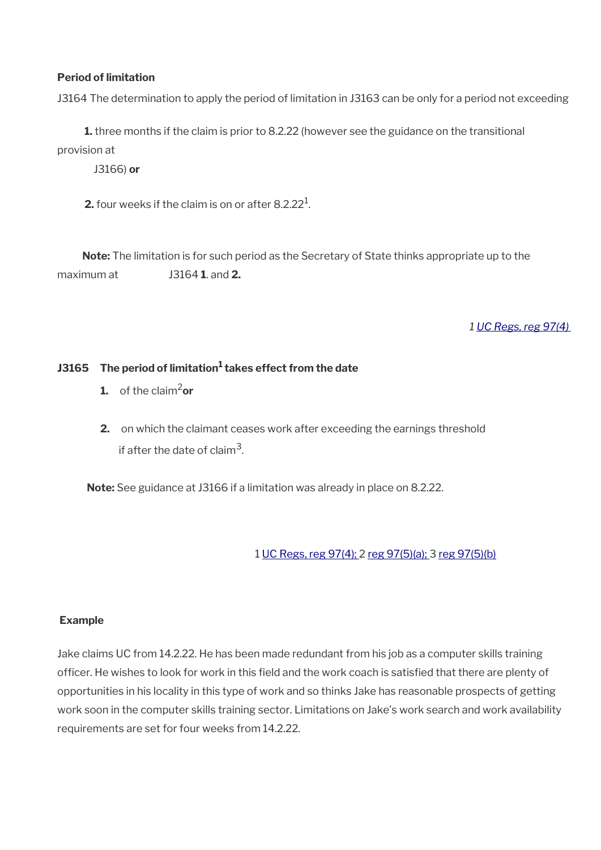#### **Period of limitation**

J3164 The determination to apply the period of limitation in J3163 can be only for a period not exceeding

 **1.** three months if the claim is prior to 8.2.22 (however see the guidance on the transitional provision at

J3166) **or**

**2.** four weeks if the claim is on or after 8.2.22 $^1$ .

**Note:** The limitation is for such period as the Secretary of State thinks appropriate up to the maximum at J3164 **1**. and **2.**

#### *1 [UC Regs, reg 97\(4\)](http://www.legislation.gov.uk/uksi/2013/376/regulation/97)*

## **J3165 The period of limitation1 takes effect from the date**

- **1.** of the claim2**or**
- **2.** on which the claimant ceases work after exceeding the earnings threshold if after the date of claim<sup>3</sup>.

**Note:** See guidance at J3166 if a limitation was already in place on 8.2.22.

#### 1 [UC Regs, reg 97\(4\); 2 reg 97\(5\)\(a\); 3 reg 97\(5\)\(b\)](http://www.legislation.gov.uk/uksi/2013/376/regulation/97)

#### **Example**

Jake claims UC from 14.2.22. He has been made redundant from his job as a computer skills training officer. He wishes to look for work in this field and the work coach is satisfied that there are plenty of opportunities in his locality in this type of work and so thinks Jake has reasonable prospects of getting work soon in the computer skills training sector. Limitations on Jake's work search and work availability requirements are set for four weeks from 14.2.22.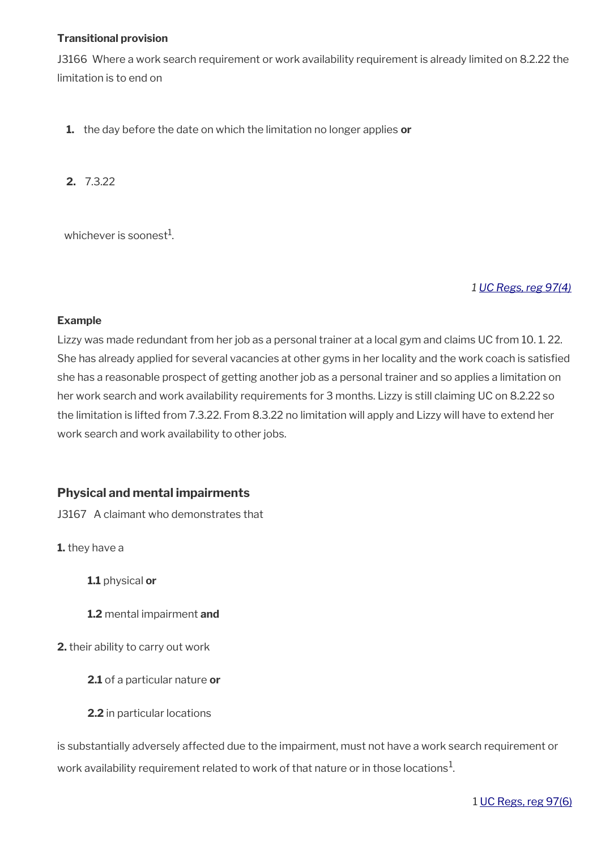#### **Transitional provision**

J3166 Where a work search requirement or work availability requirement is already limited on 8.2.22 the limitation is to end on

**1.** the day before the date on which the limitation no longer applies **or**

**2.** 7.3.22

whichever is soonest<sup>1</sup>.

#### *1 [UC Regs, reg 97\(4\)](https://www.legislation.gov.uk/uksi/2013/376/regulation/97)*

#### **Example**

Lizzy was made redundant from her job as a personal trainer at a local gym and claims UC from 10.1.22. She has already applied for several vacancies at other gyms in her locality and the work coach is satisfed she has a reasonable prospect of getting another job as a personal trainer and so applies a limitation on her work search and work availability requirements for 3 months. Lizzy is still claiming UC on 8.2.22 so the limitation is lifted from 7.3.22. From 8.3.22 no limitation will apply and Lizzy will have to extend her work search and work availability to other jobs.

#### <span id="page-45-0"></span>**Physical and mental impairments**

J3167 A claimant who demonstrates that

**1.** they have a

**1.1** physical **or**

**1.2** mental impairment **and**

**2.** their ability to carry out work

- **2.1** of a particular nature **or**
- **2.2** in particular locations

is substantially adversely affected due to the impairment, must not have a work search requirement or work availability requirement related to work of that nature or in those locations $^1\!$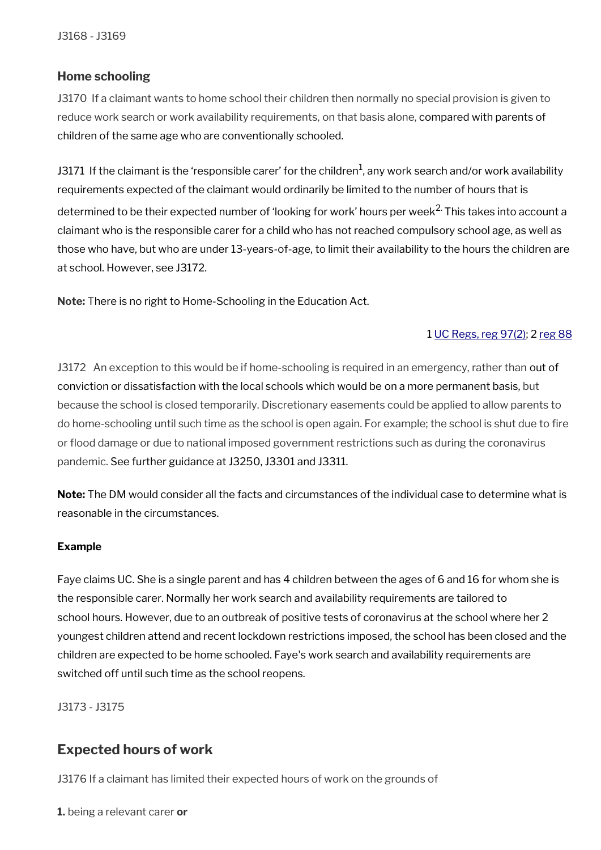#### <span id="page-46-0"></span>**Home schooling**

J3170 If a claimant wants to home school their children then normally no special provision is given to reduce work search or work availability requirements, on that basis alone, compared with parents of children of the same age who are conventionally schooled.

J3171 If the claimant is the 'responsible carer' for the children $^1$ , any work search and/or work availability requirements expected of the claimant would ordinarily be limited to the number of hours that is determined to be their expected number of 'looking for work' hours per week<sup>2.</sup> This takes into account a claimant who is the responsible carer for a child who has not reached compulsory school age, as well as those who have, but who are under 13-years-of-age, to limit their availability to the hours the children are at school. However, see J3172.

**Note:** There is no right to Home-Schooling in the Education Act.

#### 1 [UC Regs, reg 97\(2\)](http://www.legislation.gov.uk/uksi/2013/376/regulation/97); 2 [reg 88](http://www.legislation.gov.uk/uksi/2013/376/regulation/88)

J3172 An exception to this would be if home-schooling is required in an emergency, rather than out of conviction or dissatisfaction with the local schools which would be on a more permanent basis, but because the school is closed temporarily. Discretionary easements could be applied to allow parents to do home-schooling until such time as the school is open again. For example; the school is shut due to fre or food damage or due to national imposed government restrictions such as during the coronavirus pandemic. See further guidance at J3250, J3301 and J3311.

**Note:** The DM would consider all the facts and circumstances of the individual case to determine what is reasonable in the circumstances.

#### **Example**

Faye claims UC. She is a single parent and has 4 children between the ages of 6 and 16 for whom she is the responsible carer. Normally her work search and availability requirements are tailored to school hours. However, due to an outbreak of positive tests of coronavirus at the school where her 2 youngest children attend and recent lockdown restrictions imposed, the school has been closed and the children are expected to be home schooled. Faye's work search and availability requirements are switched off until such time as the school reopens.

J3173 - J3175

## **Expected hours of work**

J3176 If a claimant has limited their expected hours of work on the grounds of

**1.** being a relevant carer **or**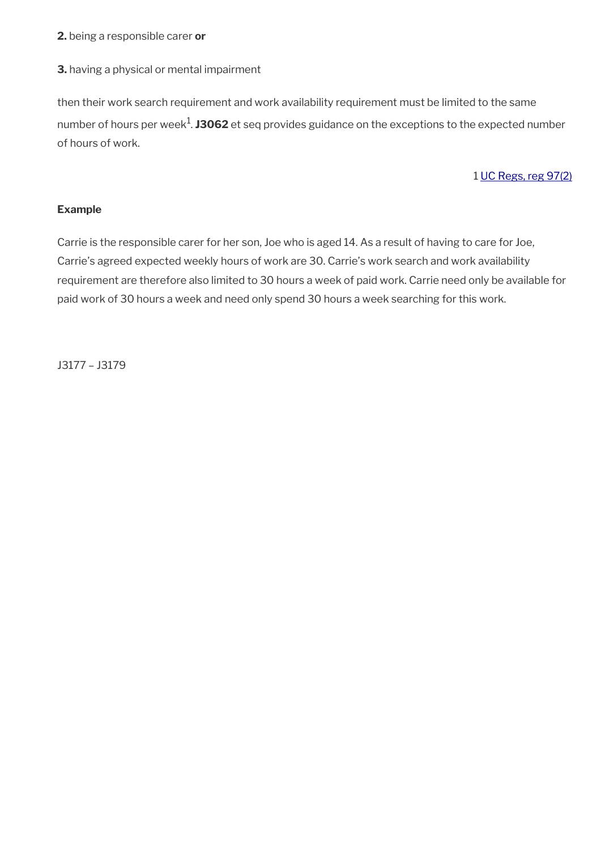**2.** being a responsible carer **or**

**3.** having a physical or mental impairment

then their work search requirement and work availability requirement must be limited to the same number of hours per week<sup>1</sup>. **J3062** et seq provides guidance on the exceptions to the expected number of hours of work.

### 1 [UC Regs, reg 97\(2\)](http://www.legislation.gov.uk/uksi/2013/376/regulation/97)

#### **Example**

Carrie is the responsible carer for her son, Joe who is aged 14. As a result of having to care for Joe, Carrie's agreed expected weekly hours of work are 30. Carrie's work search and work availability requirement are therefore also limited to 30 hours a week of paid work. Carrie need only be available for paid work of 30 hours a week and need only spend 30 hours a week searching for this work.

J3177 – J3179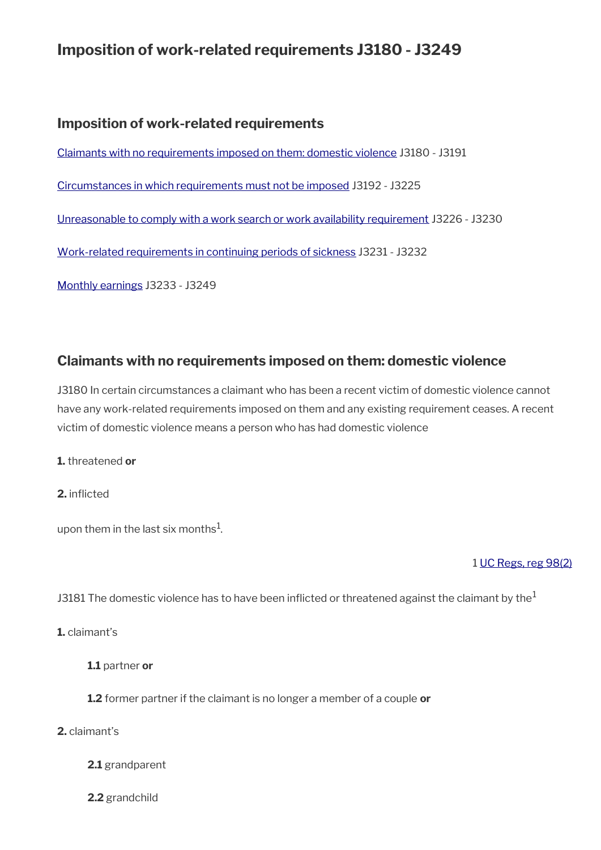## **Imposition of work-related requirements J3180 - J3249**

## **Imposition of work-related requirements**

[Claimants with no requirements imposed on them: domestic violence](#page-48-0) J3180 - J3191

[Circumstances in which requirements must not be imposed](#page-53-0) J3192 - J3225

[Unreasonable to comply with a work search or work availability requirement](#page-59-0) J3226 - J3230

[Work-related requirements in continuing periods of sickness](#page-63-0) J3231 - J3232

[Monthly earnings](#page-64-0) J3233 - J3249

## <span id="page-48-0"></span>**Claimants with no requirements imposed on them: domestic violence**

J3180 In certain circumstances a claimant who has been a recent victim of domestic violence cannot have any work-related requirements imposed on them and any existing requirement ceases. A recent victim of domestic violence means a person who has had domestic violence

**1.** threatened **or**

2. inflicted

upon them in the last six months $^{\rm 1}$ .

1 [UC Regs, reg 98\(2\)](http://www.legislation.gov.uk/uksi/2013/376/regulation/98)

J3181 The domestic violence has to have been inflicted or threatened against the claimant by the<sup>1</sup>

**1.** claimant's

**1.1** partner **or** 

**1.2** former partner if the claimant is no longer a member of a couple **or**

**2.** claimant's

**2.1** grandparent

**2.2** grandchild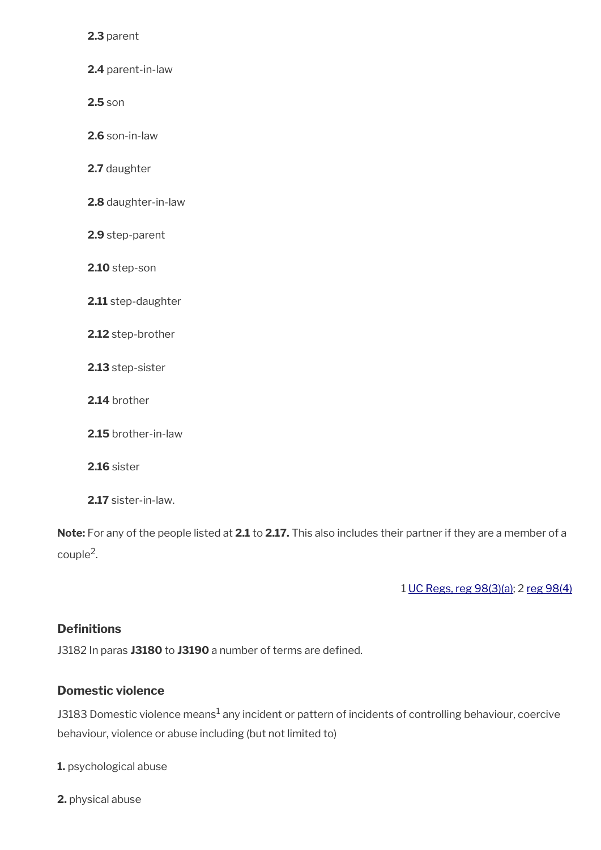**2.3** parent

- **2.4** parent-in-law
- **2.5** son

**2.6** son-in-law

- **2.7** daughter
- **2.8** daughter-in-law
- **2.9** step-parent
- **2.10** step-son
- **2.11** step-daughter
- **2.12** step-brother
- **2.13** step-sister
- **2.14** brother
- **2.15** brother-in-law
- **2.16** sister
- **2.17** sister-in-law.

**Note:** For any of the people listed at **2.1** to **2.17.** This also includes their partner if they are a member of a couple<sup>2</sup>.

1 [UC Regs, reg 98\(3\)\(a\)](http://www.legislation.gov.uk/uksi/2013/376/regulation/98); 2 [reg 98\(4\)](http://www.legislation.gov.uk/uksi/2013/376/regulation/98)

## **Definitions**

J3182 In paras **J3180** to **J3190** a number of terms are defned.

## **Domestic violence**

J3183 Domestic violence means $^1$  any incident or pattern of incidents of controlling behaviour, coercive behaviour, violence or abuse including (but not limited to)

**1.** psychological abuse

**2.** physical abuse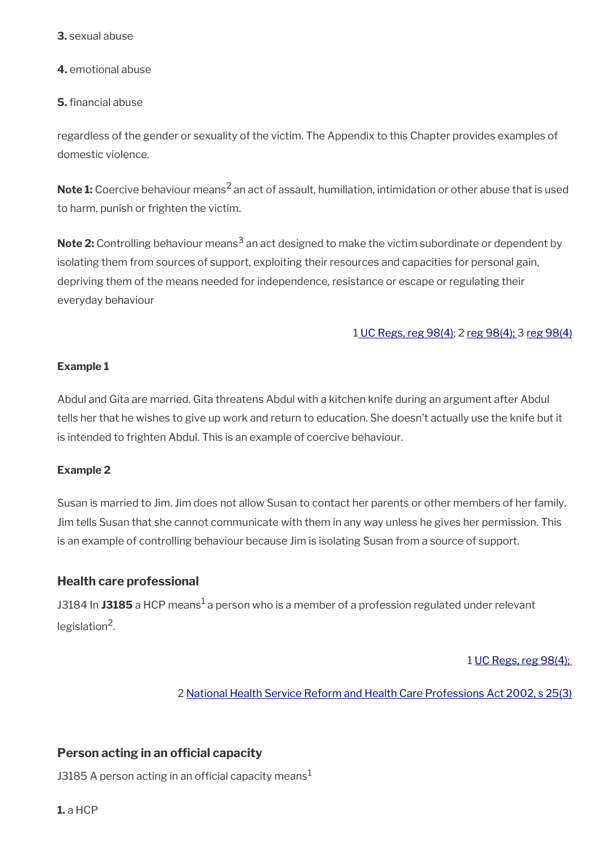**3.** sexual abuse

**4.** emotional abuse

#### **5.** fnancial abuse

regardless of the gender or sexuality of the victim. The Appendix to this Chapter provides examples of domestic violence.

**Note 1:** Coercive behaviour means<sup>2</sup> an act of assault, humiliation, intimidation or other abuse that is used to harm, punish or frighten the victim.

 $\mathsf{Note} \, 2$ : Controlling behaviour means $^3$  an act designed to make the victim subordinate or dependent by isolating them from sources of support, exploiting their resources and capacities for personal gain, depriving them of the means needed for independence, resistance or escape or regulating their everyday behaviour

#### 1 [UC Regs, reg 98\(4\)](http://www.legislation.gov.uk/uksi/2013/376/regulation/98); 2 [reg 98\(4\); 3](http://www.legislation.gov.uk/uksi/2013/376/regulation/98) [reg 98\(4\)](http://www.legislation.gov.uk/uksi/2013/376/regulation/98)

#### **Example 1**

Abdul and Gita are married. Gita threatens Abdul with a kitchen knife during an argument after Abdul tells her that he wishes to give up work and return to education. She doesn't actually use the knife but it is intended to frighten Abdul. This is an example of coercive behaviour.

#### **Example 2**

Susan is married to Jim. Jim does not allow Susan to contact her parents or other members of her family. Jim tells Susan that she cannot communicate with them in any way unless he gives her permission. This is an example of controlling behaviour because Jim is isolating Susan from a source of support.

#### **Health care professional**

J3184 In J3185 a HCP means<sup>1</sup> a person who is a member of a profession regulated under relevant legislation<sup>2</sup>.

#### 1 [UC Regs, reg 98\(4\);](http://www.legislation.gov.uk/uksi/2013/376/regulation/98)

#### 2 [National Health Service Reform and Health Care Professions Act 2002, s 25\(3\)](http://www.legislation.gov.uk/ukpga/2002/17/section/25)

#### **Person acting in an official capacity**

J3185 A person acting in an official capacity means<sup>1</sup>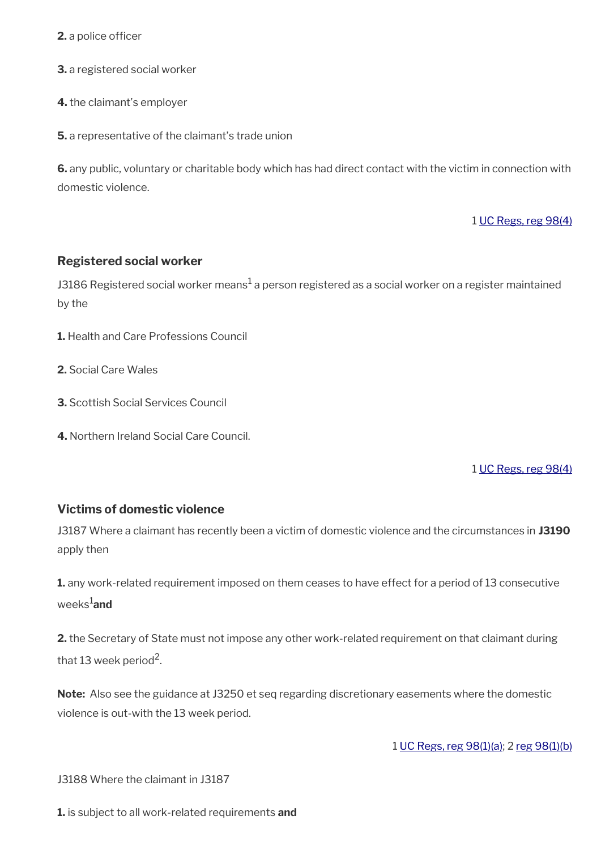**2.** a police officer

**3.** a registered social worker

**4.** the claimant's employer

**5.** a representative of the claimant's trade union

**6.** any public, voluntary or charitable body which has had direct contact with the victim in connection with domestic violence.

1 [UC Regs, reg 98\(4\)](http://www.legislation.gov.uk/uksi/2013/376/regulation/98)

#### **Registered social worker**

J3186 Registered social worker means $^1$ a person registered as a social worker on a register maintained by the

**1.** Health and Care Professions Council

**2.** Social Care Wales

**3.** Scottish Social Services Council

**4.** Northern Ireland Social Care Council.

1 [UC Regs, reg 98\(4\)](http://www.legislation.gov.uk/uksi/2013/376/regulation/98)

## **Victims of domestic violence**

J3187 Where a claimant has recently been a victim of domestic violence and the circumstances in **J3190** apply then

**1.** any work-related requirement imposed on them ceases to have effect for a period of 13 consecutive weeks1**and**

**2.** the Secretary of State must not impose any other work-related requirement on that claimant during that 13 week period<sup>2</sup>.

**Note:** Also see the guidance at J3250 et seq regarding discretionary easements where the domestic violence is out-with the 13 week period.

1 [UC Regs, reg 98\(1\)\(a\)](http://www.legislation.gov.uk/uksi/2013/376/regulation/98); 2 [reg 98\(1\)\(b\)](http://www.legislation.gov.uk/uksi/2013/376/regulation/98)

J3188 Where the claimant in J3187

**1.** is subject to all work-related requirements **and**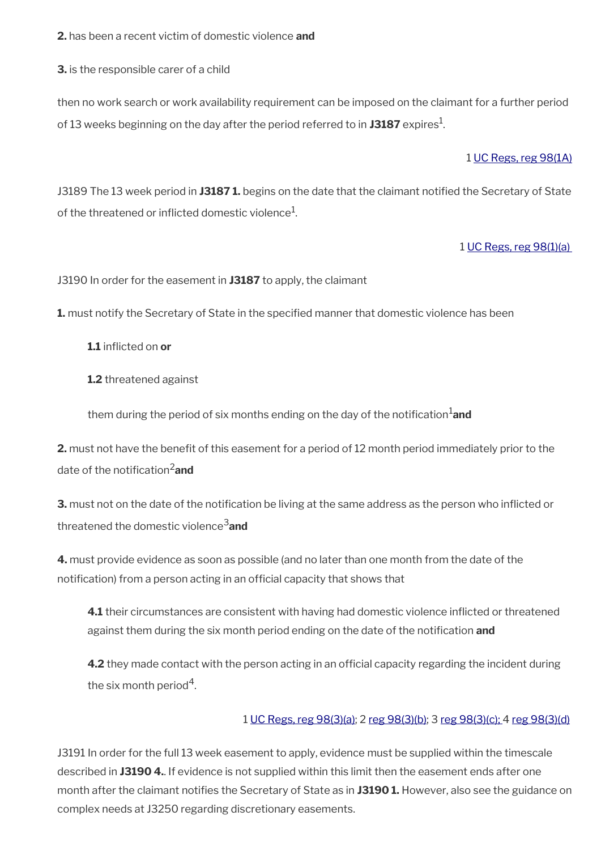**2.** has been a recent victim of domestic violence **and**

**3.** is the responsible carer of a child

then no work search or work availability requirement can be imposed on the claimant for a further period of 13 weeks beginning on the day after the period referred to in **J3187** expires<sup>1</sup>.

#### 1 [UC Regs, reg 98\(1A\)](http://www.legislation.gov.uk/uksi/2013/376/regulation/98)

J3189 The 13 week period in **J3187 1.** begins on the date that the claimant notifed the Secretary of State of the threatened or inflicted domestic violence $^1\!\!$ 

### 1 [UC Regs, reg 98\(1\)\(a\)](http://www.legislation.gov.uk/uksi/2013/376/regulation/98)

J3190 In order for the easement in **J3187** to apply, the claimant

**1.** must notify the Secretary of State in the specified manner that domestic violence has been

**1.1** inficted on **or**

**1.2** threatened against

them during the period of six months ending on the day of the notification<sup>1</sup>and

**2.** must not have the benefit of this easement for a period of 12 month period immediately prior to the date of the notification<sup>2</sup>and

**3.** must not on the date of the notification be living at the same address as the person who inflicted or threatened the domestic violence3**and**

**4.** must provide evidence as soon as possible (and no later than one month from the date of the notification) from a person acting in an official capacity that shows that

**4.1** their circumstances are consistent with having had domestic violence inficted or threatened against them during the six month period ending on the date of the notifcation **and**

**4.2** they made contact with the person acting in an official capacity regarding the incident during the six month period $^4$ .

#### 1 [UC Regs, reg 98\(3\)\(a\);](http://www.legislation.gov.uk/uksi/2013/376/regulation/98) 2 [reg 98\(3\)\(b\);](http://www.legislation.gov.uk/uksi/2013/376/regulation/98) 3 [reg 98\(3\)\(c\);](http://www.legislation.gov.uk/uksi/2013/376/regulation/98) 4 [reg 98\(3\)\(d\)](http://www.legislation.gov.uk/uksi/2013/376/regulation/98)

J3191 In order for the full 13 week easement to apply, evidence must be supplied within the timescale described in **J3190 4.**. If evidence is not supplied within this limit then the easement ends after one month after the claimant notifes the Secretary of State as in **J3190 1.** However, also see the guidance on complex needs at J3250 regarding discretionary easements.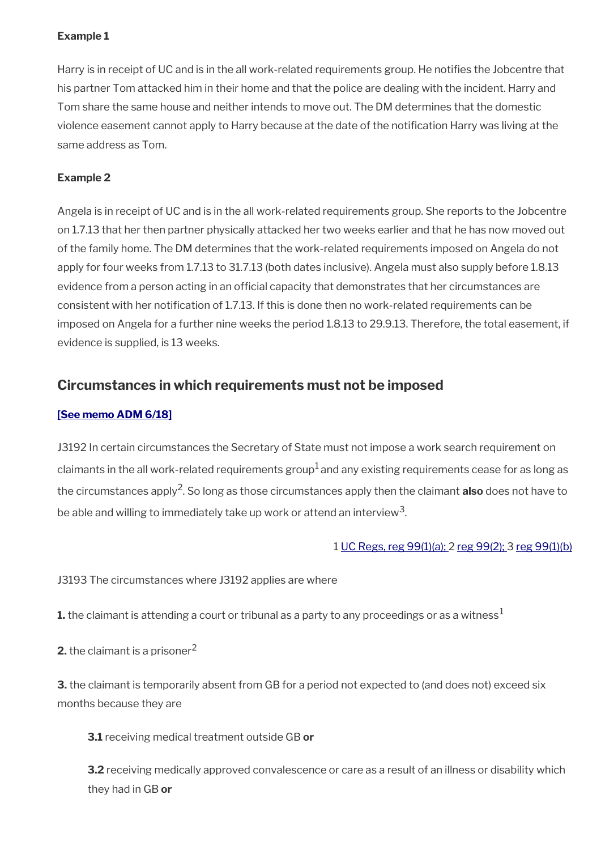#### **Example 1**

Harry is in receipt of UC and is in the all work-related requirements group. He notifes the Jobcentre that his partner Tom attacked him in their home and that the police are dealing with the incident. Harry and Tom share the same house and neither intends to move out. The DM determines that the domestic violence easement cannot apply to Harry because at the date of the notification Harry was living at the same address as Tom.

#### **Example 2**

Angela is in receipt of UC and is in the all work-related requirements group. She reports to the Jobcentre on 1.7.13 that her then partner physically attacked her two weeks earlier and that he has now moved out of the family home. The DM determines that the work-related requirements imposed on Angela do not apply for four weeks from 1.7.13 to 31.7.13 (both dates inclusive). Angela must also supply before 1.8.13 evidence from a person acting in an official capacity that demonstrates that her circumstances are consistent with her notification of 1.7.13. If this is done then no work-related requirements can be imposed on Angela for a further nine weeks the period 1.8.13 to 29.9.13. Therefore, the total easement, if evidence is supplied, is 13 weeks.

## <span id="page-53-0"></span>**Circumstances in which requirements must not be imposed**

#### **[\[See memo ADM 6/18\]](http://intranet.dwp.gov.uk/manual/advice-decision-making-adm/06-18-universal-credit-work-related-requirements-work-pilot-scheme-and-amendment-regulations-2015)**

J3192 In certain circumstances the Secretary of State must not impose a work search requirement on claimants in the all work-related requirements group<sup>1</sup> and any existing requirements cease for as long as the circumstances apply<sup>2</sup> . So long as those circumstances apply then the claimant **also** does not have to be able and willing to immediately take up work or attend an interview $^{\mathsf{3}}$ .

#### 1 [UC Regs, reg 99\(1\)\(a\);](http://www.legislation.gov.uk/uksi/2013/376/regulation/99) 2 [reg 99\(2\);](http://www.legislation.gov.uk/uksi/2013/376/regulation/99) 3 [reg 99\(1\)\(b\)](http://www.legislation.gov.uk/uksi/2013/376/regulation/99)

J3193 The circumstances where J3192 applies are where

**1.** the claimant is attending a court or tribunal as a party to any proceedings or as a witness<sup>1</sup>

**2.** the claimant is a prisoner<sup>2</sup>

**3.** the claimant is temporarily absent from GB for a period not expected to (and does not) exceed six months because they are

**3.1** receiving medical treatment outside GB **or**

**3.2** receiving medically approved convalescence or care as a result of an illness or disability which they had in GB **or**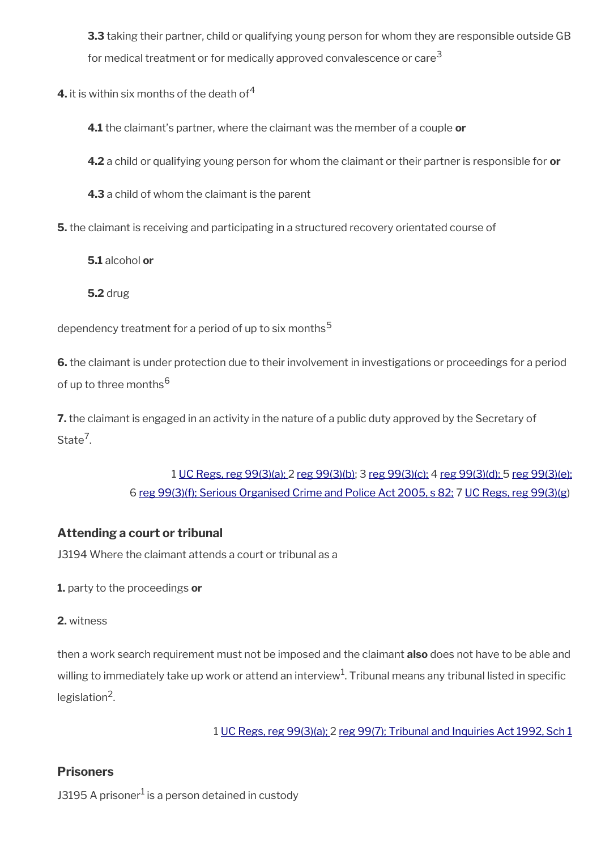**3.3** taking their partner, child or qualifying young person for whom they are responsible outside GB for medical treatment or for medically approved convalescence or care<sup>3</sup>

**4.** it is within six months of the death of  $4$ 

**4.1** the claimant's partner, where the claimant was the member of a couple **or**

**4.2** a child or qualifying young person for whom the claimant or their partner is responsible for **or**

**4.3** a child of whom the claimant is the parent

**5.** the claimant is receiving and participating in a structured recovery orientated course of

**5.1** alcohol **or**

**5.2** drug

dependency treatment for a period of up to six months<sup>5</sup>

**6.** the claimant is under protection due to their involvement in investigations or proceedings for a period of up to three months<sup>6</sup>

**7.** the claimant is engaged in an activity in the nature of a public duty approved by the Secretary of State<sup>7</sup>.

> 1 [UC Regs, reg 99\(3\)\(a\); 2 reg 99\(3\)\(b\);](http://www.legislation.gov.uk/uksi/2013/376/regulation/99) 3 [reg 99\(3\)\(c\);](http://www.legislation.gov.uk/uksi/2013/376/regulation/99) 4 [reg 99\(3\)\(d\);](https://www.legislation.gov.uk/uksi/2013/376/regulation/99) 5 [reg 99\(3\)\(e\);](https://www.legislation.gov.uk/uksi/2013/376/regulation/99) 6 [reg 99\(3\)\(f\);](http://www.legislation.gov.uk/uksi/2013/376/regulation/99) [Serious Organised Crime and Police Act 2005, s 82;](http://www.legislation.gov.uk/ukpga/2005/15/section/82) 7 [UC Regs, reg 99\(3\)\(g\)](http://www.legislation.gov.uk/uksi/2013/376/regulation/99)

## **Attending a court or tribunal**

J3194 Where the claimant attends a court or tribunal as a

**1.** party to the proceedings **or**

#### **2.** witness

then a work search requirement must not be imposed and the claimant **also** does not have to be able and willing to immediately take up work or attend an interview $^1\!\!$ . Tribunal means any tribunal listed in specific legislation<sup>2</sup>.

1 [UC Regs, reg 99\(3\)\(a\);](http://www.legislation.gov.uk/uksi/2013/376/regulation/99) 2 [reg 99\(7\);](http://www.legislation.gov.uk/uksi/2013/376/regulation/99) [Tribunal and Inquiries Act 1992, Sch 1](http://www.legislation.gov.uk/ukpga/1992/53/schedule/1)

## **Prisoners**

J3195 A prisoner $^1$  is a person detained in custody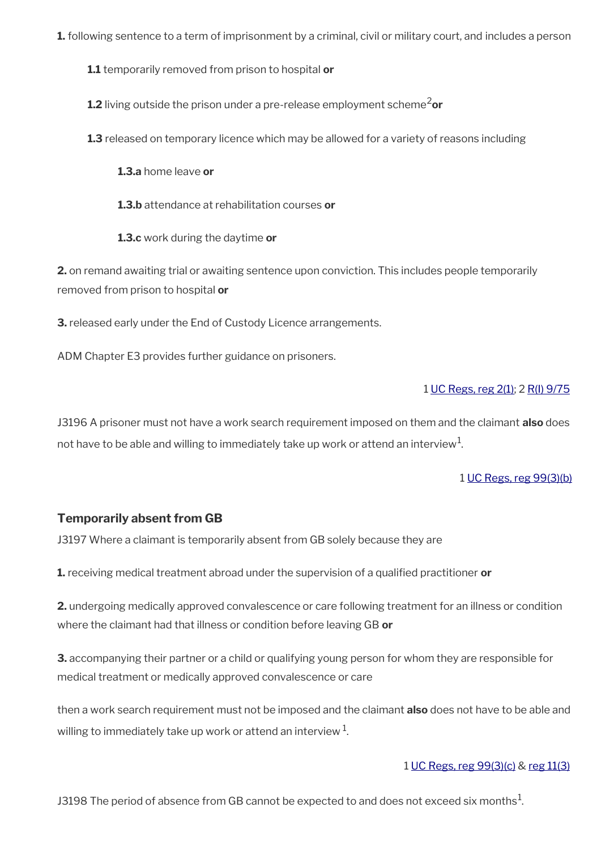**1.** following sentence to a term of imprisonment by a criminal, civil or military court, and includes a person

**1.1** temporarily removed from prison to hospital **or** 

**1.2** living outside the prison under a pre-release employment scheme<sup>2</sup>or

**1.3** released on temporary licence which may be allowed for a variety of reasons including

**1.3.a** home leave **or** 

**1.3.b** attendance at rehabilitation courses **or** 

**1.3.c** work during the daytime **or** 

**2.** on remand awaiting trial or awaiting sentence upon conviction. This includes people temporarily removed from prison to hospital **or**

**3.** released early under the End of Custody Licence arrangements.

ADM Chapter E3 provides further guidance on prisoners.

#### 1 [UC Regs, reg 2\(1\)](http://www.legislation.gov.uk/uksi/2013/376/regulation/2); 2 [R\(I\) 9/75](../file/889278/download/R%2528I%2529%25209%252F75.pdf)

J3196 A prisoner must not have a work search requirement imposed on them and the claimant **also** does not have to be able and willing to immediately take up work or attend an interview $^{\mathrm{1}}$ .

#### 1 [UC Regs, reg 99\(3\)\(b\)](http://www.legislation.gov.uk/uksi/2013/376/regulation/99)

#### **Temporarily absent from GB**

J3197 Where a claimant is temporarily absent from GB solely because they are

**1.** receiving medical treatment abroad under the supervision of a qualifed practitioner **or**

**2.** undergoing medically approved convalescence or care following treatment for an illness or condition where the claimant had that illness or condition before leaving GB **or**

**3.** accompanying their partner or a child or qualifying young person for whom they are responsible for medical treatment or medically approved convalescence or care

then a work search requirement must not be imposed and the claimant **also** does not have to be able and willing to immediately take up work or attend an interview  $^{\mathrm{1}}$ .

#### 1 [UC Regs, reg 99\(3\)\(c\)](http://www.legislation.gov.uk/uksi/2013/376/regulation/99) & [reg 11\(3\)](http://www.legislation.gov.uk/uksi/2013/376/regulation/11)

J3198 The period of absence from GB cannot be expected to and does not exceed six months $^{\mathrm{1}}$ .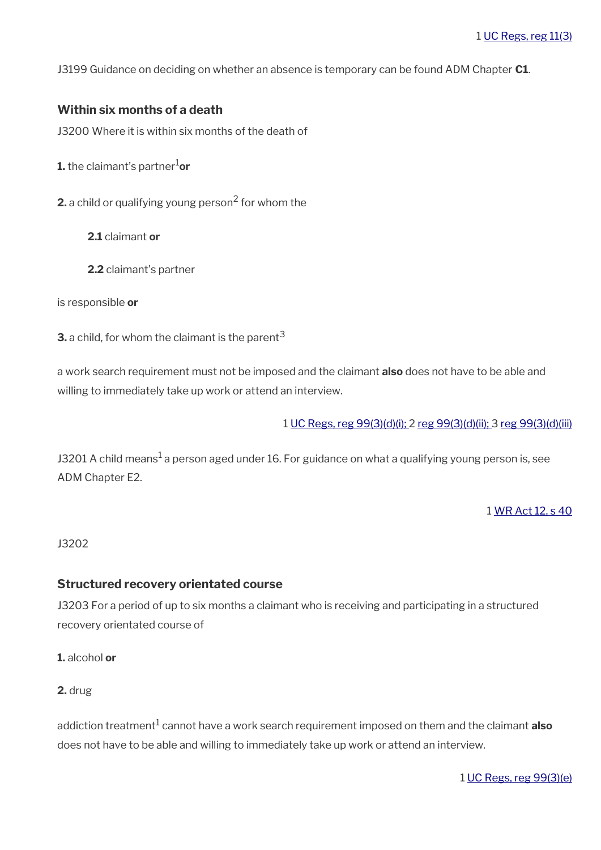J3199 Guidance on deciding on whether an absence is temporary can be found ADM Chapter **C1**.

#### **Within six months of a death**

J3200 Where it is within six months of the death of

**1.** the claimant's partner<sup>1</sup>or

**2.** a child or qualifying young person $^2$  for whom the

**2.1** claimant **or**

**2.2** claimant's partner

is responsible **or**

**3.** a child, for whom the claimant is the parent<sup>3</sup>

a work search requirement must not be imposed and the claimant **also** does not have to be able and willing to immediately take up work or attend an interview.

1 [UC Regs, reg 99\(3\)\(d\)\(i\);](http://www.legislation.gov.uk/uksi/2013/376/regulation/99) 2 [reg 99\(3\)\(d\)\(ii\);](http://www.legislation.gov.uk/uksi/2013/376/regulation/99) 3 [reg 99\(3\)\(d\)\(iii\)](http://www.legislation.gov.uk/uksi/2013/376/regulation/99)

J3201 A child means $^1$  a person aged under 16. For guidance on what a qualifying young person is, see ADM Chapter E2.

1 [WR Act 12, s 40](http://www.legislation.gov.uk/ukpga/2012/5/section/40)

#### J3202

#### **Structured recovery orientated course**

J3203 For a period of up to six months a claimant who is receiving and participating in a structured recovery orientated course of

**1.** alcohol **or**

#### **2.** drug

addiction treatment<sup>1</sup> cannot have a work search requirement imposed on them and the claimant **also** does not have to be able and willing to immediately take up work or attend an interview.

1 [UC Regs, reg 99\(3\)\(e\)](http://www.legislation.gov.uk/uksi/2013/376/regulation/99)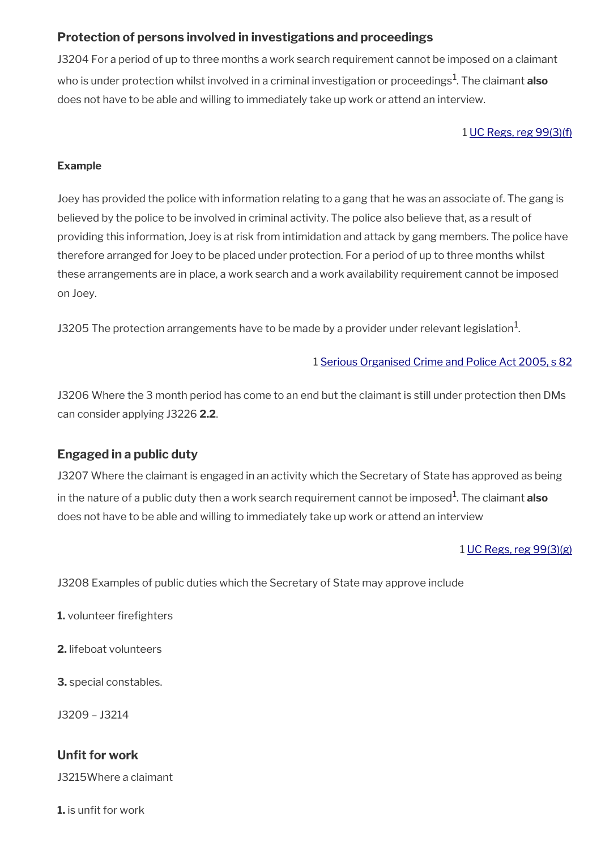## **Protection of persons involved in investigations and proceedings**

J3204 For a period of up to three months a work search requirement cannot be imposed on a claimant who is under protection whilst involved in a criminal investigation or proceedings<sup>1</sup>. The claimant **also** does not have to be able and willing to immediately take up work or attend an interview.

#### 1 [UC Regs, reg 99\(3\)\(f\)](http://www.legislation.gov.uk/uksi/2013/376/regulation/99)

#### **Example**

Joey has provided the police with information relating to a gang that he was an associate of. The gang is believed by the police to be involved in criminal activity. The police also believe that, as a result of providing this information, Joey is at risk from intimidation and attack by gang members. The police have therefore arranged for Joey to be placed under protection. For a period of up to three months whilst these arrangements are in place, a work search and a work availability requirement cannot be imposed on Joey.

J3205 The protection arrangements have to be made by a provider under relevant legislation $^{\rm 1}$ .

#### 1 [Serious Organised Crime and Police Act 2005, s 82](http://www.legislation.gov.uk/ukpga/2005/15/section/82)

J3206 Where the 3 month period has come to an end but the claimant is still under protection then DMs can consider applying J3226 **2.2**.

## **Engaged in a public duty**

J3207 Where the claimant is engaged in an activity which the Secretary of State has approved as being in the nature of a public duty then a work search requirement cannot be imposed<sup>1</sup>. The claimant **also** does not have to be able and willing to immediately take up work or attend an interview

#### 1 [UC Regs, reg 99\(3\)\(g\)](http://www.legislation.gov.uk/uksi/2013/376/regulation/99)

J3208 Examples of public duties which the Secretary of State may approve include

- **1.** volunteer firefighters
- **2.** lifeboat volunteers

**3.** special constables.

J3209 – J3214

## **Unfit for work**

J3215Where a claimant

**1.** is unfit for work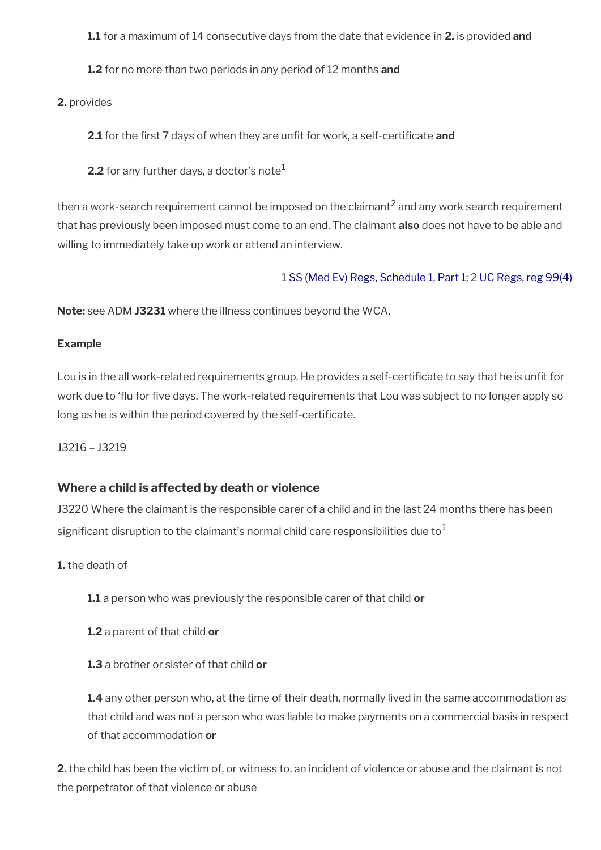**1.1** for a maximum of 14 consecutive days from the date that evidence in **2.** is provided **and**

- **1.2** for no more than two periods in any period of 12 months **and**
- **2.** provides

**2.1** for the first 7 days of when they are unfit for work, a self-certificate and

**2.2** for any further days, a doctor's note<sup>1</sup>

then a work-search requirement cannot be imposed on the claimant<sup>2</sup> and any work search requirement that has previously been imposed must come to an end. The claimant **also** does not have to be able and willing to immediately take up work or attend an interview.

1 [SS \(Med Ev\) Regs, Schedule 1, Part 1;](http://www.legislation.gov.uk/uksi/1976/615/schedule/1) 2 [UC Regs, reg 99\(4\)](http://www.legislation.gov.uk/uksi/2013/376/regulation/99)

**Note:** see ADM **J3231** where the illness continues beyond the WCA.

#### **Example**

Lou is in the all work-related requirements group. He provides a self-certificate to say that he is unfit for work due to 'flu for five days. The work-related requirements that Lou was subject to no longer apply so long as he is within the period covered by the self-certificate.

J3216 – J3219

#### **Where a child is affected by death or violence**

J3220 Where the claimant is the responsible carer of a child and in the last 24 months there has been significant disruption to the claimant's normal child care responsibilities due to $<sup>1</sup>$ </sup>

**1.** the death of

**1.1** a person who was previously the responsible carer of that child **or**

**1.2** a parent of that child **or**

**1.3** a brother or sister of that child **or**

**1.4** any other person who, at the time of their death, normally lived in the same accommodation as that child and was not a person who was liable to make payments on a commercial basis in respect of that accommodation **or**

**2.** the child has been the victim of, or witness to, an incident of violence or abuse and the claimant is not the perpetrator of that violence or abuse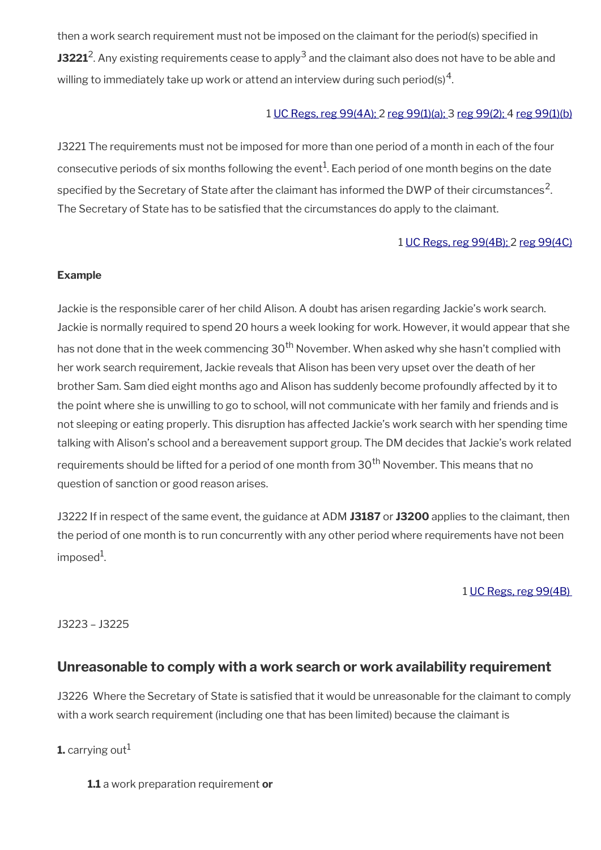then a work search requirement must not be imposed on the claimant for the period(s) specifed in  $\,$   $\,$  **J3221** $^2$ . Any existing requirements cease to apply $^3$  and the claimant also does not have to be able and willing to immediately take up work or attend an interview during such period(s) $^{\mathsf{4}}$ .

#### 1 [UC Regs, reg 99\(4A\);](http://www.legislation.gov.uk/uksi/2013/376/regulation/99) 2 [reg 99\(1\)\(a\); 3](http://www.legislation.gov.uk/uksi/2013/376/regulation/99) [reg 99\(2\);](http://www.legislation.gov.uk/uksi/2013/376/regulation/99) 4 [reg 99\(1\)\(b\)](http://www.legislation.gov.uk/uksi/2013/376/regulation/99)

J3221 The requirements must not be imposed for more than one period of a month in each of the four consecutive periods of six months following the event $^1$ . Each period of one month begins on the date specified by the Secretary of State after the claimant has informed the DWP of their circumstances $^2\!$ . The Secretary of State has to be satisfed that the circumstances do apply to the claimant.

#### 1 [UC Regs, reg 99\(4B\); 2 reg 99\(4C\)](http://www.legislation.gov.uk/uksi/2013/376/regulation/99)

#### **Example**

Jackie is the responsible carer of her child Alison. A doubt has arisen regarding Jackie's work search. Jackie is normally required to spend 20 hours a week looking for work. However, it would appear that she has not done that in the week commencing 30<sup>th</sup> November. When asked why she hasn't complied with her work search requirement, Jackie reveals that Alison has been very upset over the death of her brother Sam. Sam died eight months ago and Alison has suddenly become profoundly affected by it to the point where she is unwilling to go to school, will not communicate with her family and friends and is not sleeping or eating properly. This disruption has affected Jackie's work search with her spending time talking with Alison's school and a bereavement support group. The DM decides that Jackie's work related requirements should be lifted for a period of one month from 30<sup>th</sup> November. This means that no question of sanction or good reason arises.

J3222 If in respect of the same event, the guidance at ADM **J3187** or **J3200** applies to the claimant, then the period of one month is to run concurrently with any other period where requirements have not been imposed<sup>1</sup>.

1 [UC Regs, reg 99\(4B\)](http://www.legislation.gov.uk/uksi/2013/376/regulation/99) 

J3223 – J3225

## <span id="page-59-0"></span>**Unreasonable to comply with a work search or work availability requirement**

J3226 Where the Secretary of State is satisfed that it would be unreasonable for the claimant to comply with a work search requirement (including one that has been limited) because the claimant is

**1.** carrying out<sup>1</sup>

**1.1** a work preparation requirement **or**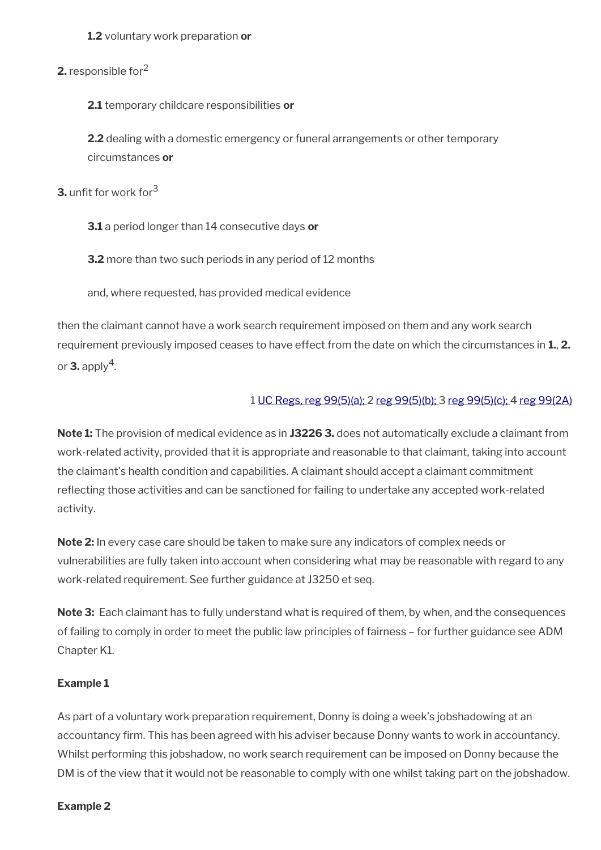#### **1.2** voluntary work preparation **or**

#### **2.** responsible for<sup>2</sup>

**2.1** temporary childcare responsibilities **or**

**2.2** dealing with a domestic emergency or funeral arrangements or other temporary circumstances **or**

**3.** unfit for work for<sup>3</sup>

**3.1** a period longer than 14 consecutive days **or**

**3.2** more than two such periods in any period of 12 months

and, where requested, has provided medical evidence

then the claimant cannot have a work search requirement imposed on them and any work search requirement previously imposed ceases to have effect from the date on which the circumstances in **1.**, **2.** or  $\mathbf{3.}$  apply<sup>4</sup>.

#### 1 [UC Regs, reg 99\(5\)\(a\); 2 reg 99\(5\)\(b\); 3](http://www.legislation.gov.uk/uksi/2013/376/regulation/99) [reg 99\(5\)\(c\); 4](http://www.legislation.gov.uk/uksi/2013/376/regulation/99) [reg 99\(2A\)](http://www.legislation.gov.uk/uksi/2013/376/regulation/99)

**Note 1:** The provision of medical evidence as in **J3226 3.** does not automatically exclude a claimant from work-related activity, provided that it is appropriate and reasonable to that claimant, taking into account the claimant's health condition and capabilities. A claimant should accept a claimant commitment refecting those activities and can be sanctioned for failing to undertake any accepted work-related activity.

**Note 2:** In every case care should be taken to make sure any indicators of complex needs or vulnerabilities are fully taken into account when considering what may be reasonable with regard to any work-related requirement. See further guidance at J3250 et seq.

**Note 3:** Each claimant has to fully understand what is required of them, by when, and the consequences of failing to comply in order to meet the public law principles of fairness – for further guidance see ADM Chapter K1.

#### **Example 1**

As part of a voluntary work preparation requirement, Donny is doing a week's jobshadowing at an accountancy frm. This has been agreed with his adviser because Donny wants to work in accountancy. Whilst performing this jobshadow, no work search requirement can be imposed on Donny because the DM is of the view that it would not be reasonable to comply with one whilst taking part on the jobshadow.

#### **Example 2**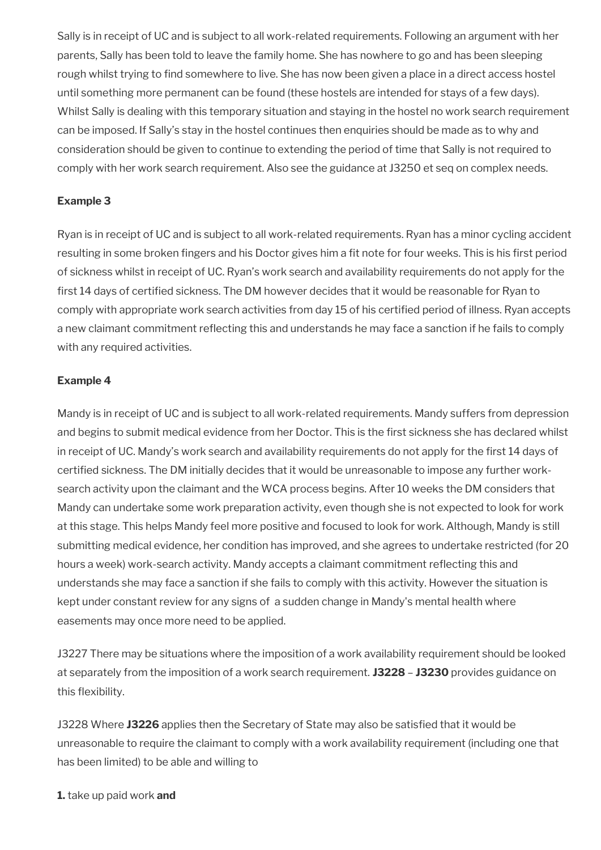Sally is in receipt of UC and is subject to all work-related requirements. Following an argument with her parents, Sally has been told to leave the family home. She has nowhere to go and has been sleeping rough whilst trying to find somewhere to live. She has now been given a place in a direct access hostel until something more permanent can be found (these hostels are intended for stays of a few days). Whilst Sally is dealing with this temporary situation and staying in the hostel no work search requirement can be imposed. If Sally's stay in the hostel continues then enquiries should be made as to why and consideration should be given to continue to extending the period of time that Sally is not required to comply with her work search requirement. Also see the guidance at J3250 et seq on complex needs.

#### **Example 3**

Ryan is in receipt of UC and is subject to all work-related requirements. Ryan has a minor cycling accident resulting in some broken fingers and his Doctor gives him a fit note for four weeks. This is his first period of sickness whilst in receipt of UC. Ryan's work search and availability requirements do not apply for the first 14 days of certified sickness. The DM however decides that it would be reasonable for Ryan to comply with appropriate work search activities from day 15 of his certifed period of illness. Ryan accepts a new claimant commitment refecting this and understands he may face a sanction if he fails to comply with any required activities.

#### **Example 4**

Mandy is in receipt of UC and is subject to all work-related requirements. Mandy suffers from depression and begins to submit medical evidence from her Doctor. This is the first sickness she has declared whilst in receipt of UC. Mandy's work search and availability requirements do not apply for the first 14 days of certifed sickness. The DM initially decides that it would be unreasonable to impose any further worksearch activity upon the claimant and the WCA process begins. After 10 weeks the DM considers that Mandy can undertake some work preparation activity, even though she is not expected to look for work at this stage. This helps Mandy feel more positive and focused to look for work. Although, Mandy is still submitting medical evidence, her condition has improved, and she agrees to undertake restricted (for 20 hours a week) work-search activity. Mandy accepts a claimant commitment refecting this and understands she may face a sanction if she fails to comply with this activity. However the situation is kept under constant review for any signs of a sudden change in Mandy's mental health where easements may once more need to be applied.

J3227 There may be situations where the imposition of a work availability requirement should be looked at separately from the imposition of a work search requirement. **J3228** – **J3230** provides guidance on this flexibility.

J3228 Where **J3226** applies then the Secretary of State may also be satisfed that it would be unreasonable to require the claimant to comply with a work availability requirement (including one that has been limited) to be able and willing to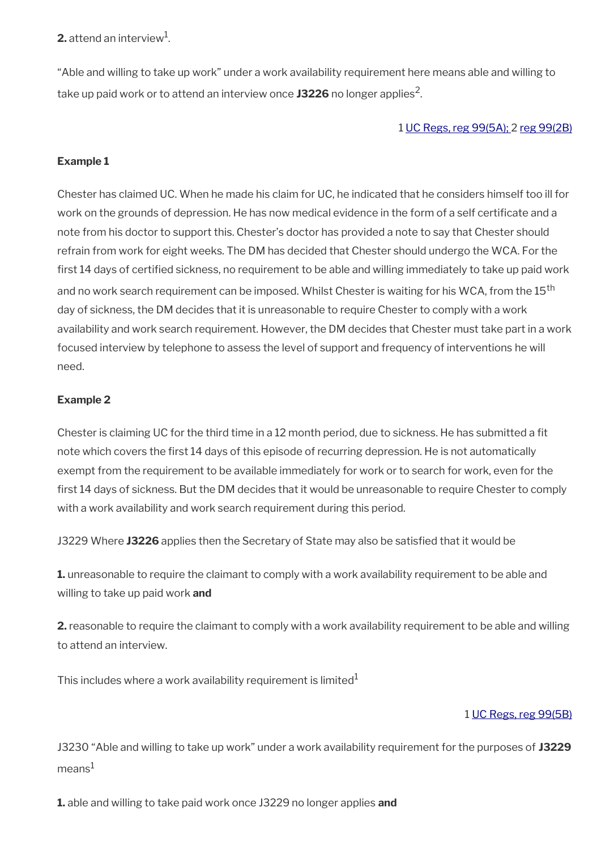**2.** attend an interview $^1$ .

"Able and willing to take up work" under a work availability requirement here means able and willing to take up paid work or to attend an interview once **J3226** no longer applies<sup>2</sup>.

#### 1 [UC Regs, reg 99\(5A\);](http://www.legislation.gov.uk/uksi/2013/376/regulation/99) 2 [reg 99\(2B\)](http://www.legislation.gov.uk/uksi/2013/376/regulation/99)

#### **Example 1**

Chester has claimed UC. When he made his claim for UC, he indicated that he considers himself too ill for work on the grounds of depression. He has now medical evidence in the form of a self certifcate and a note from his doctor to support this. Chester's doctor has provided a note to say that Chester should refrain from work for eight weeks. The DM has decided that Chester should undergo the WCA. For the first 14 days of certified sickness, no requirement to be able and willing immediately to take up paid work and no work search requirement can be imposed. Whilst Chester is waiting for his WCA, from the 15<sup>th</sup> day of sickness, the DM decides that it is unreasonable to require Chester to comply with a work availability and work search requirement. However, the DM decides that Chester must take part in a work focused interview by telephone to assess the level of support and frequency of interventions he will need.

### **Example 2**

Chester is claiming UC for the third time in a 12 month period, due to sickness. He has submitted a fit note which covers the first 14 days of this episode of recurring depression. He is not automatically exempt from the requirement to be available immediately for work or to search for work, even for the frst 14 days of sickness. But the DM decides that it would be unreasonable to require Chester to comply with a work availability and work search requirement during this period.

J3229 Where **J3226** applies then the Secretary of State may also be satisfed that it would be

**1.** unreasonable to require the claimant to comply with a work availability requirement to be able and willing to take up paid work **and**

**2.** reasonable to require the claimant to comply with a work availability requirement to be able and willing to attend an interview.

This includes where a work availability requirement is limited $1$ 

#### 1 [UC Regs, reg 99\(5B\)](http://www.legislation.gov.uk/uksi/2013/376/regulation/99)

J3230 "Able and willing to take up work" under a work availability requirement for the purposes of **J3229** means<sup>1</sup>

**1.** able and willing to take paid work once J3229 no longer applies **and**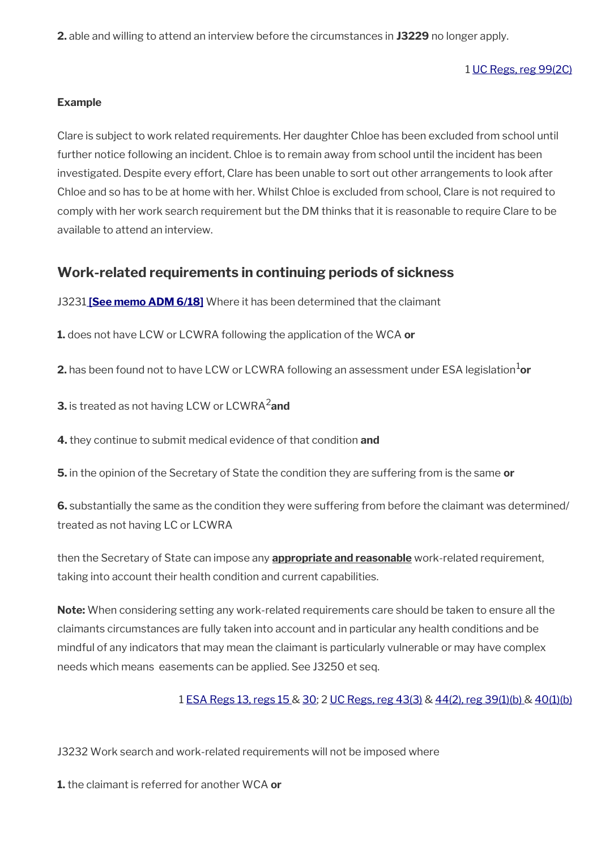**2.** able and willing to attend an interview before the circumstances in **J3229** no longer apply.

#### 1 [UC Regs, reg 99\(2C\)](http://www.legislation.gov.uk/uksi/2013/376/regulation/99)

#### **Example**

Clare is subject to work related requirements. Her daughter Chloe has been excluded from school until further notice following an incident. Chloe is to remain away from school until the incident has been investigated. Despite every effort, Clare has been unable to sort out other arrangements to look after Chloe and so has to be at home with her. Whilst Chloe is excluded from school, Clare is not required to comply with her work search requirement but the DM thinks that it is reasonable to require Clare to be available to attend an interview.

## <span id="page-63-0"></span>**Work-related requirements in continuing periods of sickness**

J3231 **[\[See memo ADM 6/18\]](http://intranet.dwp.gov.uk/manual/advice-decision-making-adm/06-18-universal-credit-work-related-requirements-work-pilot-scheme-and-amendment-regulations-2015)** Where it has been determined that the claimant

**1.** does not have LCW or LCWRA following the application of the WCA **or**

**2.** has been found not to have LCW or LCWRA following an assessment under ESA legislation<sup>1</sup>or

**3.** is treated as not having LCW or LCWRA<sup>2</sup>and

**4.** they continue to submit medical evidence of that condition **and**

**5.** in the opinion of the Secretary of State the condition they are suffering from is the same **or**

**6.** substantially the same as the condition they were suffering from before the claimant was determined/ treated as not having LC or LCWRA

then the Secretary of State can impose any **appropriate and reasonable** work-related requirement, taking into account their health condition and current capabilities.

**Note:** When considering setting any work-related requirements care should be taken to ensure all the claimants circumstances are fully taken into account and in particular any health conditions and be mindful of any indicators that may mean the claimant is particularly vulnerable or may have complex needs which means easements can be applied. See J3250 et seq.

1 [ESA Regs 13, regs 15](http://www.legislation.gov.uk/uksi/2013/379/regulation/15) & [30;](http://www.legislation.gov.uk/uksi/2013/379/regulation/30) 2 [UC Regs, reg 43\(3\)](http://www.legislation.gov.uk/uksi/2013/376/regulation/43) & [44\(2\),](http://www.legislation.gov.uk/uksi/2013/376/regulation/44) [reg 39\(1\)\(b\)](http://www.legislation.gov.uk/uksi/2013/376/regulation/39) & [40\(1\)\(b\)](http://www.legislation.gov.uk/uksi/2013/376/regulation/40)

J3232 Work search and work-related requirements will not be imposed where

**1.** the claimant is referred for another WCA **or**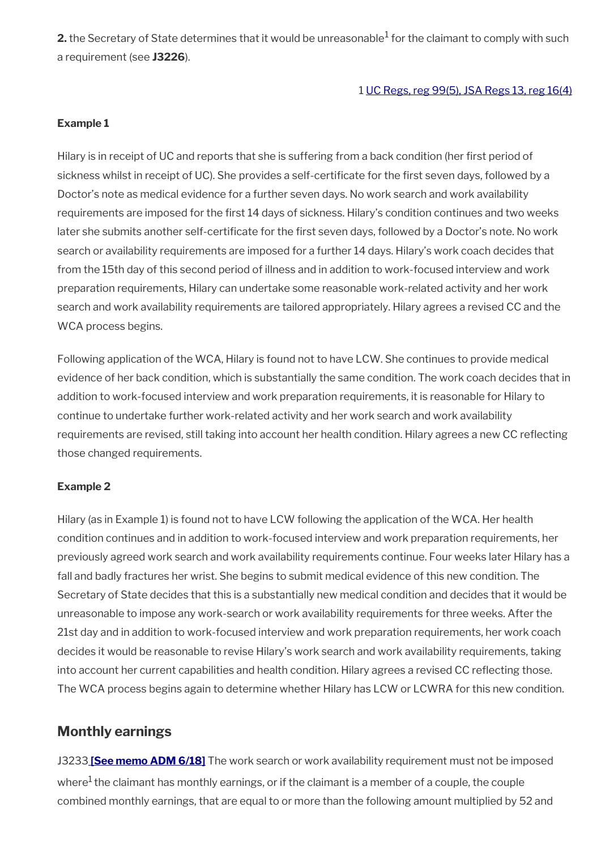$\bm{2}.$  the Secretary of State determines that it would be unreasonable $^1$  for the claimant to comply with such a requirement (see **J3226**).

#### 1 [UC Regs, reg 99\(5\),](http://www.legislation.gov.uk/uksi/2013/376/regulation/99) [JSA Regs 13, reg 16\(4\)](http://www.legislation.gov.uk/uksi/2013/378/regulation/16)

#### **Example 1**

Hilary is in receipt of UC and reports that she is suffering from a back condition (her frst period of sickness whilst in receipt of UC). She provides a self-certifcate for the frst seven days, followed by a Doctor's note as medical evidence for a further seven days. No work search and work availability requirements are imposed for the first 14 days of sickness. Hilary's condition continues and two weeks later she submits another self-certificate for the first seven days, followed by a Doctor's note. No work search or availability requirements are imposed for a further 14 days. Hilary's work coach decides that from the 15th day of this second period of illness and in addition to work-focused interview and work preparation requirements, Hilary can undertake some reasonable work-related activity and her work search and work availability requirements are tailored appropriately. Hilary agrees a revised CC and the WCA process begins.

Following application of the WCA, Hilary is found not to have LCW. She continues to provide medical evidence of her back condition, which is substantially the same condition. The work coach decides that in addition to work-focused interview and work preparation requirements, it is reasonable for Hilary to continue to undertake further work-related activity and her work search and work availability requirements are revised, still taking into account her health condition. Hilary agrees a new CC refecting those changed requirements.

#### **Example 2**

Hilary (as in Example 1) is found not to have LCW following the application of the WCA. Her health condition continues and in addition to work-focused interview and work preparation requirements, her previously agreed work search and work availability requirements continue. Four weeks later Hilary has a fall and badly fractures her wrist. She begins to submit medical evidence of this new condition. The Secretary of State decides that this is a substantially new medical condition and decides that it would be unreasonable to impose any work-search or work availability requirements for three weeks. After the 21st day and in addition to work-focused interview and work preparation requirements, her work coach decides it would be reasonable to revise Hilary's work search and work availability requirements, taking into account her current capabilities and health condition. Hilary agrees a revised CC refecting those. The WCA process begins again to determine whether Hilary has LCW or LCWRA for this new condition.

## <span id="page-64-0"></span>**Monthly earnings**

J3233 **[\[See memo ADM 6/18\]](http://intranet.dwp.gov.uk/manual/advice-decision-making-adm/06-18-universal-credit-work-related-requirements-work-pilot-scheme-and-amendment-regulations-2015)** The work search or work availability requirement must not be imposed where<sup>1</sup> the claimant has monthly earnings, or if the claimant is a member of a couple, the couple combined monthly earnings, that are equal to or more than the following amount multiplied by 52 and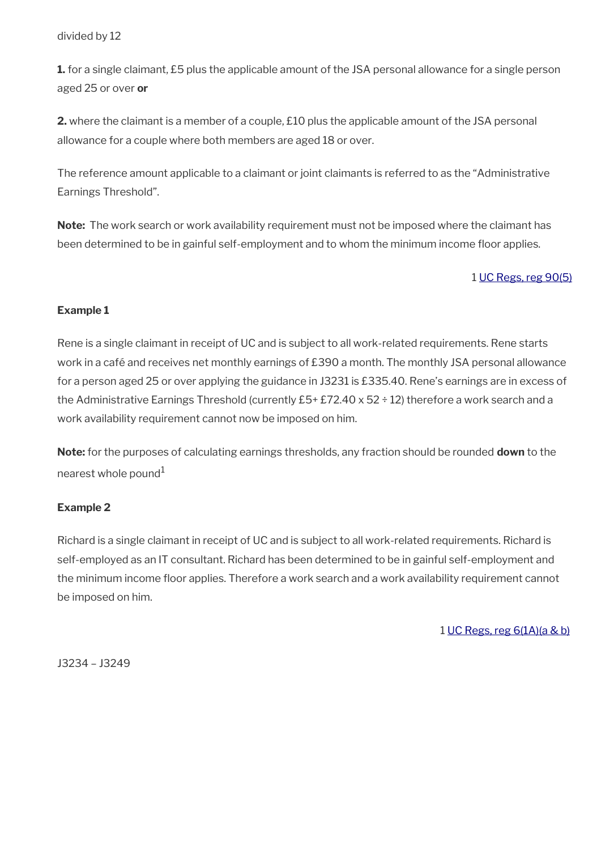**1.** for a single claimant, £5 plus the applicable amount of the JSA personal allowance for a single person aged 25 or over **or**

**2.** where the claimant is a member of a couple, £10 plus the applicable amount of the JSA personal allowance for a couple where both members are aged 18 or over.

The reference amount applicable to a claimant or joint claimants is referred to as the "Administrative Earnings Threshold".

**Note:** The work search or work availability requirement must not be imposed where the claimant has been determined to be in gainful self-employment and to whom the minimum income floor applies.

#### 1 [UC Regs, reg 90\(5\)](http://www.legislation.gov.uk/uksi/2013/376/regulation/90)

#### **Example 1**

Rene is a single claimant in receipt of UC and is subject to all work-related requirements. Rene starts work in a café and receives net monthly earnings of £390 a month. The monthly JSA personal allowance for a person aged 25 or over applying the guidance in J3231 is £335.40. Rene's earnings are in excess of the Administrative Earnings Threshold (currently  $£5+£72.40 \times 52 \div 12$ ) therefore a work search and a work availability requirement cannot now be imposed on him.

**Note:** for the purposes of calculating earnings thresholds, any fraction should be rounded **down** to the nearest whole pound $1$ 

#### **Example 2**

Richard is a single claimant in receipt of UC and is subject to all work-related requirements. Richard is self-employed as an IT consultant. Richard has been determined to be in gainful self-employment and the minimum income floor applies. Therefore a work search and a work availability requirement cannot be imposed on him.

1 [UC Regs, reg 6\(1A\)\(a & b\)](http://www.legislation.gov.uk/uksi/2013/376/regulation/6)

J3234 – J3249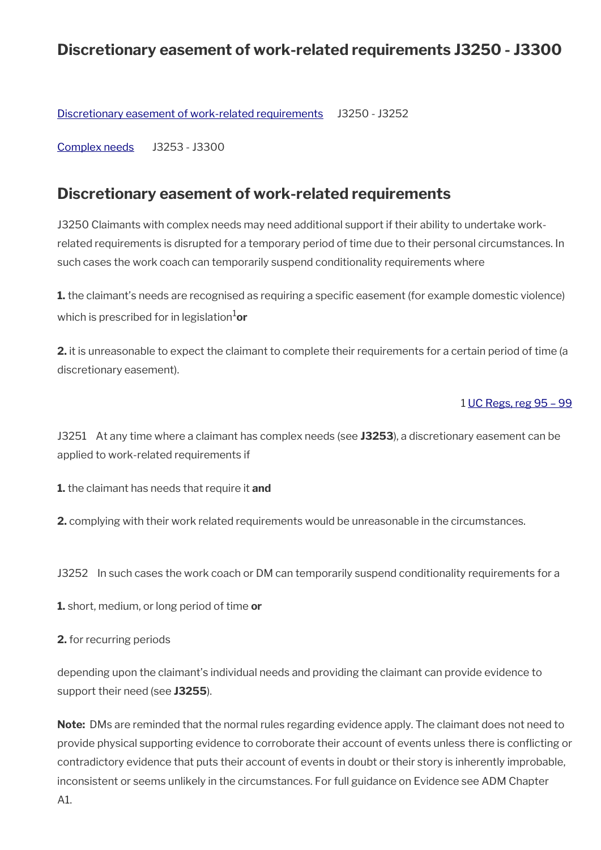## **Discretionary easement of work-related requirements J3250 - J3300**

[Discretionary easement of work-related requirements](#page-66-0) J3250 - J3252

[Complex needs](#page-67-0) J3253 - J3300

## <span id="page-66-0"></span>**Discretionary easement of work-related requirements**

J3250 Claimants with complex needs may need additional support if their ability to undertake workrelated requirements is disrupted for a temporary period of time due to their personal circumstances. In such cases the work coach can temporarily suspend conditionality requirements where

**1.** the claimant's needs are recognised as requiring a specific easement (for example domestic violence) which is prescribed for in legislation<sup>1</sup>or

**2.** it is unreasonable to expect the claimant to complete their requirements for a certain period of time (a discretionary easement).

#### 1 [UC Regs, reg 95 – 99](http://www.legislation.gov.uk/uksi/2013/376/part/8/chapter/1/crossheading/the-workrelated-requirements)

J3251 At any time where a claimant has complex needs (see **J3253**), a discretionary easement can be applied to work-related requirements if

**1.** the claimant has needs that require it **and**

**2.** complying with their work related requirements would be unreasonable in the circumstances.

J3252 In such cases the work coach or DM can temporarily suspend conditionality requirements for a

**1.** short, medium, or long period of time **or** 

**2.** for recurring periods

depending upon the claimant's individual needs and providing the claimant can provide evidence to support their need (see **J3255**).

**Note:** DMs are reminded that the normal rules regarding evidence apply. The claimant does not need to provide physical supporting evidence to corroborate their account of events unless there is conficting or contradictory evidence that puts their account of events in doubt or their story is inherently improbable, inconsistent or seems unlikely in the circumstances. For full guidance on Evidence see ADM Chapter A1.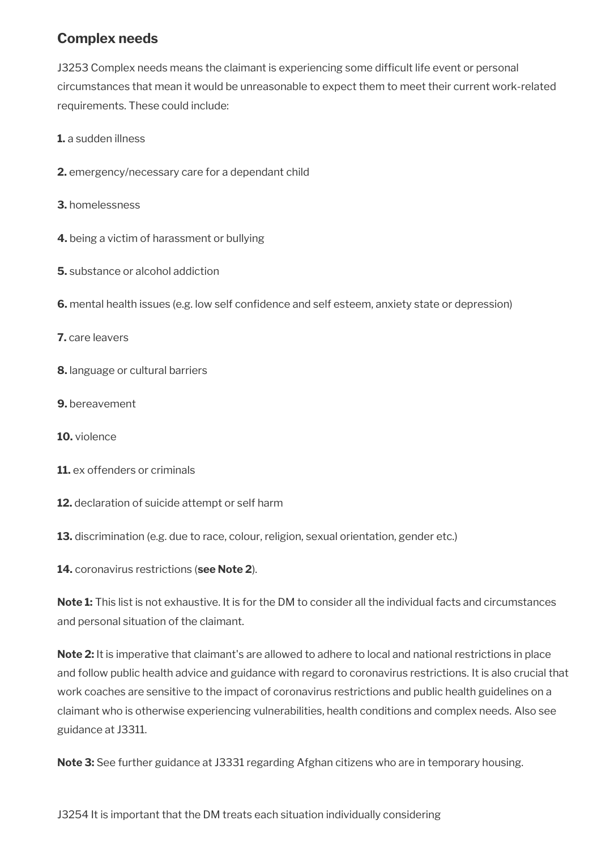## <span id="page-67-0"></span>**Complex needs**

J3253 Complex needs means the claimant is experiencing some difficult life event or personal circumstances that mean it would be unreasonable to expect them to meet their current work-related requirements. These could include:

- **1.** a sudden illness
- **2.** emergency/necessary care for a dependant child
- **3.** homelessness
- **4.** being a victim of harassment or bullying
- **5.** substance or alcohol addiction
- **6.** mental health issues (e.g. low self confidence and self esteem, anxiety state or depression)
- **7.** care leavers
- **8.** language or cultural barriers
- **9.** bereavement
- **10.** violence
- **11.** ex offenders or criminals
- **12.** declaration of suicide attempt or self harm
- **13.** discrimination (e.g. due to race, colour, religion, sexual orientation, gender etc.)
- **14.** coronavirus restrictions (**see Note 2**).

**Note 1:** This list is not exhaustive. It is for the DM to consider all the individual facts and circumstances and personal situation of the claimant.

**Note 2:** It is imperative that claimant's are allowed to adhere to local and national restrictions in place and follow public health advice and guidance with regard to coronavirus restrictions. It is also crucial that work coaches are sensitive to the impact of coronavirus restrictions and public health guidelines on a claimant who is otherwise experiencing vulnerabilities, health conditions and complex needs. Also see guidance at J3311.

**Note 3:** See further guidance at J3331 regarding Afghan citizens who are in temporary housing.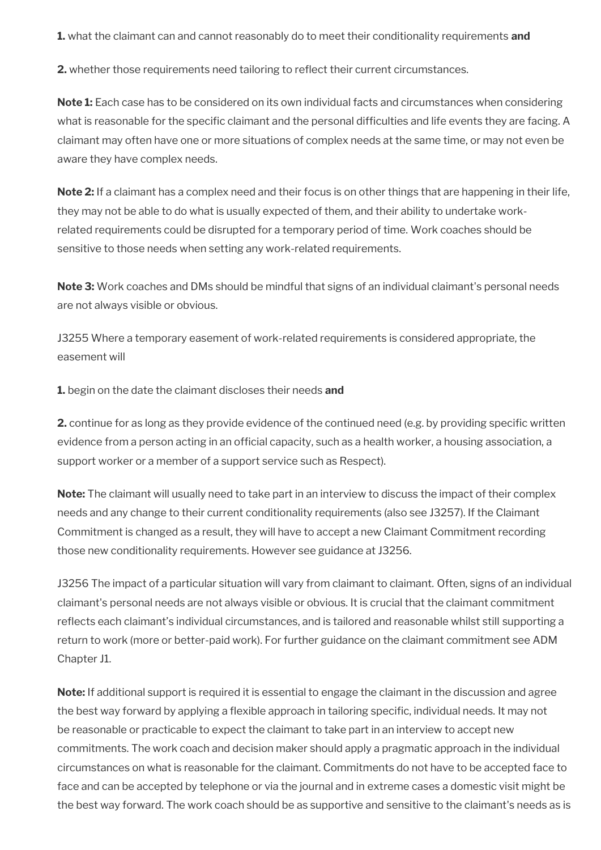**1.** what the claimant can and cannot reasonably do to meet their conditionality requirements **and**

**2.** whether those requirements need tailoring to refect their current circumstances.

**Note 1:** Each case has to be considered on its own individual facts and circumstances when considering what is reasonable for the specific claimant and the personal difficulties and life events they are facing. A claimant may often have one or more situations of complex needs at the same time, or may not even be aware they have complex needs.

**Note 2:** If a claimant has a complex need and their focus is on other things that are happening in their life, they may not be able to do what is usually expected of them, and their ability to undertake workrelated requirements could be disrupted for a temporary period of time. Work coaches should be sensitive to those needs when setting any work-related requirements.

**Note 3:** Work coaches and DMs should be mindful that signs of an individual claimant's personal needs are not always visible or obvious.

J3255 Where a temporary easement of work-related requirements is considered appropriate, the easement will

**1.** begin on the date the claimant discloses their needs **and**

**2.** continue for as long as they provide evidence of the continued need (e.g. by providing specific written evidence from a person acting in an official capacity, such as a health worker, a housing association, a support worker or a member of a support service such as Respect).

**Note:** The claimant will usually need to take part in an interview to discuss the impact of their complex needs and any change to their current conditionality requirements (also see J3257). If the Claimant Commitment is changed as a result, they will have to accept a new Claimant Commitment recording those new conditionality requirements. However see guidance at J3256.

J3256 The impact of a particular situation will vary from claimant to claimant. Often, signs of an individual claimant's personal needs are not always visible or obvious. It is crucial that the claimant commitment reflects each claimant's individual circumstances, and is tailored and reasonable whilst still supporting a return to work (more or better-paid work). For further guidance on the claimant commitment see ADM Chapter J1.

**Note:** If additional support is required it is essential to engage the claimant in the discussion and agree the best way forward by applying a fexible approach in tailoring specifc, individual needs. It may not be reasonable or practicable to expect the claimant to take part in an interview to accept new commitments. The work coach and decision maker should apply a pragmatic approach in the individual circumstances on what is reasonable for the claimant. Commitments do not have to be accepted face to face and can be accepted by telephone or via the journal and in extreme cases a domestic visit might be the best way forward. The work coach should be as supportive and sensitive to the claimant's needs as is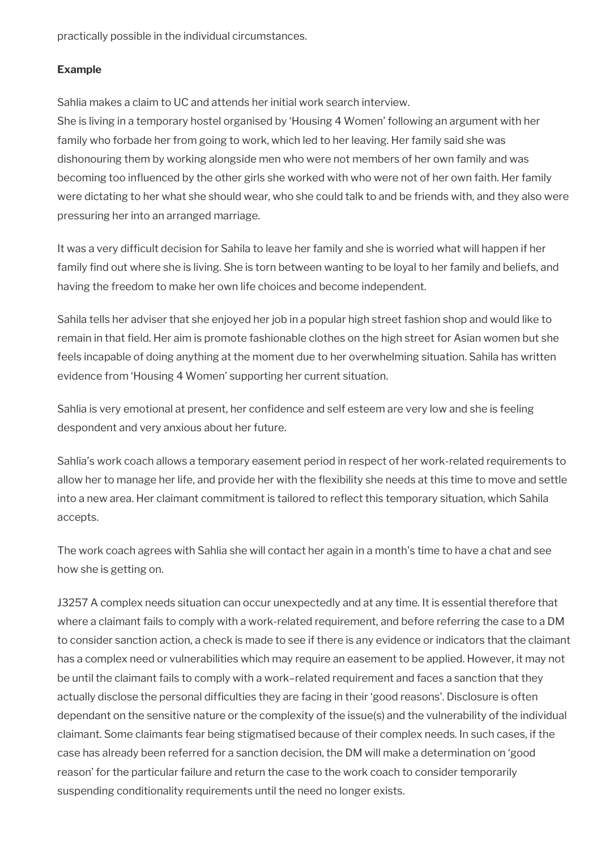practically possible in the individual circumstances.

#### **Example**

Sahlia makes a claim to UC and attends her initial work search interview.

She is living in a temporary hostel organised by 'Housing 4 Women' following an argument with her family who forbade her from going to work, which led to her leaving. Her family said she was dishonouring them by working alongside men who were not members of her own family and was becoming too infuenced by the other girls she worked with who were not of her own faith. Her family were dictating to her what she should wear, who she could talk to and be friends with, and they also were pressuring her into an arranged marriage.

It was a very difficult decision for Sahila to leave her family and she is worried what will happen if her family find out where she is living. She is torn between wanting to be loyal to her family and beliefs, and having the freedom to make her own life choices and become independent.

Sahila tells her adviser that she enjoyed her job in a popular high street fashion shop and would like to remain in that field. Her aim is promote fashionable clothes on the high street for Asian women but she feels incapable of doing anything at the moment due to her overwhelming situation. Sahila has written evidence from 'Housing 4 Women' supporting her current situation.

Sahlia is very emotional at present, her confidence and self esteem are very low and she is feeling despondent and very anxious about her future.

Sahlia's work coach allows a temporary easement period in respect of her work-related requirements to allow her to manage her life, and provide her with the flexibility she needs at this time to move and settle into a new area. Her claimant commitment is tailored to refect this temporary situation, which Sahila accepts.

The work coach agrees with Sahlia she will contact her again in a month's time to have a chat and see how she is getting on.

J3257 A complex needs situation can occur unexpectedly and at any time. It is essential therefore that where a claimant fails to comply with a work-related requirement, and before referring the case to a DM to consider sanction action, a check is made to see if there is any evidence or indicators that the claimant has a complex need or vulnerabilities which may require an easement to be applied. However, it may not be until the claimant fails to comply with a work–related requirement and faces a sanction that they actually disclose the personal difficulties they are facing in their 'good reasons'. Disclosure is often dependant on the sensitive nature or the complexity of the issue(s) and the vulnerability of the individual claimant. Some claimants fear being stigmatised because of their complex needs. In such cases, if the case has already been referred for a sanction decision, the DM will make a determination on 'good reason' for the particular failure and return the case to the work coach to consider temporarily suspending conditionality requirements until the need no longer exists.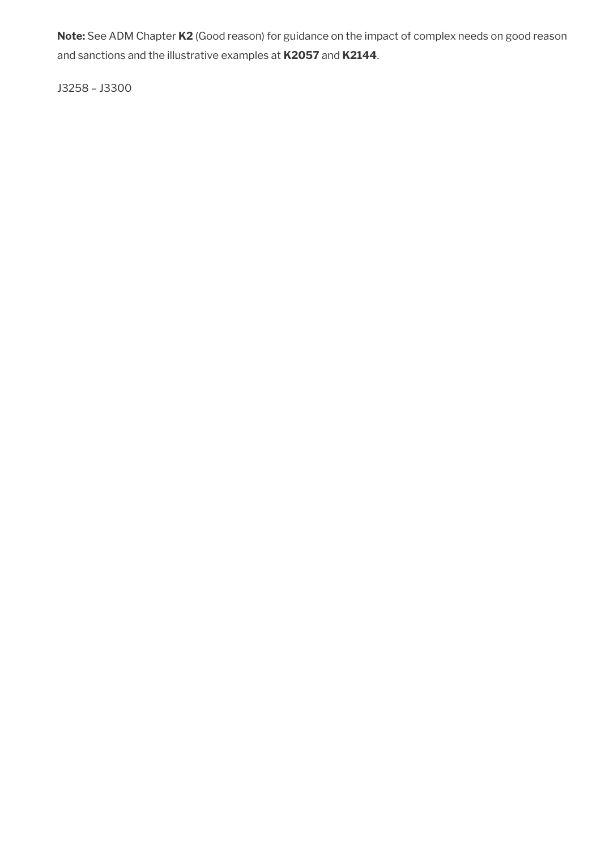**Note:** See ADM Chapter **K2** (Good reason) for guidance on the impact of complex needs on good reason and sanctions and the illustrative examples at **K2057** and **K2144**.

J3258 – J3300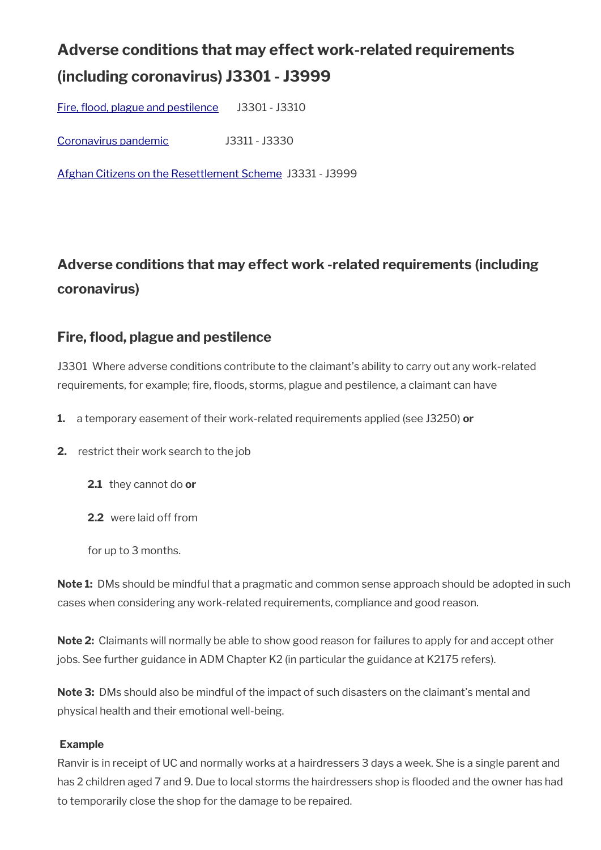# **Adverse conditions that may effect work-related requirements (including coronavirus) J3301 - J3999**

Fire, flood, plague and pestilence J3301 - J3310

[Coronavirus pandemic](#page-72-0) J3311 - J3330

[Afghan Citizens on the Resettlement Scheme](#page-78-0) J3331 - J3999

## **Adverse conditions that may effect work -related requirements (including coronavirus)**

## <span id="page-71-0"></span>**Fire, food, plague and pestilence**

J3301 Where adverse conditions contribute to the claimant's ability to carry out any work-related requirements, for example; fre, foods, storms, plague and pestilence, a claimant can have

- **1.** a temporary easement of their work-related requirements applied (see J3250) **or**
- **2.** restrict their work search to the job
	- **2.1** they cannot do **or**
	- **2.2** were laid off from

for up to 3 months.

**Note 1:** DMs should be mindful that a pragmatic and common sense approach should be adopted in such cases when considering any work-related requirements, compliance and good reason.

**Note 2:** Claimants will normally be able to show good reason for failures to apply for and accept other jobs. See further guidance in ADM Chapter K2 (in particular the guidance at K2175 refers).

**Note 3:** DMs should also be mindful of the impact of such disasters on the claimant's mental and physical health and their emotional well-being.

#### **Example**

Ranvir is in receipt of UC and normally works at a hairdressers 3 days a week. She is a single parent and has 2 children aged 7 and 9. Due to local storms the hairdressers shop is flooded and the owner has had to temporarily close the shop for the damage to be repaired.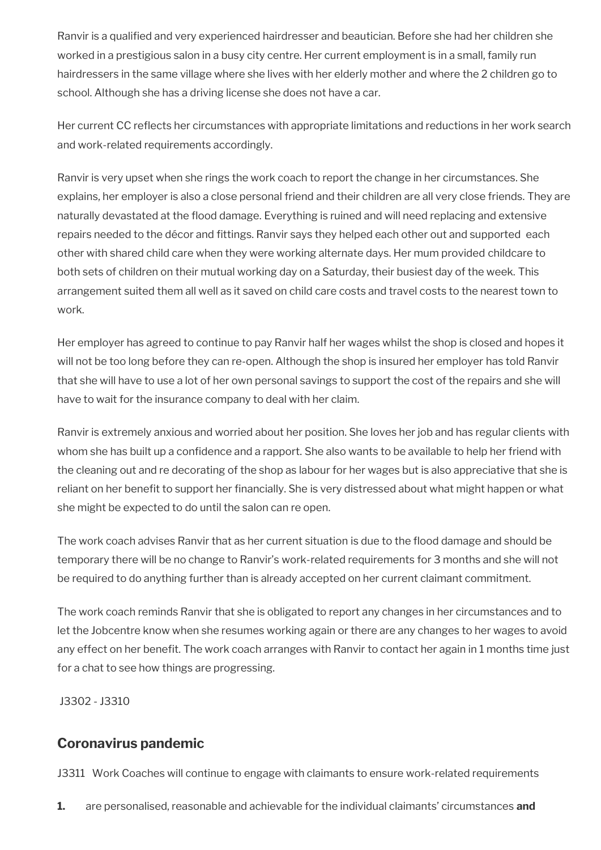Ranvir is a qualifed and very experienced hairdresser and beautician. Before she had her children she worked in a prestigious salon in a busy city centre. Her current employment is in a small, family run hairdressers in the same village where she lives with her elderly mother and where the 2 children go to school. Although she has a driving license she does not have a car.

Her current CC reflects her circumstances with appropriate limitations and reductions in her work search and work-related requirements accordingly.

Ranvir is very upset when she rings the work coach to report the change in her circumstances. She explains, her employer is also a close personal friend and their children are all very close friends. They are naturally devastated at the flood damage. Everything is ruined and will need replacing and extensive repairs needed to the décor and fttings. Ranvir says they helped each other out and supported each other with shared child care when they were working alternate days. Her mum provided childcare to both sets of children on their mutual working day on a Saturday, their busiest day of the week. This arrangement suited them all well as it saved on child care costs and travel costs to the nearest town to work.

Her employer has agreed to continue to pay Ranvir half her wages whilst the shop is closed and hopes it will not be too long before they can re-open. Although the shop is insured her employer has told Ranvir that she will have to use a lot of her own personal savings to support the cost of the repairs and she will have to wait for the insurance company to deal with her claim.

Ranvir is extremely anxious and worried about her position. She loves her job and has regular clients with whom she has built up a confidence and a rapport. She also wants to be available to help her friend with the cleaning out and re decorating of the shop as labour for her wages but is also appreciative that she is reliant on her benefit to support her financially. She is very distressed about what might happen or what she might be expected to do until the salon can re open.

The work coach advises Ranvir that as her current situation is due to the food damage and should be temporary there will be no change to Ranvir's work-related requirements for 3 months and she will not be required to do anything further than is already accepted on her current claimant commitment.

The work coach reminds Ranvir that she is obligated to report any changes in her circumstances and to let the Jobcentre know when she resumes working again or there are any changes to her wages to avoid any effect on her beneft. The work coach arranges with Ranvir to contact her again in 1 months time just for a chat to see how things are progressing.

J3302 - J3310

## **Coronavirus pandemic**

J3311 Work Coaches will continue to engage with claimants to ensure work-related requirements

**1.** are personalised, reasonable and achievable for the individual claimants' circumstances **and**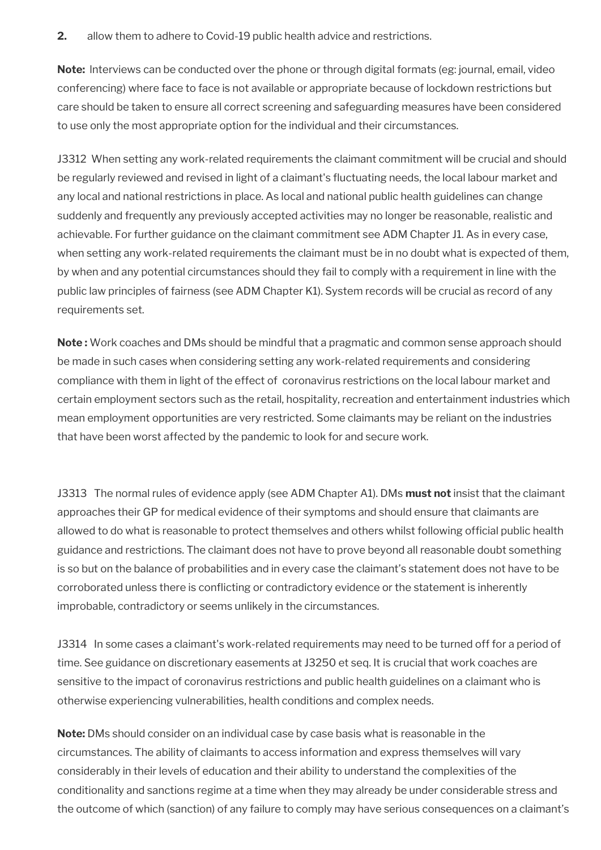**Note:** lnterviews can be conducted over the phone or through digital formats (eg: journal, email, video conferencing) where face to face is not available or appropriate because of lockdown restrictions but care should be taken to ensure all correct screening and safeguarding measures have been considered to use only the most appropriate option for the individual and their circumstances.

J3312 When setting any work-related requirements the claimant commitment will be crucial and should be regularly reviewed and revised in light of a claimant's fuctuating needs, the local labour market and any local and national restrictions in place. As local and national public health guidelines can change suddenly and frequently any previously accepted activities may no longer be reasonable, realistic and achievable. For further guidance on the claimant commitment see ADM Chapter J1. As in every case, when setting any work-related requirements the claimant must be in no doubt what is expected of them, by when and any potential circumstances should they fail to comply with a requirement in line with the public law principles of fairness (see ADM Chapter K1). System records will be crucial as record of any requirements set.

**Note :** Work coaches and DMs should be mindful that a pragmatic and common sense approach should be made in such cases when considering setting any work-related requirements and considering compliance with them in light of the effect of coronavirus restrictions on the local labour market and certain employment sectors such as the retail, hospitality, recreation and entertainment industries which mean employment opportunities are very restricted. Some claimants may be reliant on the industries that have been worst affected by the pandemic to look for and secure work.

J3313 The normal rules of evidence apply (see ADM Chapter A1). DMs **must not** insist that the claimant approaches their GP for medical evidence of their symptoms and should ensure that claimants are allowed to do what is reasonable to protect themselves and others whilst following official public health guidance and restrictions. The claimant does not have to prove beyond all reasonable doubt something is so but on the balance of probabilities and in every case the claimant's statement does not have to be corroborated unless there is conficting or contradictory evidence or the statement is inherently improbable, contradictory or seems unlikely in the circumstances.

J3314 In some cases a claimant's work-related requirements may need to be turned off for a period of time. See guidance on discretionary easements at J3250 et seq. It is crucial that work coaches are sensitive to the impact of coronavirus restrictions and public health guidelines on a claimant who is otherwise experiencing vulnerabilities, health conditions and complex needs.

**Note:** DMs should consider on an individual case by case basis what is reasonable in the circumstances. The ability of claimants to access information and express themselves will vary considerably in their levels of education and their ability to understand the complexities of the conditionality and sanctions regime at a time when they may already be under considerable stress and the outcome of which (sanction) of any failure to comply may have serious consequences on a claimant's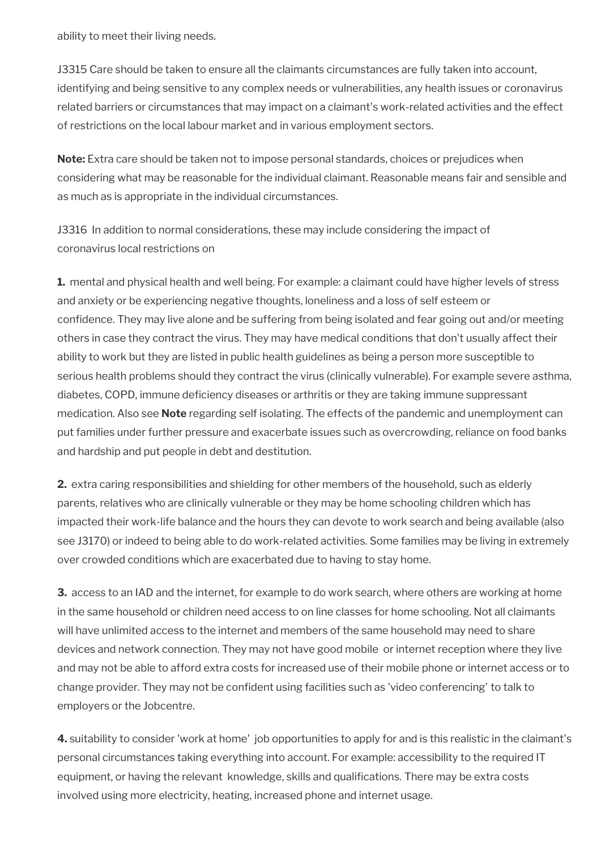ability to meet their living needs.

J3315 Care should be taken to ensure all the claimants circumstances are fully taken into account, identifying and being sensitive to any complex needs or vulnerabilities, any health issues or coronavirus related barriers or circumstances that may impact on a claimant's work-related activities and the effect of restrictions on the local labour market and in various employment sectors.

**Note:** Extra care should be taken not to impose personal standards, choices or prejudices when considering what may be reasonable for the individual claimant. Reasonable means fair and sensible and as much as is appropriate in the individual circumstances.

J3316 In addition to normal considerations, these may include considering the impact of coronavirus local restrictions on

**1.** mental and physical health and well being. For example: a claimant could have higher levels of stress and anxiety or be experiencing negative thoughts, loneliness and a loss of self esteem or confdence. They may live alone and be suffering from being isolated and fear going out and/or meeting others in case they contract the virus. They may have medical conditions that don't usually affect their ability to work but they are listed in public health guidelines as being a person more susceptible to serious health problems should they contract the virus (clinically vulnerable). For example severe asthma, diabetes, COPD, immune deficiency diseases or arthritis or they are taking immune suppressant medication. Also see **Note** regarding self isolating. The effects of the pandemic and unemployment can put families under further pressure and exacerbate issues such as overcrowding, reliance on food banks and hardship and put people in debt and destitution.

**2.** extra caring responsibilities and shielding for other members of the household, such as elderly parents, relatives who are clinically vulnerable or they may be home schooling children which has impacted their work-life balance and the hours they can devote to work search and being available (also see J3170) or indeed to being able to do work-related activities. Some families may be living in extremely over crowded conditions which are exacerbated due to having to stay home.

**3.** access to an IAD and the internet, for example to do work search, where others are working at home in the same household or children need access to on line classes for home schooling. Not all claimants will have unlimited access to the internet and members of the same household may need to share devices and network connection. They may not have good mobile or internet reception where they live and may not be able to afford extra costs for increased use of their mobile phone or internet access or to change provider. They may not be confdent using facilities such as 'video conferencing' to talk to employers or the Jobcentre.

**4.** suitability to consider 'work at home' job opportunities to apply for and is this realistic in the claimant's personal circumstances taking everything into account. For example: accessibility to the required IT equipment, or having the relevant knowledge, skills and qualifications. There may be extra costs involved using more electricity, heating, increased phone and internet usage.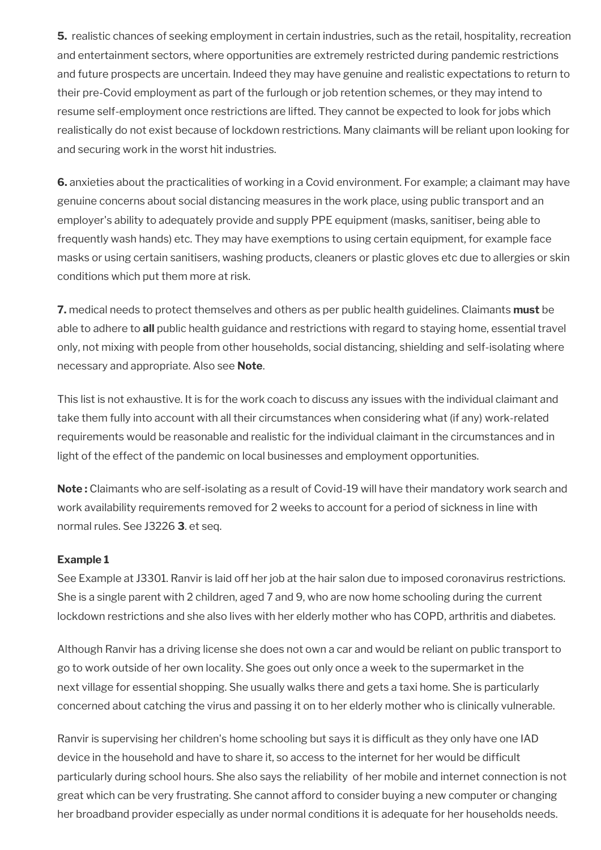**5.** realistic chances of seeking employment in certain industries, such as the retail, hospitality, recreation and entertainment sectors, where opportunities are extremely restricted during pandemic restrictions and future prospects are uncertain. Indeed they may have genuine and realistic expectations to return to their pre-Covid employment as part of the furlough or job retention schemes, or they may intend to resume self-employment once restrictions are lifted. They cannot be expected to look for jobs which realistically do not exist because of lockdown restrictions. Many claimants will be reliant upon looking for and securing work in the worst hit industries.

**6.** anxieties about the practicalities of working in a Covid environment. For example; a claimant may have genuine concerns about social distancing measures in the work place, using public transport and an employer's ability to adequately provide and supply PPE equipment (masks, sanitiser, being able to frequently wash hands) etc. They may have exemptions to using certain equipment, for example face masks or using certain sanitisers, washing products, cleaners or plastic gloves etc due to allergies or skin conditions which put them more at risk.

**7.** medical needs to protect themselves and others as per public health guidelines. Claimants **must** be able to adhere to **all** public health guidance and restrictions with regard to staying home, essential travel only, not mixing with people from other households, social distancing, shielding and self-isolating where necessary and appropriate. Also see **Note**.

This list is not exhaustive. It is for the work coach to discuss any issues with the individual claimant and take them fully into account with all their circumstances when considering what (if any) work-related requirements would be reasonable and realistic for the individual claimant in the circumstances and in light of the effect of the pandemic on local businesses and employment opportunities.

**Note :** Claimants who are self-isolating as a result of Covid-19 will have their mandatory work search and work availability requirements removed for 2 weeks to account for a period of sickness in line with normal rules. See J3226 **3**. et seq.

#### **Example 1**

See Example at J3301. Ranvir is laid off her job at the hair salon due to imposed coronavirus restrictions. She is a single parent with 2 children, aged 7 and 9, who are now home schooling during the current lockdown restrictions and she also lives with her elderly mother who has COPD, arthritis and diabetes.

Although Ranvir has a driving license she does not own a car and would be reliant on public transport to go to work outside of her own locality. She goes out only once a week to the supermarket in the next village for essential shopping. She usually walks there and gets a taxi home. She is particularly concerned about catching the virus and passing it on to her elderly mother who is clinically vulnerable.

Ranvir is supervising her children's home schooling but says it is difficult as they only have one IAD device in the household and have to share it, so access to the internet for her would be diffcult particularly during school hours. She also says the reliability of her mobile and internet connection is not great which can be very frustrating. She cannot afford to consider buying a new computer or changing her broadband provider especially as under normal conditions it is adequate for her households needs.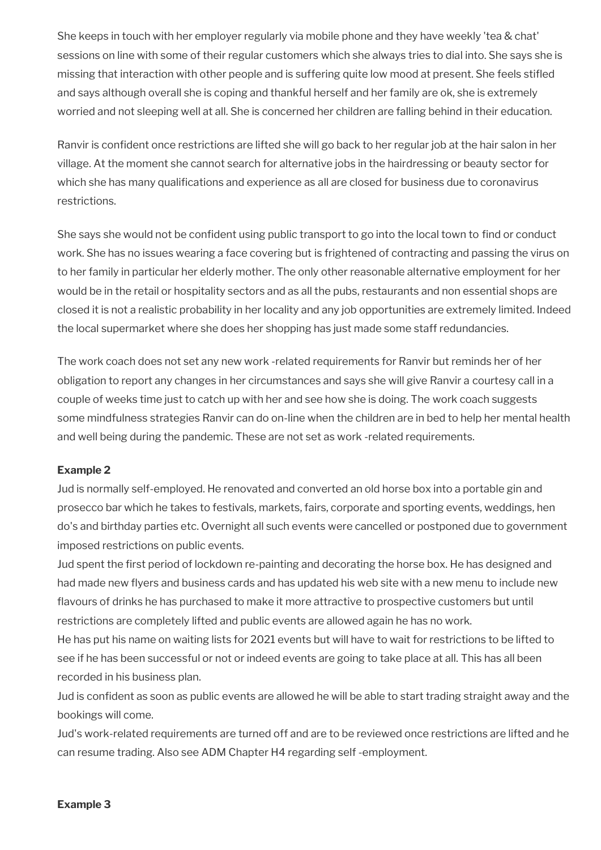She keeps in touch with her employer regularly via mobile phone and they have weekly 'tea & chat' sessions on line with some of their regular customers which she always tries to dial into. She says she is missing that interaction with other people and is suffering quite low mood at present. She feels stifed and says although overall she is coping and thankful herself and her family are ok, she is extremely worried and not sleeping well at all. She is concerned her children are falling behind in their education.

Ranvir is confdent once restrictions are lifted she will go back to her regular job at the hair salon in her village. At the moment she cannot search for alternative jobs in the hairdressing or beauty sector for which she has many qualifications and experience as all are closed for business due to coronavirus restrictions.

She says she would not be confident using public transport to go into the local town to find or conduct work. She has no issues wearing a face covering but is frightened of contracting and passing the virus on to her family in particular her elderly mother. The only other reasonable alternative employment for her would be in the retail or hospitality sectors and as all the pubs, restaurants and non essential shops are closed it is not a realistic probability in her locality and any job opportunities are extremely limited. Indeed the local supermarket where she does her shopping has just made some staff redundancies.

The work coach does not set any new work -related requirements for Ranvir but reminds her of her obligation to report any changes in her circumstances and says she will give Ranvir a courtesy call in a couple of weeks time just to catch up with her and see how she is doing. The work coach suggests some mindfulness strategies Ranvir can do on-line when the children are in bed to help her mental health and well being during the pandemic. These are not set as work -related requirements.

#### **Example 2**

Jud is normally self-employed. He renovated and converted an old horse box into a portable gin and prosecco bar which he takes to festivals, markets, fairs, corporate and sporting events, weddings, hen do's and birthday parties etc. Overnight all such events were cancelled or postponed due to government imposed restrictions on public events.

Jud spent the frst period of lockdown re-painting and decorating the horse box. He has designed and had made new flyers and business cards and has updated his web site with a new menu to include new favours of drinks he has purchased to make it more attractive to prospective customers but until restrictions are completely lifted and public events are allowed again he has no work.

He has put his name on waiting lists for 2021 events but will have to wait for restrictions to be lifted to see if he has been successful or not or indeed events are going to take place at all. This has all been recorded in his business plan.

Jud is confdent as soon as public events are allowed he will be able to start trading straight away and the bookings will come.

Jud's work-related requirements are turned off and are to be reviewed once restrictions are lifted and he can resume trading. Also see ADM Chapter H4 regarding self -employment.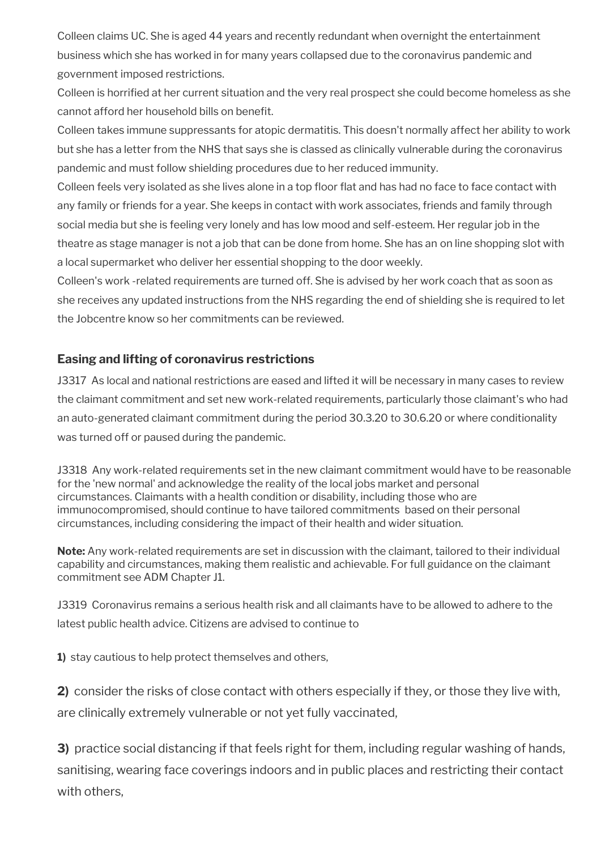Colleen claims UC. She is aged 44 years and recently redundant when overnight the entertainment business which she has worked in for many years collapsed due to the coronavirus pandemic and government imposed restrictions.

Colleen is horrifed at her current situation and the very real prospect she could become homeless as she cannot afford her household bills on benefit.

Colleen takes immune suppressants for atopic dermatitis. This doesn't normally affect her ability to work but she has a letter from the NHS that says she is classed as clinically vulnerable during the coronavirus pandemic and must follow shielding procedures due to her reduced immunity.

Colleen feels very isolated as she lives alone in a top floor flat and has had no face to face contact with any family or friends for a year. She keeps in contact with work associates, friends and family through social media but she is feeling very lonely and has low mood and self-esteem. Her regular job in the theatre as stage manager is not a job that can be done from home. She has an on line shopping slot with a local supermarket who deliver her essential shopping to the door weekly.

Colleen's work -related requirements are turned off. She is advised by her work coach that as soon as she receives any updated instructions from the NHS regarding the end of shielding she is required to let the Jobcentre know so her commitments can be reviewed.

#### **Easing and lifting of coronavirus restrictions**

J3317 As local and national restrictions are eased and lifted it will be necessary in many cases to review the claimant commitment and set new work-related requirements, particularly those claimant's who had an auto-generated claimant commitment during the period 30.3.20 to 30.6.20 or where conditionality was turned off or paused during the pandemic.

J3318 Any work-related requirements set in the new claimant commitment would have to be reasonable for the 'new normal' and acknowledge the reality of the local jobs market and personal circumstances. Claimants with a health condition or disability, including those who are immunocompromised, should continue to have tailored commitments based on their personal circumstances, including considering the impact of their health and wider situation.

**Note:** Any work-related requirements are set in discussion with the claimant, tailored to their individual capability and circumstances, making them realistic and achievable. For full guidance on the claimant commitment see ADM Chapter J1.

J3319 Coronavirus remains a serious health risk and all claimants have to be allowed to adhere to the latest public health advice. Citizens are advised to continue to

**1)** stay cautious to help protect themselves and others,

**2)** consider the risks of close contact with others especially if they, or those they live with, are clinically extremely vulnerable or not yet fully vaccinated,

**3)** practice social distancing if that feels right for them, including regular washing of hands, sanitising, wearing face coverings indoors and in public places and restricting their contact with others,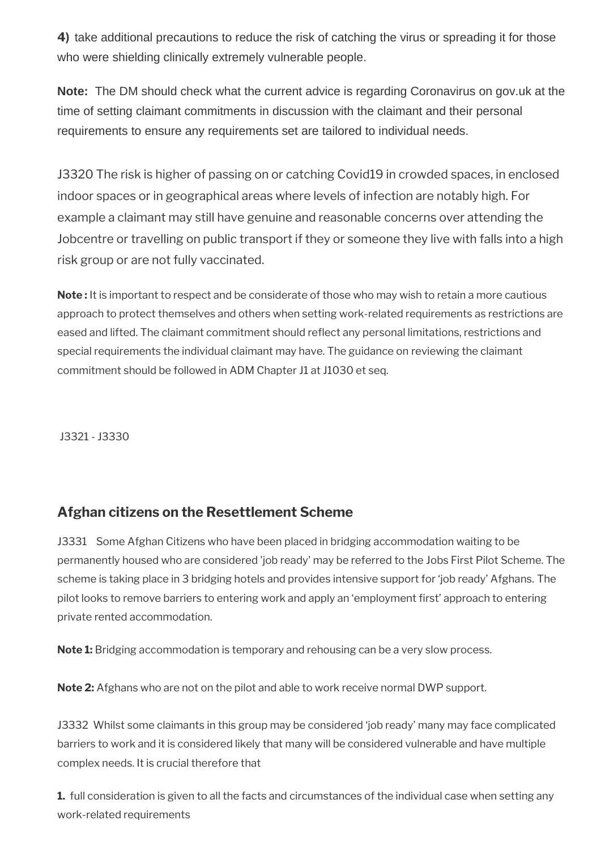**4)** take additional precautions to reduce the risk of catching the virus or spreading it for those who were shielding clinically extremely vulnerable people.

**Note:** The DM should check what the current advice is regarding Coronavirus on gov.uk at the time of setting claimant commitments in discussion with the claimant and their personal requirements to ensure any requirements set are tailored to individual needs.

J3320 The risk is higher of passing on or catching Covid19 in crowded spaces, in enclosed indoor spaces or in geographical areas where levels of infection are notably high. For example a claimant may still have genuine and reasonable concerns over attending the Jobcentre or travelling on public transport if they or someone they live with falls into a high risk group or are not fully vaccinated.

**Note :** It is important to respect and be considerate of those who may wish to retain a more cautious approach to protect themselves and others when setting work-related requirements as restrictions are eased and lifted. The claimant commitment should refect any personal limitations, restrictions and special requirements the individual claimant may have. The guidance on reviewing the claimant commitment should be followed in ADM Chapter J1 at J1030 et seq.

J3321 - J3330

## **Afghan citizens on the Resettlement Scheme**

J3331 Some Afghan Citizens who have been placed in bridging accommodation waiting to be permanently housed who are considered 'job ready' may be referred to the Jobs First Pilot Scheme. The scheme is taking place in 3 bridging hotels and provides intensive support for 'job ready' Afghans. The pilot looks to remove barriers to entering work and apply an 'employment first' approach to entering private rented accommodation.

**Note 1:** Bridging accommodation is temporary and rehousing can be a very slow process.

**Note 2:** Afghans who are not on the pilot and able to work receive normal DWP support.

J3332 Whilst some claimants in this group may be considered 'job ready' many may face complicated barriers to work and it is considered likely that many will be considered vulnerable and have multiple complex needs. It is crucial therefore that

**1.** full consideration is given to all the facts and circumstances of the individual case when setting any work-related requirements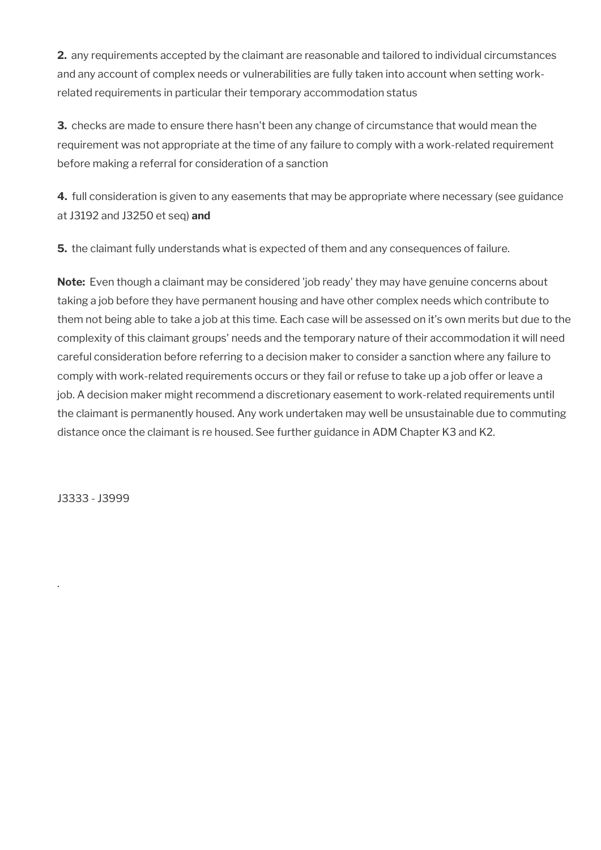**2.** any requirements accepted by the claimant are reasonable and tailored to individual circumstances and any account of complex needs or vulnerabilities are fully taken into account when setting workrelated requirements in particular their temporary accommodation status

**3.** checks are made to ensure there hasn't been any change of circumstance that would mean the requirement was not appropriate at the time of any failure to comply with a work-related requirement before making a referral for consideration of a sanction

**4.** full consideration is given to any easements that may be appropriate where necessary (see guidance at J3192 and J3250 et seq) **and**

**5.** the claimant fully understands what is expected of them and any consequences of failure.

**Note:** Even though a claimant may be considered 'job ready' they may have genuine concerns about taking a job before they have permanent housing and have other complex needs which contribute to them not being able to take a job at this time. Each case will be assessed on it's own merits but due to the complexity of this claimant groups' needs and the temporary nature of their accommodation it will need careful consideration before referring to a decision maker to consider a sanction where any failure to comply with work-related requirements occurs or they fail or refuse to take up a job offer or leave a job. A decision maker might recommend a discretionary easement to work-related requirements until the claimant is permanently housed. Any work undertaken may well be unsustainable due to commuting distance once the claimant is re housed. See further guidance in ADM Chapter K3 and K2.

J3333 - J3999

.